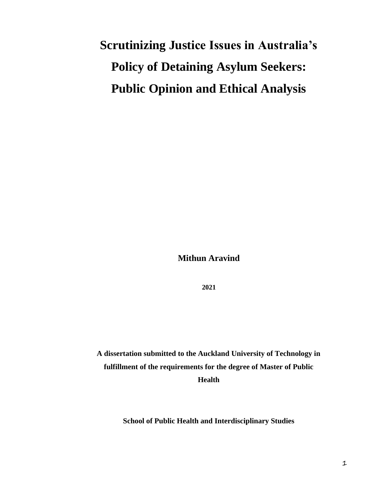# **Scrutinizing Justice Issues in Australia's Policy of Detaining Asylum Seekers: Public Opinion and Ethical Analysis**

**Mithun Aravind**

**2021**

**A dissertation submitted to the Auckland University of Technology in fulfillment of the requirements for the degree of Master of Public Health**

**School of Public Health and Interdisciplinary Studies**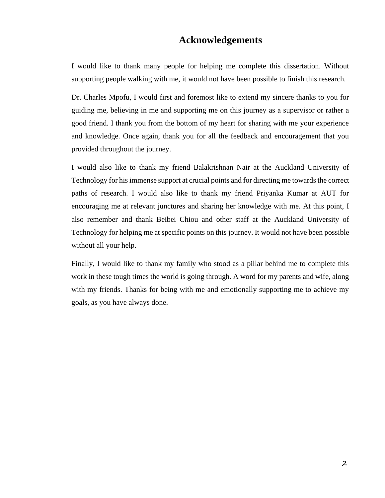# **Acknowledgements**

I would like to thank many people for helping me complete this dissertation. Without supporting people walking with me, it would not have been possible to finish this research.

Dr. Charles Mpofu, I would first and foremost like to extend my sincere thanks to you for guiding me, believing in me and supporting me on this journey as a supervisor or rather a good friend. I thank you from the bottom of my heart for sharing with me your experience and knowledge. Once again, thank you for all the feedback and encouragement that you provided throughout the journey.

I would also like to thank my friend Balakrishnan Nair at the Auckland University of Technology for his immense support at crucial points and for directing me towards the correct paths of research. I would also like to thank my friend Priyanka Kumar at AUT for encouraging me at relevant junctures and sharing her knowledge with me. At this point, I also remember and thank Beibei Chiou and other staff at the Auckland University of Technology for helping me at specific points on this journey. It would not have been possible without all your help.

Finally, I would like to thank my family who stood as a pillar behind me to complete this work in these tough times the world is going through. A word for my parents and wife, along with my friends. Thanks for being with me and emotionally supporting me to achieve my goals, as you have always done.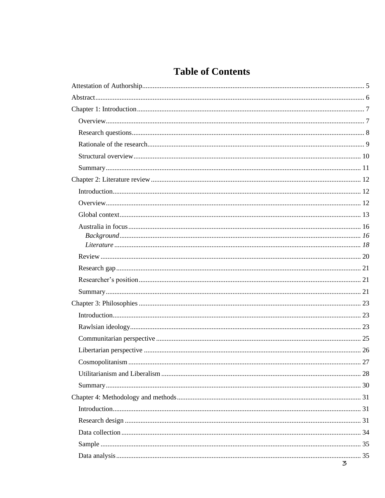# **Table of Contents**

| 3 |
|---|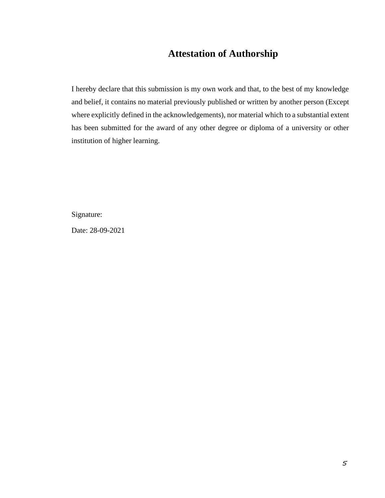# <span id="page-4-0"></span>**Attestation of Authorship**

I hereby declare that this submission is my own work and that, to the best of my knowledge and belief, it contains no material previously published or written by another person (Except where explicitly defined in the acknowledgements), nor material which to a substantial extent has been submitted for the award of any other degree or diploma of a university or other institution of higher learning.

Signature:

Date: 28-09-2021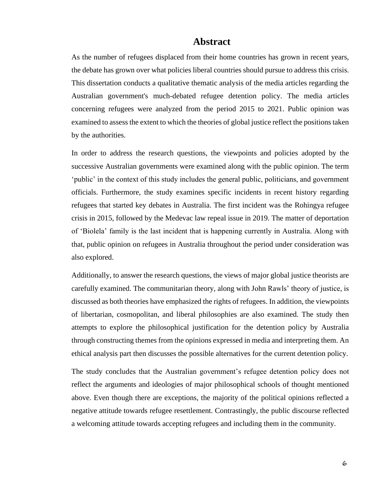# **Abstract**

<span id="page-5-0"></span>As the number of refugees displaced from their home countries has grown in recent years, the debate has grown over what policies liberal countries should pursue to address this crisis. This dissertation conducts a qualitative thematic analysis of the media articles regarding the Australian government's much-debated refugee detention policy. The media articles concerning refugees were analyzed from the period 2015 to 2021. Public opinion was examined to assess the extent to which the theories of global justice reflect the positions taken by the authorities.

In order to address the research questions, the viewpoints and policies adopted by the successive Australian governments were examined along with the public opinion. The term 'public' in the context of this study includes the general public, politicians, and government officials. Furthermore, the study examines specific incidents in recent history regarding refugees that started key debates in Australia. The first incident was the Rohingya refugee crisis in 2015, followed by the Medevac law repeal issue in 2019. The matter of deportation of 'Biolela' family is the last incident that is happening currently in Australia. Along with that, public opinion on refugees in Australia throughout the period under consideration was also explored.

Additionally, to answer the research questions, the views of major global justice theorists are carefully examined. The communitarian theory, along with John Rawls' theory of justice, is discussed as both theories have emphasized the rights of refugees. In addition, the viewpoints of libertarian, cosmopolitan, and liberal philosophies are also examined. The study then attempts to explore the philosophical justification for the detention policy by Australia through constructing themes from the opinions expressed in media and interpreting them. An ethical analysis part then discusses the possible alternatives for the current detention policy.

The study concludes that the Australian government's refugee detention policy does not reflect the arguments and ideologies of major philosophical schools of thought mentioned above. Even though there are exceptions, the majority of the political opinions reflected a negative attitude towards refugee resettlement. Contrastingly, the public discourse reflected a welcoming attitude towards accepting refugees and including them in the community.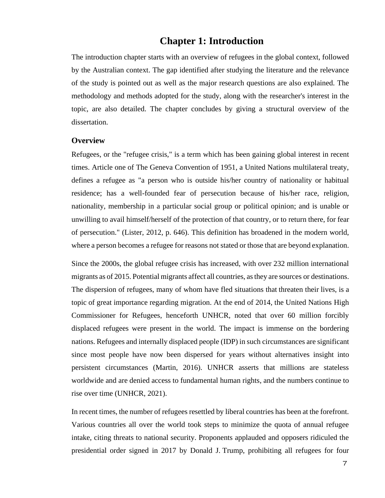## **Chapter 1: Introduction**

<span id="page-6-0"></span>The introduction chapter starts with an overview of refugees in the global context, followed by the Australian context. The gap identified after studying the literature and the relevance of the study is pointed out as well as the major research questions are also explained. The methodology and methods adopted for the study, along with the researcher's interest in the topic, are also detailed. The chapter concludes by giving a structural overview of the dissertation.

#### <span id="page-6-1"></span>**Overview**

Refugees, or the "refugee crisis," is a term which has been gaining global interest in recent times. Article one of The Geneva Convention of 1951, a United Nations multilateral treaty, defines a refugee as "a person who is outside his/her country of nationality or habitual residence; has a well-founded fear of persecution because of his/her race, religion, nationality, membership in a particular social group or political opinion; and is unable or unwilling to avail himself/herself of the protection of that country, or to return there, for fear of persecution." (Lister, 2012, p. 646). This definition has broadened in the modern world, where a person becomes a refugee for reasons not stated or those that are beyond explanation.

Since the 2000s, the global refugee crisis has increased, with over 232 million international migrants as of 2015. Potential migrants affect all countries, asthey are sources or destinations. The dispersion of refugees, many of whom have fled situations that threaten their lives, is a topic of great importance regarding migration. At the end of 2014, the United Nations High Commissioner for Refugees, henceforth UNHCR, noted that over 60 million forcibly displaced refugees were present in the world. The impact is immense on the bordering nations. Refugees and internally displaced people (IDP) in such circumstances are significant since most people have now been dispersed for years without alternatives insight into persistent circumstances (Martin, 2016). UNHCR asserts that millions are stateless worldwide and are denied access to fundamental human rights, and the numbers continue to rise over time (UNHCR, 2021).

In recent times, the number of refugees resettled by liberal countries has been at the forefront. Various countries all over the world took steps to minimize the quota of annual refugee intake, citing threats to national security. Proponents applauded and opposers ridiculed the presidential order signed in 2017 by Donald J. Trump, prohibiting all refugees for four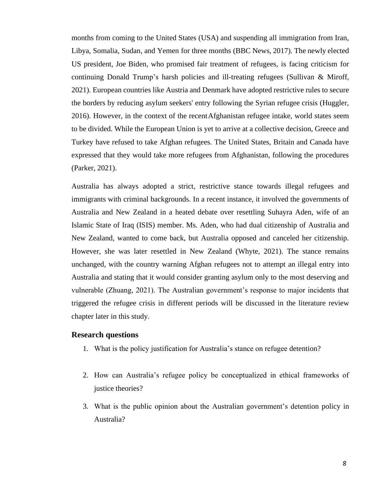months from coming to the United States (USA) and suspending all immigration from Iran, Libya, Somalia, Sudan, and Yemen for three months (BBC News, 2017). The newly elected US president, Joe Biden, who promised fair treatment of refugees, is facing criticism for continuing Donald Trump's harsh policies and ill-treating refugees (Sullivan & Miroff, 2021). European countries like Austria and Denmark have adopted restrictive rules to secure the borders by reducing asylum seekers' entry following the Syrian refugee crisis (Huggler, 2016). However, in the context of the recentAfghanistan refugee intake, world states seem to be divided. While the European Union is yet to arrive at a collective decision, Greece and Turkey have refused to take Afghan refugees. The United States, Britain and Canada have expressed that they would take more refugees from Afghanistan, following the procedures (Parker, 2021).

Australia has always adopted a strict, restrictive stance towards illegal refugees and immigrants with criminal backgrounds. In a recent instance, it involved the governments of Australia and New Zealand in a heated debate over resettling Suhayra Aden, wife of an Islamic State of Iraq (ISIS) member. Ms. Aden, who had dual citizenship of Australia and New Zealand, wanted to come back, but Australia opposed and canceled her citizenship. However, she was later resettled in New Zealand (Whyte, 2021). The stance remains unchanged, with the country warning Afghan refugees not to attempt an illegal entry into Australia and stating that it would consider granting asylum only to the most deserving and vulnerable (Zhuang, 2021). The Australian government's response to major incidents that triggered the refugee crisis in different periods will be discussed in the literature review chapter later in this study.

#### <span id="page-7-0"></span>**Research questions**

- 1. What is the policy justification for Australia's stance on refugee detention?
- 2. How can Australia's refugee policy be conceptualized in ethical frameworks of justice theories?
- 3. What is the public opinion about the Australian government's detention policy in Australia?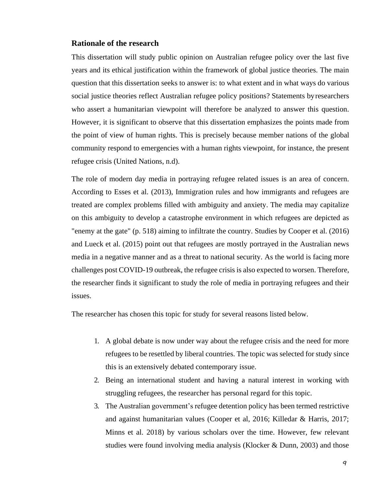#### <span id="page-8-0"></span>**Rationale of the research**

This dissertation will study public opinion on Australian refugee policy over the last five years and its ethical justification within the framework of global justice theories. The main question that this dissertation seeks to answer is: to what extent and in what ways do various social justice theories reflect Australian refugee policy positions? Statements byresearchers who assert a humanitarian viewpoint will therefore be analyzed to answer this question. However, it is significant to observe that this dissertation emphasizes the points made from the point of view of human rights. This is precisely because member nations of the global community respond to emergencies with a human rights viewpoint, for instance, the present refugee crisis (United Nations, n.d).

The role of modern day media in portraying refugee related issues is an area of concern. According to Esses et al. (2013), Immigration rules and how immigrants and refugees are treated are complex problems filled with ambiguity and anxiety. The media may capitalize on this ambiguity to develop a catastrophe environment in which refugees are depicted as "enemy at the gate" (p. 518) aiming to infiltrate the country. Studies by Cooper et al. (2016) and Lueck et al. (2015) point out that refugees are mostly portrayed in the Australian news media in a negative manner and as a threat to national security. As the world is facing more challenges post COVID-19 outbreak, the refugee crisis is also expected to worsen. Therefore, the researcher finds it significant to study the role of media in portraying refugees and their issues.

The researcher has chosen this topic for study for several reasons listed below.

- 1. A global debate is now under way about the refugee crisis and the need for more refugees to be resettled by liberal countries. The topic was selected forstudy since this is an extensively debated contemporary issue.
- 2. Being an international student and having a natural interest in working with struggling refugees, the researcher has personal regard for this topic.
- 3. The Australian government's refugee detention policy has been termed restrictive and against humanitarian values (Cooper et al, 2016; Killedar & Harris, 2017; Minns et al. 2018) by various scholars over the time. However, few relevant studies were found involving media analysis (Klocker & Dunn, 2003) and those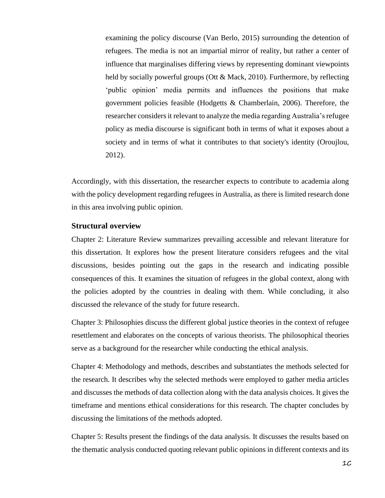examining the policy discourse (Van Berlo, 2015) surrounding the detention of refugees. The media is not an impartial mirror of reality, but rather a center of influence that marginalises differing views by representing dominant viewpoints held by socially powerful groups (Ott & Mack, 2010). Furthermore, by reflecting 'public opinion' media permits and influences the positions that make government policies feasible (Hodgetts & Chamberlain, 2006). Therefore, the researcher considers it relevant to analyze the media regarding Australia's refugee policy as media discourse is significant both in terms of what it exposes about a society and in terms of what it contributes to that society's identity (Oroujlou, 2012).

Accordingly, with this dissertation, the researcher expects to contribute to academia along with the policy development regarding refugees in Australia, as there is limited research done in this area involving public opinion.

#### <span id="page-9-0"></span>**Structural overview**

Chapter 2: Literature Review summarizes prevailing accessible and relevant literature for this dissertation. It explores how the present literature considers refugees and the vital discussions, besides pointing out the gaps in the research and indicating possible consequences of this. It examines the situation of refugees in the global context, along with the policies adopted by the countries in dealing with them. While concluding, it also discussed the relevance of the study for future research.

Chapter 3: Philosophies discuss the different global justice theories in the context of refugee resettlement and elaborates on the concepts of various theorists. The philosophical theories serve as a background for the researcher while conducting the ethical analysis.

Chapter 4: Methodology and methods, describes and substantiates the methods selected for the research. It describes why the selected methods were employed to gather media articles and discusses the methods of data collection along with the data analysis choices. It gives the timeframe and mentions ethical considerations for this research. The chapter concludes by discussing the limitations of the methods adopted.

Chapter 5: Results present the findings of the data analysis. It discusses the results based on the thematic analysis conducted quoting relevant public opinions in different contexts and its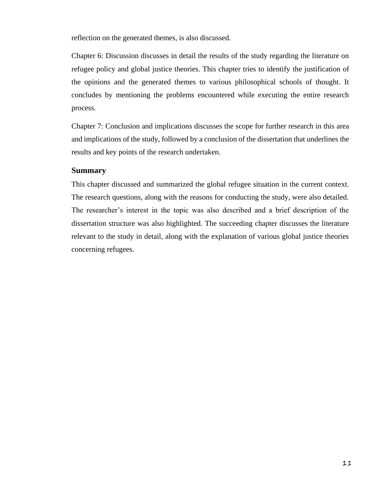reflection on the generated themes, is also discussed.

Chapter 6: Discussion discusses in detail the results of the study regarding the literature on refugee policy and global justice theories. This chapter tries to identify the justification of the opinions and the generated themes to various philosophical schools of thought. It concludes by mentioning the problems encountered while executing the entire research process.

Chapter 7: Conclusion and implications discusses the scope for further research in this area and implications of the study, followed by a conclusion of the dissertation that underlines the results and key points of the research undertaken.

#### <span id="page-10-0"></span>**Summary**

This chapter discussed and summarized the global refugee situation in the current context. The research questions, along with the reasons for conducting the study, were also detailed. The researcher's interest in the topic was also described and a brief description of the dissertation structure was also highlighted. The succeeding chapter discusses the literature relevant to the study in detail, along with the explanation of various global justice theories concerning refugees.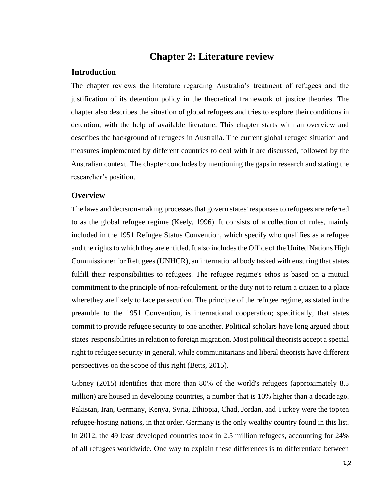# **Chapter 2: Literature review**

#### <span id="page-11-1"></span><span id="page-11-0"></span>**Introduction**

The chapter reviews the literature regarding Australia's treatment of refugees and the justification of its detention policy in the theoretical framework of justice theories. The chapter also describes the situation of global refugees and tries to explore theirconditions in detention, with the help of available literature. This chapter starts with an overview and describes the background of refugees in Australia. The current global refugee situation and measures implemented by different countries to deal with it are discussed, followed by the Australian context. The chapter concludes by mentioning the gaps in research and stating the researcher's position.

#### <span id="page-11-2"></span>**Overview**

The laws and decision-making processesthat govern states' responses to refugees are referred to as the global refugee regime (Keely, 1996). It consists of a collection of rules, mainly included in the 1951 Refugee Status Convention, which specify who qualifies as a refugee and the rights to which they are entitled. It also includesthe Office of the United Nations High Commissioner for Refugees (UNHCR), an international body tasked with ensuring that states fulfill their responsibilities to refugees. The refugee regime's ethos is based on a mutual commitment to the principle of non-refoulement, or the duty not to return a citizen to a place wherethey are likely to face persecution. The principle of the refugee regime, as stated in the preamble to the 1951 Convention, is international cooperation; specifically, that states commit to provide refugee security to one another. Political scholars have long argued about states' responsibilities in relation to foreign migration. Most political theorists accept a special right to refugee security in general, while communitarians and liberal theorists have different perspectives on the scope of this right (Betts, 2015).

Gibney (2015) identifies that more than 80% of the world's refugees (approximately 8.5 million) are housed in developing countries, a number that is 10% higher than a decade ago. Pakistan, Iran, Germany, Kenya, Syria, Ethiopia, Chad, Jordan, and Turkey were the top ten refugee-hosting nations, in that order. Germany is the only wealthy country found in this list. In 2012, the 49 least developed countries took in 2.5 million refugees, accounting for 24% of all refugees worldwide. One way to explain these differences is to differentiate between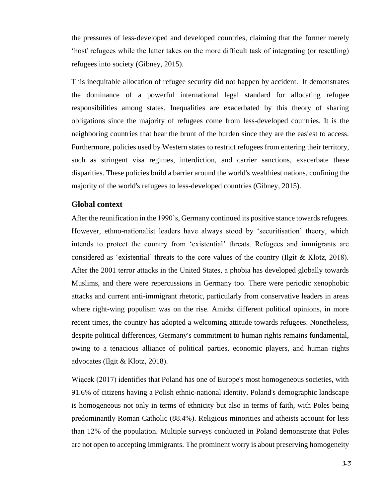the pressures of less-developed and developed countries, claiming that the former merely 'host' refugees while the latter takes on the more difficult task of integrating (or resettling) refugees into society (Gibney, 2015).

This inequitable allocation of refugee security did not happen by accident. It demonstrates the dominance of a powerful international legal standard for allocating refugee responsibilities among states. Inequalities are exacerbated by this theory of sharing obligations since the majority of refugees come from less-developed countries. It is the neighboring countries that bear the brunt of the burden since they are the easiest to access. Furthermore, policies used by Western states to restrict refugees from entering their territory, such as stringent visa regimes, interdiction, and carrier sanctions, exacerbate these disparities. These policies build a barrier around the world's wealthiest nations, confining the majority of the world's refugees to less-developed countries (Gibney, 2015).

#### <span id="page-12-0"></span>**Global context**

After the reunification in the 1990's, Germany continued its positive stance towards refugees. However, ethno-nationalist leaders have always stood by 'securitisation' theory, which intends to protect the country from 'existential' threats. Refugees and immigrants are considered as 'existential' threats to the core values of the country (Ilgit & Klotz, 2018). After the 2001 terror attacks in the United States, a phobia has developed globally towards Muslims, and there were repercussions in Germany too. There were periodic xenophobic attacks and current anti-immigrant rhetoric, particularly from conservative leaders in areas where right-wing populism was on the rise. Amidst different political opinions, in more recent times, the country has adopted a welcoming attitude towards refugees. Nonetheless, despite political differences, Germany's commitment to human rights remains fundamental, owing to a tenacious alliance of political parties, economic players, and human rights advocates (Ilgit & Klotz, 2018).

Wiącek (2017) identifies that Poland has one of Europe's most homogeneous societies, with 91.6% of citizens having a Polish ethnic-national identity. Poland's demographic landscape is homogeneous not only in terms of ethnicity but also in terms of faith, with Poles being predominantly Roman Catholic (88.4%). Religious minorities and atheists account for less than 12% of the population. Multiple surveys conducted in Poland demonstrate that Poles are not open to accepting immigrants. The prominent worry is about preserving homogeneity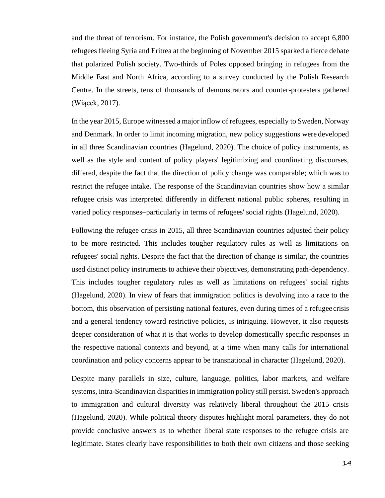and the threat of terrorism. For instance, the Polish government's decision to accept 6,800 refugees fleeing Syria and Eritrea at the beginning of November 2015 sparked a fierce debate that polarized Polish society. Two-thirds of Poles opposed bringing in refugees from the Middle East and North Africa, according to a survey conducted by the Polish Research Centre. In the streets, tens of thousands of demonstrators and counter-protesters gathered (Wiącek, 2017).

In the year 2015, Europe witnessed a major inflow of refugees, especially to Sweden, Norway and Denmark. In order to limit incoming migration, new policy suggestions were developed in all three Scandinavian countries (Hagelund, 2020). The choice of policy instruments, as well as the style and content of policy players' legitimizing and coordinating discourses, differed, despite the fact that the direction of policy change was comparable; which was to restrict the refugee intake. The response of the Scandinavian countries show how a similar refugee crisis was interpreted differently in different national public spheres, resulting in varied policy responses–particularly in terms of refugees' social rights (Hagelund, 2020).

Following the refugee crisis in 2015, all three Scandinavian countries adjusted their policy to be more restricted. This includes tougher regulatory rules as well as limitations on refugees' social rights. Despite the fact that the direction of change is similar, the countries used distinct policy instruments to achieve their objectives, demonstrating path-dependency. This includes tougher regulatory rules as well as limitations on refugees' social rights (Hagelund, 2020). In view of fears that immigration politics is devolving into a race to the bottom, this observation of persisting national features, even during times of a refugee crisis and a general tendency toward restrictive policies, is intriguing. However, it also requests deeper consideration of what it is that works to develop domestically specific responses in the respective national contexts and beyond, at a time when many calls for international coordination and policy concerns appear to be transnational in character (Hagelund, 2020).

Despite many parallels in size, culture, language, politics, labor markets, and welfare systems, intra-Scandinavian disparities in immigration policy still persist. Sweden's approach to immigration and cultural diversity was relatively liberal throughout the 2015 crisis (Hagelund, 2020). While political theory disputes highlight moral parameters, they do not provide conclusive answers as to whether liberal state responses to the refugee crisis are legitimate. States clearly have responsibilities to both their own citizens and those seeking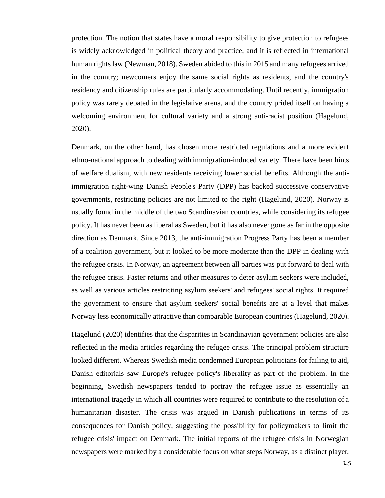protection. The notion that states have a moral responsibility to give protection to refugees is widely acknowledged in political theory and practice, and it is reflected in international human rights law (Newman, 2018). Sweden abided to this in 2015 and many refugees arrived in the country; newcomers enjoy the same social rights as residents, and the country's residency and citizenship rules are particularly accommodating. Until recently, immigration policy was rarely debated in the legislative arena, and the country prided itself on having a welcoming environment for cultural variety and a strong anti-racist position (Hagelund, 2020).

Denmark, on the other hand, has chosen more restricted regulations and a more evident ethno-national approach to dealing with immigration-induced variety. There have been hints of welfare dualism, with new residents receiving lower social benefits. Although the antiimmigration right-wing Danish People's Party (DPP) has backed successive conservative governments, restricting policies are not limited to the right (Hagelund, 2020). Norway is usually found in the middle of the two Scandinavian countries, while considering its refugee policy. It has never been as liberal as Sweden, but it has also never gone as far in the opposite direction as Denmark. Since 2013, the anti-immigration Progress Party has been a member of a coalition government, but it looked to be more moderate than the DPP in dealing with the refugee crisis. In Norway, an agreement between all parties was put forward to deal with the refugee crisis. Faster returns and other measures to deter asylum seekers were included, as well as various articles restricting asylum seekers' and refugees' social rights. It required the government to ensure that asylum seekers' social benefits are at a level that makes Norway less economically attractive than comparable European countries (Hagelund, 2020).

Hagelund (2020) identifies that the disparities in Scandinavian government policies are also reflected in the media articles regarding the refugee crisis. The principal problem structure looked different. Whereas Swedish media condemned European politicians for failing to aid, Danish editorials saw Europe's refugee policy's liberality as part of the problem. In the beginning, Swedish newspapers tended to portray the refugee issue as essentially an international tragedy in which all countries were required to contribute to the resolution of a humanitarian disaster. The crisis was argued in Danish publications in terms of its consequences for Danish policy, suggesting the possibility for policymakers to limit the refugee crisis' impact on Denmark. The initial reports of the refugee crisis in Norwegian newspapers were marked by a considerable focus on what steps Norway, as a distinct player,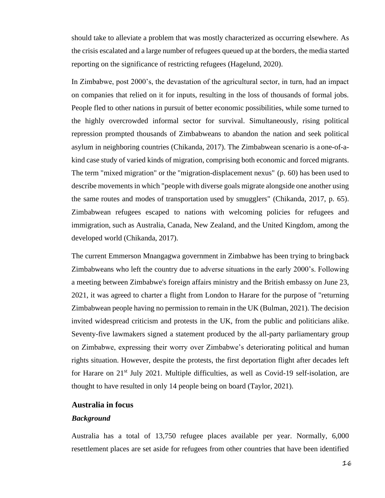should take to alleviate a problem that was mostly characterized as occurring elsewhere. As the crisis escalated and a large number of refugees queued up at the borders, the media started reporting on the significance of restricting refugees (Hagelund, 2020).

In Zimbabwe, post 2000's, the devastation of the agricultural sector, in turn, had an impact on companies that relied on it for inputs, resulting in the loss of thousands of formal jobs. People fled to other nations in pursuit of better economic possibilities, while some turned to the highly overcrowded informal sector for survival. Simultaneously, rising political repression prompted thousands of Zimbabweans to abandon the nation and seek political asylum in neighboring countries (Chikanda, 2017). The Zimbabwean scenario is a one-of-akind case study of varied kinds of migration, comprising both economic and forced migrants. The term "mixed migration" or the "migration-displacement nexus" (p. 60) has been used to describe movements in which "people with diverse goals migrate alongside one another using the same routes and modes of transportation used by smugglers" (Chikanda, 2017, p. 65). Zimbabwean refugees escaped to nations with welcoming policies for refugees and immigration, such as Australia, Canada, New Zealand, and the United Kingdom, among the developed world (Chikanda, 2017).

The current Emmerson Mnangagwa government in Zimbabwe has been trying to bringback Zimbabweans who left the country due to adverse situations in the early 2000's. Following a meeting between Zimbabwe's foreign affairs ministry and the British embassy on June 23, 2021, it was agreed to charter a flight from London to Harare for the purpose of "returning Zimbabwean people having no permission to remain in the UK (Bulman, 2021). The decision invited widespread criticism and protests in the UK, from the public and politicians alike. Seventy-five lawmakers signed a statement produced by the all-party parliamentary group on Zimbabwe, expressing their worry over Zimbabwe's deteriorating political and human rights situation. However, despite the protests, the first deportation flight after decades left for Harare on 21<sup>st</sup> July 2021. Multiple difficulties, as well as Covid-19 self-isolation, are thought to have resulted in only 14 people being on board (Taylor, 2021).

#### <span id="page-15-0"></span>**Australia in focus**

#### <span id="page-15-1"></span>*Background*

Australia has a total of 13,750 refugee places available per year. Normally, 6,000 resettlement places are set aside for refugees from other countries that have been identified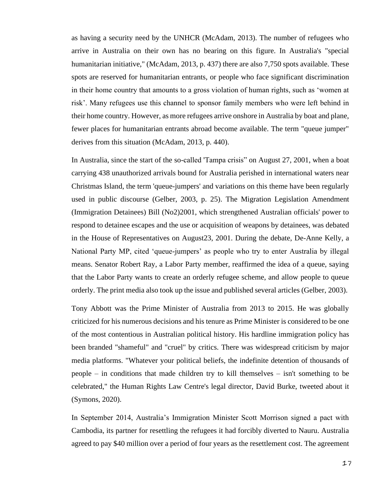as having a security need by the UNHCR (McAdam, 2013). The number of refugees who arrive in Australia on their own has no bearing on this figure. In Australia's "special humanitarian initiative," (McAdam, 2013, p. 437) there are also 7,750 spots available. These spots are reserved for humanitarian entrants, or people who face significant discrimination in their home country that amounts to a gross violation of human rights, such as 'women at risk'. Many refugees use this channel to sponsor family members who were left behind in their home country. However, as more refugees arrive onshore in Australia by boat and plane, fewer places for humanitarian entrants abroad become available. The term "queue jumper" derives from this situation (McAdam, 2013, p. 440).

In Australia, since the start of the so-called 'Tampa crisis" on August 27, 2001, when a boat carrying 438 unauthorized arrivals bound for Australia perished in international waters near Christmas Island, the term 'queue-jumpers' and variations on this theme have been regularly used in public discourse (Gelber, 2003, p. 25). The Migration Legislation Amendment (Immigration Detainees) Bill (No2)2001, which strengthened Australian officials' power to respond to detainee escapes and the use or acquisition of weapons by detainees, was debated in the House of Representatives on August23, 2001. During the debate, De-Anne Kelly, a National Party MP, cited 'queue-jumpers' as people who try to enter Australia by illegal means. Senator Robert Ray, a Labor Party member, reaffirmed the idea of a queue, saying that the Labor Party wants to create an orderly refugee scheme, and allow people to queue orderly. The print media also took up the issue and published several articles (Gelber, 2003).

Tony Abbott was the Prime Minister of Australia from 2013 to 2015. He was globally criticized for his numerous decisions and his tenure as Prime Minister is considered to be one of the most contentious in Australian political history. His hardline immigration policy has been branded "shameful" and "cruel" by critics. There was widespread criticism by major media platforms. "Whatever your political beliefs, the indefinite detention of thousands of people – in conditions that made children try to kill themselves – isn't something to be celebrated," the Human Rights Law Centre's legal director, David Burke, tweeted about it (Symons, 2020).

In September 2014, Australia's Immigration Minister Scott Morrison signed a pact with Cambodia, its partner for resettling the refugees it had forcibly diverted to Nauru. Australia agreed to pay \$40 million over a period of four years as the resettlement cost. The agreement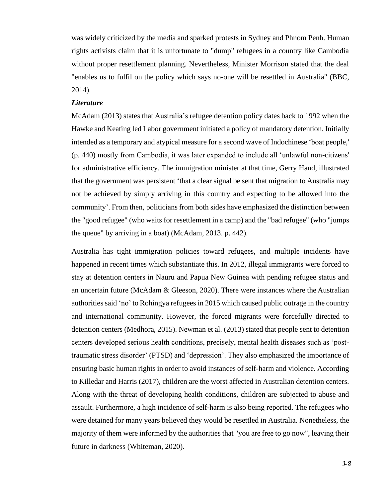was widely criticized by the media and sparked protests in Sydney and Phnom Penh. Human rights activists claim that it is unfortunate to "dump" refugees in a country like Cambodia without proper resettlement planning. Nevertheless, Minister Morrison stated that the deal "enables us to fulfil on the policy which says no-one will be resettled in Australia" (BBC, 2014).

#### <span id="page-17-0"></span>*Literature*

McAdam (2013) states that Australia's refugee detention policy dates back to 1992 when the Hawke and Keating led Labor government initiated a policy of mandatory detention. Initially intended as a temporary and atypical measure for a second wave of Indochinese 'boat people,' (p. 440) mostly from Cambodia, it was later expanded to include all 'unlawful non-citizens' for administrative efficiency. The immigration minister at that time, Gerry Hand, illustrated that the government was persistent 'that a clear signal be sent that migration to Australia may not be achieved by simply arriving in this country and expecting to be allowed into the community'. From then, politicians from both sides have emphasized the distinction between the "good refugee" (who waits for resettlement in a camp) and the "bad refugee" (who "jumps the queue" by arriving in a boat) (McAdam, 2013. p. 442).

Australia has tight immigration policies toward refugees, and multiple incidents have happened in recent times which substantiate this. In 2012, illegal immigrants were forced to stay at detention centers in Nauru and Papua New Guinea with pending refugee status and an uncertain future (McAdam & Gleeson, 2020). There were instances where the Australian authorities said 'no' to Rohingya refugees in 2015 which caused public outrage in the country and international community. However, the forced migrants were forcefully directed to detention centers (Medhora, 2015). Newman et al. (2013) stated that people sent to detention centers developed serious health conditions, precisely, mental health diseases such as 'posttraumatic stress disorder' (PTSD) and 'depression'. They also emphasized the importance of ensuring basic human rights in order to avoid instances of self-harm and violence. According to Killedar and Harris (2017), children are the worst affected in Australian detention centers. Along with the threat of developing health conditions, children are subjected to abuse and assault. Furthermore, a high incidence of self-harm is also being reported. The refugees who were detained for many years believed they would be resettled in Australia. Nonetheless, the majority of them were informed by the authorities that "you are free to go now", leaving their future in darkness (Whiteman, 2020).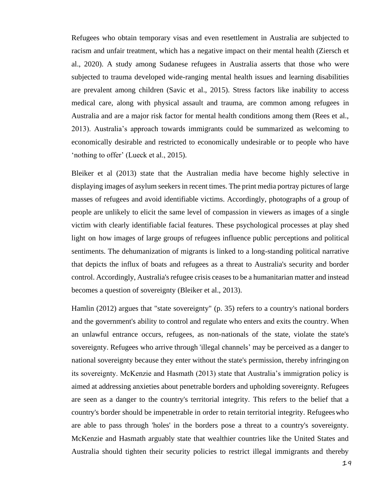Refugees who obtain temporary visas and even resettlement in Australia are subjected to racism and unfair treatment, which has a negative impact on their mental health (Ziersch et al., 2020). A study among Sudanese refugees in Australia asserts that those who were subjected to trauma developed wide-ranging mental health issues and learning disabilities are prevalent among children (Savic et al., 2015). Stress factors like inability to access medical care, along with physical assault and trauma, are common among refugees in Australia and are a major risk factor for mental health conditions among them (Rees et al., 2013). Australia's approach towards immigrants could be summarized as welcoming to economically desirable and restricted to economically undesirable or to people who have 'nothing to offer' (Lueck et al., 2015).

Bleiker et al (2013) state that the Australian media have become highly selective in displaying images of asylum seekers in recent times. The print media portray pictures of large masses of refugees and avoid identifiable victims. Accordingly, photographs of a group of people are unlikely to elicit the same level of compassion in viewers as images of a single victim with clearly identifiable facial features. These psychological processes at play shed light on how images of large groups of refugees influence public perceptions and political sentiments. The dehumanization of migrants is linked to a long-standing political narrative that depicts the influx of boats and refugees as a threat to Australia's security and border control. Accordingly, Australia's refugee crisis ceases to be a humanitarian matter and instead becomes a question of sovereignty (Bleiker et al., 2013).

Hamlin (2012) argues that "state sovereignty" (p. 35) refers to a country's national borders and the government's ability to control and regulate who enters and exits the country. When an unlawful entrance occurs, refugees, as non-nationals of the state, violate the state's sovereignty. Refugees who arrive through 'illegal channels' may be perceived as a danger to national sovereignty because they enter without the state's permission, thereby infringing on its sovereignty. McKenzie and Hasmath (2013) state that Australia's immigration policy is aimed at addressing anxieties about penetrable borders and upholding sovereignty. Refugees are seen as a danger to the country's territorial integrity. This refers to the belief that a country's border should be impenetrable in order to retain territorial integrity. Refugeeswho are able to pass through 'holes' in the borders pose a threat to a country's sovereignty. McKenzie and Hasmath arguably state that wealthier countries like the United States and Australia should tighten their security policies to restrict illegal immigrants and thereby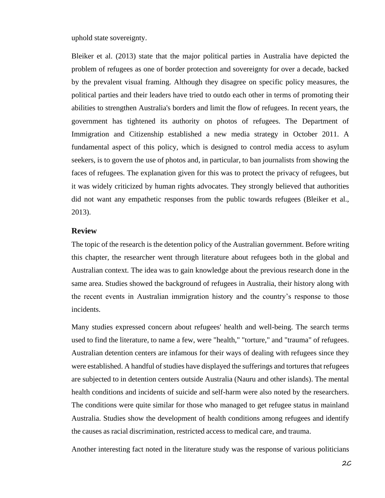uphold state sovereignty.

Bleiker et al. (2013) state that the major political parties in Australia have depicted the problem of refugees as one of border protection and sovereignty for over a decade, backed by the prevalent visual framing. Although they disagree on specific policy measures, the political parties and their leaders have tried to outdo each other in terms of promoting their abilities to strengthen Australia's borders and limit the flow of refugees. In recent years, the government has tightened its authority on photos of refugees. The Department of Immigration and Citizenship established a new media strategy in October 2011. A fundamental aspect of this policy, which is designed to control media access to asylum seekers, is to govern the use of photos and, in particular, to ban journalists from showing the faces of refugees. The explanation given for this was to protect the privacy of refugees, but it was widely criticized by human rights advocates. They strongly believed that authorities did not want any empathetic responses from the public towards refugees (Bleiker et al., 2013).

#### <span id="page-19-0"></span>**Review**

The topic of the research is the detention policy of the Australian government. Before writing this chapter, the researcher went through literature about refugees both in the global and Australian context. The idea was to gain knowledge about the previous research done in the same area. Studies showed the background of refugees in Australia, their history along with the recent events in Australian immigration history and the country's response to those incidents.

Many studies expressed concern about refugees' health and well-being. The search terms used to find the literature, to name a few, were "health," "torture," and "trauma" of refugees. Australian detention centers are infamous for their ways of dealing with refugees since they were established. A handful of studies have displayed the sufferings and tortures that refugees are subjected to in detention centers outside Australia (Nauru and other islands). The mental health conditions and incidents of suicide and self-harm were also noted by the researchers. The conditions were quite similar for those who managed to get refugee status in mainland Australia. Studies show the development of health conditions among refugees and identify the causes as racial discrimination, restricted access to medical care, and trauma.

Another interesting fact noted in the literature study was the response of various politicians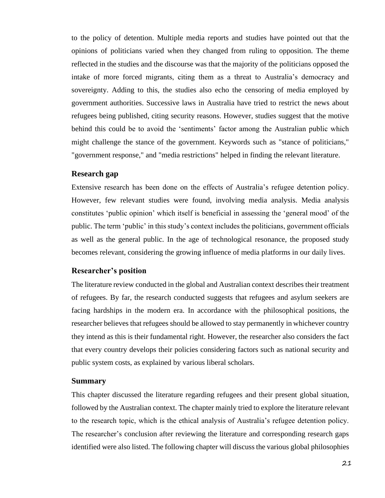to the policy of detention. Multiple media reports and studies have pointed out that the opinions of politicians varied when they changed from ruling to opposition. The theme reflected in the studies and the discourse was that the majority of the politicians opposed the intake of more forced migrants, citing them as a threat to Australia's democracy and sovereignty. Adding to this, the studies also echo the censoring of media employed by government authorities. Successive laws in Australia have tried to restrict the news about refugees being published, citing security reasons. However, studies suggest that the motive behind this could be to avoid the 'sentiments' factor among the Australian public which might challenge the stance of the government. Keywords such as "stance of politicians," "government response," and "media restrictions" helped in finding the relevant literature.

#### <span id="page-20-0"></span>**Research gap**

Extensive research has been done on the effects of Australia's refugee detention policy. However, few relevant studies were found, involving media analysis. Media analysis constitutes 'public opinion' which itself is beneficial in assessing the 'general mood' of the public. The term 'public' in this study's context includes the politicians, government officials as well as the general public. In the age of technological resonance, the proposed study becomes relevant, considering the growing influence of media platforms in our daily lives.

#### <span id="page-20-1"></span>**Researcher's position**

The literature review conducted in the global and Australian context describes their treatment of refugees. By far, the research conducted suggests that refugees and asylum seekers are facing hardships in the modern era. In accordance with the philosophical positions, the researcher believes that refugees should be allowed to stay permanently in whichever country they intend as this is their fundamental right. However, the researcher also considers the fact that every country develops their policies considering factors such as national security and public system costs, as explained by various liberal scholars.

#### <span id="page-20-2"></span>**Summary**

This chapter discussed the literature regarding refugees and their present global situation, followed by the Australian context. The chapter mainly tried to explore the literature relevant to the research topic, which is the ethical analysis of Australia's refugee detention policy. The researcher's conclusion after reviewing the literature and corresponding research gaps identified were also listed. The following chapter will discuss the various global philosophies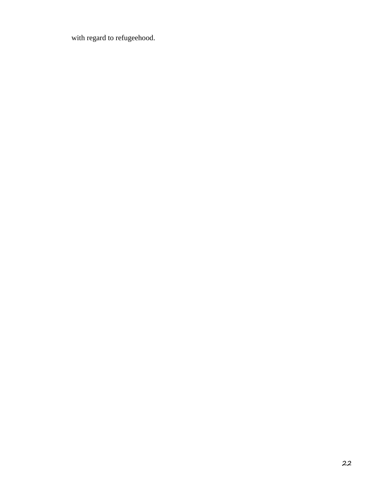with regard to refugeehood.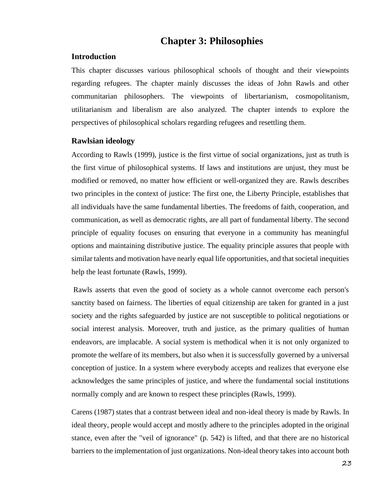# **Chapter 3: Philosophies**

#### <span id="page-22-1"></span><span id="page-22-0"></span>**Introduction**

This chapter discusses various philosophical schools of thought and their viewpoints regarding refugees. The chapter mainly discusses the ideas of John Rawls and other communitarian philosophers. The viewpoints of libertarianism, cosmopolitanism, utilitarianism and liberalism are also analyzed. The chapter intends to explore the perspectives of philosophical scholars regarding refugees and resettling them.

#### <span id="page-22-2"></span>**Rawlsian ideology**

According to Rawls (1999), justice is the first virtue of social organizations, just as truth is the first virtue of philosophical systems. If laws and institutions are unjust, they must be modified or removed, no matter how efficient or well-organized they are. Rawls describes two principles in the context of justice: The first one, the Liberty Principle, establishes that all individuals have the same fundamental liberties. The freedoms of faith, cooperation, and communication, as well as democratic rights, are all part of fundamental liberty. The second principle of equality focuses on ensuring that everyone in a community has meaningful options and maintaining distributive justice. The equality principle assures that people with similar talents and motivation have nearly equal life opportunities, and that societal inequities help the least fortunate (Rawls, 1999).

Rawls asserts that even the good of society as a whole cannot overcome each person's sanctity based on fairness. The liberties of equal citizenship are taken for granted in a just society and the rights safeguarded by justice are not susceptible to political negotiations or social interest analysis. Moreover, truth and justice, as the primary qualities of human endeavors, are implacable. A social system is methodical when it is not only organized to promote the welfare of its members, but also when it is successfully governed by a universal conception of justice. In a system where everybody accepts and realizes that everyone else acknowledges the same principles of justice, and where the fundamental social institutions normally comply and are known to respect these principles (Rawls, 1999).

Carens (1987) states that a contrast between ideal and non-ideal theory is made by Rawls. In ideal theory, people would accept and mostly adhere to the principles adopted in the original stance, even after the "veil of ignorance" (p. 542) is lifted, and that there are no historical barriers to the implementation of just organizations. Non-ideal theory takes into account both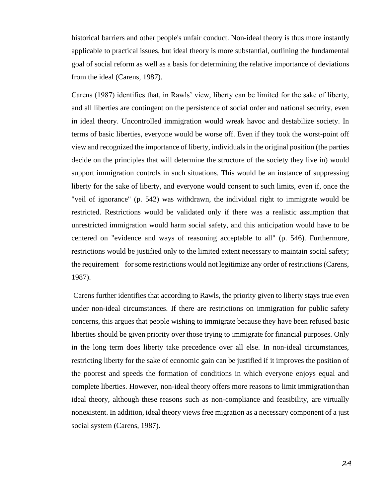historical barriers and other people's unfair conduct. Non-ideal theory is thus more instantly applicable to practical issues, but ideal theory is more substantial, outlining the fundamental goal of social reform as well as a basis for determining the relative importance of deviations from the ideal (Carens, 1987).

Carens (1987) identifies that, in Rawls' view, liberty can be limited for the sake of liberty, and all liberties are contingent on the persistence of social order and national security, even in ideal theory. Uncontrolled immigration would wreak havoc and destabilize society. In terms of basic liberties, everyone would be worse off. Even if they took the worst-point off view and recognized the importance of liberty, individuals in the original position (the parties decide on the principles that will determine the structure of the society they live in) would support immigration controls in such situations. This would be an instance of suppressing liberty for the sake of liberty, and everyone would consent to such limits, even if, once the "veil of ignorance" (p. 542) was withdrawn, the individual right to immigrate would be restricted. Restrictions would be validated only if there was a realistic assumption that unrestricted immigration would harm social safety, and this anticipation would have to be centered on "evidence and ways of reasoning acceptable to all" (p. 546). Furthermore, restrictions would be justified only to the limited extent necessary to maintain social safety; the requirement for some restrictions would not legitimize any order of restrictions (Carens, 1987).

Carens further identifies that according to Rawls, the priority given to liberty stays true even under non-ideal circumstances. If there are restrictions on immigration for public safety concerns, this argues that people wishing to immigrate because they have been refused basic liberties should be given priority over those trying to immigrate for financial purposes. Only in the long term does liberty take precedence over all else. In non-ideal circumstances, restricting liberty for the sake of economic gain can be justified if it improves the position of the poorest and speeds the formation of conditions in which everyone enjoys equal and complete liberties. However, non-ideal theory offers more reasons to limit immigration than ideal theory, although these reasons such as non-compliance and feasibility, are virtually nonexistent. In addition, ideal theory views free migration as a necessary component of a just social system (Carens, 1987).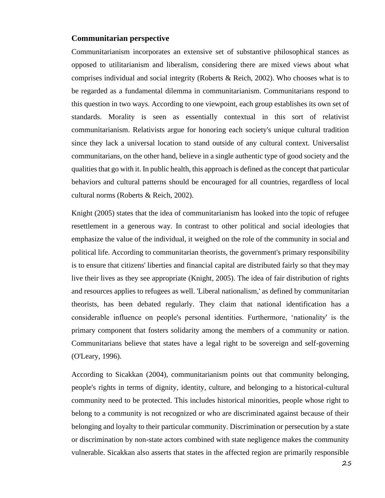#### <span id="page-24-0"></span>**Communitarian perspective**

Communitarianism incorporates an extensive set of substantive philosophical stances as opposed to utilitarianism and liberalism, considering there are mixed views about what comprises individual and social integrity (Roberts & Reich, 2002). Who chooses what is to be regarded as a fundamental dilemma in communitarianism. Communitarians respond to this question in two ways. According to one viewpoint, each group establishes its own set of standards. Morality is seen as essentially contextual in this sort of relativist communitarianism. Relativists argue for honoring each society's unique cultural tradition since they lack a universal location to stand outside of any cultural context. Universalist communitarians, on the other hand, believe in a single authentic type of good society and the qualitiesthat go with it. In public health, this approach is defined asthe concept that particular behaviors and cultural patterns should be encouraged for all countries, regardless of local cultural norms (Roberts & Reich, 2002).

Knight (2005) states that the idea of communitarianism has looked into the topic of refugee resettlement in a generous way. In contrast to other political and social ideologies that emphasize the value of the individual, it weighed on the role of the community in social and political life. According to communitarian theorists, the government's primary responsibility is to ensure that citizens' liberties and financial capital are distributed fairly so that theymay live their lives as they see appropriate (Knight, 2005). The idea of fair distribution of rights and resources applies to refugees as well. 'Liberal nationalism,' as defined by communitarian theorists, has been debated regularly. They claim that national identification has a considerable influence on people's personal identities. Furthermore, 'nationality' is the primary component that fosters solidarity among the members of a community or nation. Communitarians believe that states have a legal right to be sovereign and self-governing (O'Leary, 1996).

According to Sicakkan (2004), communitarianism points out that community belonging, people's rights in terms of dignity, identity, culture, and belonging to a historical-cultural community need to be protected. This includes historical minorities, people whose right to belong to a community is not recognized or who are discriminated against because of their belonging and loyalty to their particular community. Discrimination or persecution by a state or discrimination by non-state actors combined with state negligence makes the community vulnerable. Sicakkan also asserts that states in the affected region are primarily responsible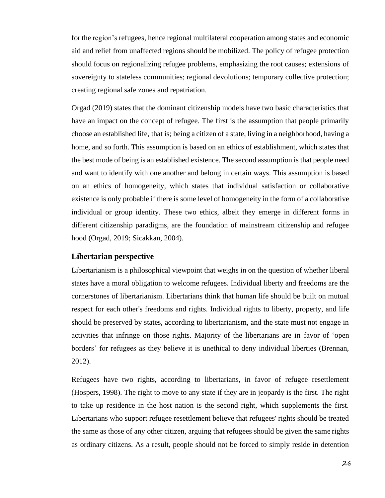for the region's refugees, hence regional multilateral cooperation among states and economic aid and relief from unaffected regions should be mobilized. The policy of refugee protection should focus on regionalizing refugee problems, emphasizing the root causes; extensions of sovereignty to stateless communities; regional devolutions; temporary collective protection; creating regional safe zones and repatriation.

Orgad (2019) states that the dominant citizenship models have two basic characteristics that have an impact on the concept of refugee. The first is the assumption that people primarily choose an established life, that is; being a citizen of a state, living in a neighborhood, having a home, and so forth. This assumption is based on an ethics of establishment, which states that the best mode of being is an established existence. The second assumption is that people need and want to identify with one another and belong in certain ways. This assumption is based on an ethics of homogeneity, which states that individual satisfaction or collaborative existence is only probable if there is some level of homogeneity in the form of a collaborative individual or group identity. These two ethics, albeit they emerge in different forms in different citizenship paradigms, are the foundation of mainstream citizenship and refugee hood (Orgad, 2019; Sicakkan, 2004).

#### <span id="page-25-0"></span>**Libertarian perspective**

Libertarianism is a philosophical viewpoint that weighs in on the question of whether liberal states have a moral obligation to welcome refugees. Individual liberty and freedoms are the cornerstones of libertarianism. Libertarians think that human life should be built on mutual respect for each other's freedoms and rights. Individual rights to liberty, property, and life should be preserved by states, according to libertarianism, and the state must not engage in activities that infringe on those rights. Majority of the libertarians are in favor of 'open borders' for refugees as they believe it is unethical to deny individual liberties (Brennan, 2012).

Refugees have two rights, according to libertarians, in favor of refugee resettlement (Hospers, 1998). The right to move to any state if they are in jeopardy is the first. The right to take up residence in the host nation is the second right, which supplements the first. Libertarians who support refugee resettlement believe that refugees' rights should be treated the same as those of any other citizen, arguing that refugees should be given the same rights as ordinary citizens. As a result, people should not be forced to simply reside in detention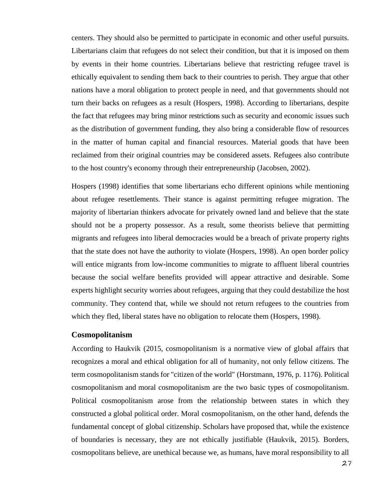centers. They should also be permitted to participate in economic and other useful pursuits. Libertarians claim that refugees do not select their condition, but that it is imposed on them by events in their home countries. Libertarians believe that restricting refugee travel is ethically equivalent to sending them back to their countries to perish. They argue that other nations have a moral obligation to protect people in need, and that governments should not turn their backs on refugees as a result (Hospers, 1998). According to libertarians, despite the fact that refugees may bring minor restrictions such as security and economic issues such as the distribution of government funding, they also bring a considerable flow of resources in the matter of human capital and financial resources. Material goods that have been reclaimed from their original countries may be considered assets. Refugees also contribute to the host country's economy through their entrepreneurship (Jacobsen, 2002).

Hospers (1998) identifies that some libertarians echo different opinions while mentioning about refugee resettlements. Their stance is against permitting refugee migration. The majority of libertarian thinkers advocate for privately owned land and believe that the state should not be a property possessor. As a result, some theorists believe that permitting migrants and refugees into liberal democracies would be a breach of private property rights that the state does not have the authority to violate (Hospers, 1998). An open border policy will entice migrants from low-income communities to migrate to affluent liberal countries because the social welfare benefits provided will appear attractive and desirable. Some experts highlight security worries about refugees, arguing that they could destabilize the host community. They contend that, while we should not return refugees to the countries from which they fled, liberal states have no obligation to relocate them (Hospers, 1998).

#### <span id="page-26-0"></span>**Cosmopolitanism**

According to Haukvik (2015, cosmopolitanism is a normative view of global affairs that recognizes a moral and ethical obligation for all of humanity, not only fellow citizens. The term cosmopolitanism stands for "citizen of the world" (Horstmann, 1976, p. 1176). Political cosmopolitanism and moral cosmopolitanism are the two basic types of cosmopolitanism. Political cosmopolitanism arose from the relationship between states in which they constructed a global political order. Moral cosmopolitanism, on the other hand, defends the fundamental concept of global citizenship. Scholars have proposed that, while the existence of boundaries is necessary, they are not ethically justifiable (Haukvik, 2015). Borders, cosmopolitans believe, are unethical because we, as humans, have moral responsibility to all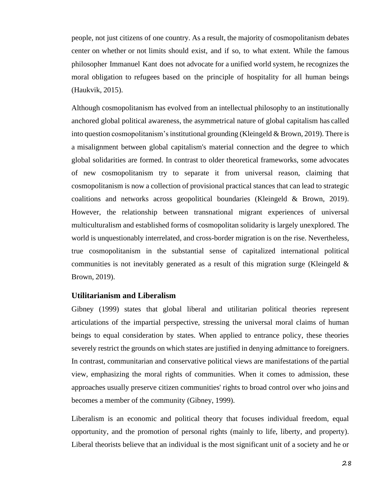people, not just citizens of one country. As a result, the majority of cosmopolitanism debates center on whether or not limits should exist, and if so, to what extent. While the famous philosopher Immanuel Kant does not advocate for a unified world system, he recognizes the moral obligation to refugees based on the principle of hospitality for all human beings (Haukvik, 2015).

Although cosmopolitanism has evolved from an intellectual philosophy to an institutionally anchored global political awareness, the asymmetrical nature of global capitalism has called into question cosmopolitanism's institutional grounding (Kleingeld  $& Brown, 2019$ ). There is a misalignment between global capitalism's material connection and the degree to which global solidarities are formed. In contrast to older theoretical frameworks, some advocates of new cosmopolitanism try to separate it from universal reason, claiming that cosmopolitanism is now a collection of provisional practical stances that can lead to strategic coalitions and networks across geopolitical boundaries (Kleingeld & Brown, 2019). However, the relationship between transnational migrant experiences of universal multiculturalism and established forms of cosmopolitan solidarity is largely unexplored. The world is unquestionably interrelated, and cross-border migration is on the rise. Nevertheless, true cosmopolitanism in the substantial sense of capitalized international political communities is not inevitably generated as a result of this migration surge (Kleingeld & Brown, 2019).

#### <span id="page-27-0"></span>**Utilitarianism and Liberalism**

Gibney (1999) states that global liberal and utilitarian political theories represent articulations of the impartial perspective, stressing the universal moral claims of human beings to equal consideration by states. When applied to entrance policy, these theories severely restrict the grounds on which states are justified in denying admittance to foreigners. In contrast, communitarian and conservative political views are manifestations of the partial view, emphasizing the moral rights of communities. When it comes to admission, these approaches usually preserve citizen communities' rights to broad control over who joins and becomes a member of the community (Gibney, 1999).

Liberalism is an economic and political theory that focuses individual freedom, equal opportunity, and the promotion of personal rights (mainly to life, liberty, and property). Liberal theorists believe that an individual is the most significant unit of a society and he or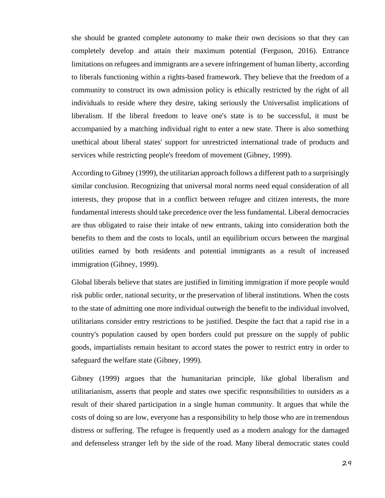she should be granted complete autonomy to make their own decisions so that they can completely develop and attain their maximum potential (Ferguson, 2016). Entrance limitations on refugees and immigrants are a severe infringement of human liberty, according to liberals functioning within a rights-based framework. They believe that the freedom of a community to construct its own admission policy is ethically restricted by the right of all individuals to reside where they desire, taking seriously the Universalist implications of liberalism. If the liberal freedom to leave one's state is to be successful, it must be accompanied by a matching individual right to enter a new state. There is also something unethical about liberal states' support for unrestricted international trade of products and services while restricting people's freedom of movement (Gibney, 1999).

According to Gibney (1999), the utilitarian approach follows a different path to a surprisingly similar conclusion. Recognizing that universal moral norms need equal consideration of all interests, they propose that in a conflict between refugee and citizen interests, the more fundamental interests should take precedence over the less fundamental. Liberal democracies are thus obligated to raise their intake of new entrants, taking into consideration both the benefits to them and the costs to locals, until an equilibrium occurs between the marginal utilities earned by both residents and potential immigrants as a result of increased immigration (Gibney, 1999).

Global liberals believe that states are justified in limiting immigration if more people would risk public order, national security, or the preservation of liberal institutions. When the costs to the state of admitting one more individual outweigh the benefit to the individual involved, utilitarians consider entry restrictions to be justified. Despite the fact that a rapid rise in a country's population caused by open borders could put pressure on the supply of public goods, impartialists remain hesitant to accord states the power to restrict entry in order to safeguard the welfare state (Gibney, 1999).

Gibney (1999) argues that the humanitarian principle, like global liberalism and utilitarianism, asserts that people and states owe specific responsibilities to outsiders as a result of their shared participation in a single human community. It argues that while the costs of doing so are low, everyone has a responsibility to help those who are in tremendous distress or suffering. The refugee is frequently used as a modern analogy for the damaged and defenseless stranger left by the side of the road. Many liberal democratic states could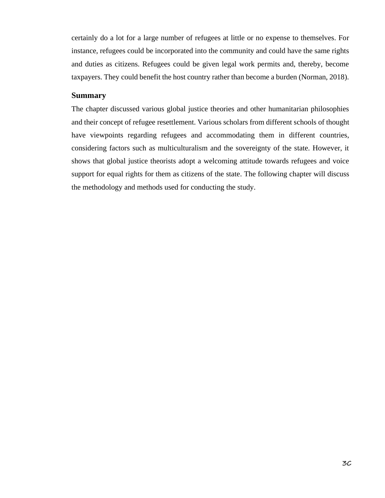certainly do a lot for a large number of refugees at little or no expense to themselves. For instance, refugees could be incorporated into the community and could have the same rights and duties as citizens. Refugees could be given legal work permits and, thereby, become taxpayers. They could benefit the host country rather than become a burden (Norman, 2018).

#### <span id="page-29-0"></span>**Summary**

The chapter discussed various global justice theories and other humanitarian philosophies and their concept of refugee resettlement. Various scholars from different schools of thought have viewpoints regarding refugees and accommodating them in different countries, considering factors such as multiculturalism and the sovereignty of the state. However, it shows that global justice theorists adopt a welcoming attitude towards refugees and voice support for equal rights for them as citizens of the state. The following chapter will discuss the methodology and methods used for conducting the study.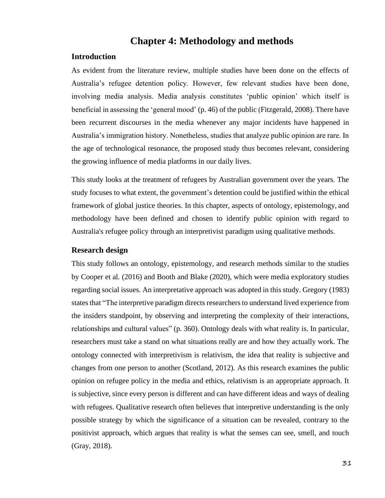# **Chapter 4: Methodology and methods**

#### <span id="page-30-1"></span><span id="page-30-0"></span>**Introduction**

As evident from the literature review, multiple studies have been done on the effects of Australia's refugee detention policy. However, few relevant studies have been done, involving media analysis. Media analysis constitutes 'public opinion' which itself is beneficial in assessing the 'general mood' (p. 46) of the public (Fitzgerald, 2008). There have been recurrent discourses in the media whenever any major incidents have happened in Australia's immigration history. Nonetheless, studies that analyze public opinion are rare. In the age of technological resonance, the proposed study thus becomes relevant, considering the growing influence of media platforms in our daily lives.

This study looks at the treatment of refugees by Australian government over the years. The study focuses to what extent, the government's detention could be justified within the ethical framework of global justice theories. In this chapter, aspects of ontology, epistemology, and methodology have been defined and chosen to identify public opinion with regard to Australia's refugee policy through an interpretivist paradigm using qualitative methods.

#### <span id="page-30-2"></span>**Research design**

This study follows an ontology, epistemology, and research methods similar to the studies by Cooper et al. (2016) and Booth and Blake (2020), which were media exploratory studies regarding social issues. An interpretative approach was adopted in this study. Gregory (1983) states that "The interpretive paradigm directs researchers to understand lived experience from the insiders standpoint, by observing and interpreting the complexity of their interactions, relationships and cultural values" (p. 360). Ontology deals with what reality is. In particular, researchers must take a stand on what situations really are and how they actually work. The ontology connected with interpretivism is relativism, the idea that reality is subjective and changes from one person to another (Scotland, 2012). As this research examines the public opinion on refugee policy in the media and ethics, relativism is an appropriate approach. It is subjective, since every person is different and can have different ideas and ways of dealing with refugees. Qualitative research often believes that interpretive understanding is the only possible strategy by which the significance of a situation can be revealed, contrary to the positivist approach, which argues that reality is what the senses can see, smell, and touch (Gray, 2018).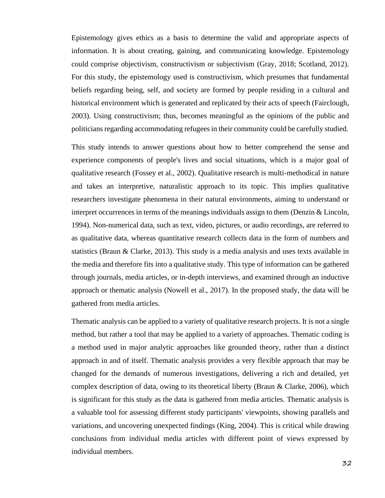Epistemology gives ethics as a basis to determine the valid and appropriate aspects of information. It is about creating, gaining, and communicating knowledge. Epistemology could comprise objectivism, constructivism or subjectivism (Gray, 2018; Scotland, 2012). For this study, the epistemology used is constructivism, which presumes that fundamental beliefs regarding being, self, and society are formed by people residing in a cultural and historical environment which is generated and replicated by their acts of speech (Fairclough, 2003). Using constructivism; thus, becomes meaningful as the opinions of the public and politicians regarding accommodating refugees in their community could be carefully studied.

This study intends to answer questions about how to better comprehend the sense and experience components of people's lives and social situations, which is a major goal of qualitative research (Fossey et al., 2002). Qualitative research is multi-methodical in nature and takes an interpretive, naturalistic approach to its topic. This implies qualitative researchers investigate phenomena in their natural environments, aiming to understand or interpret occurrences in terms of the meanings individuals assign to them (Denzin & Lincoln, 1994). Non-numerical data, such as text, video, pictures, or audio recordings, are referred to as qualitative data, whereas quantitative research collects data in the form of numbers and statistics (Braun & Clarke, 2013). This study is a media analysis and uses texts available in the media and therefore fits into a qualitative study. This type of information can be gathered through journals, media articles, or in-depth interviews, and examined through an inductive approach or thematic analysis (Nowell et al., 2017). In the proposed study, the data will be gathered from media articles.

Thematic analysis can be applied to a variety of qualitative research projects. It is not a single method, but rather a tool that may be applied to a variety of approaches. Thematic coding is a method used in major analytic approaches like grounded theory, rather than a distinct approach in and of itself. Thematic analysis provides a very flexible approach that may be changed for the demands of numerous investigations, delivering a rich and detailed, yet complex description of data, owing to its theoretical liberty (Braun & Clarke, 2006), which is significant for this study as the data is gathered from media articles. Thematic analysis is a valuable tool for assessing different study participants' viewpoints, showing parallels and variations, and uncovering unexpected findings (King, 2004). This is critical while drawing conclusions from individual media articles with different point of views expressed by individual members.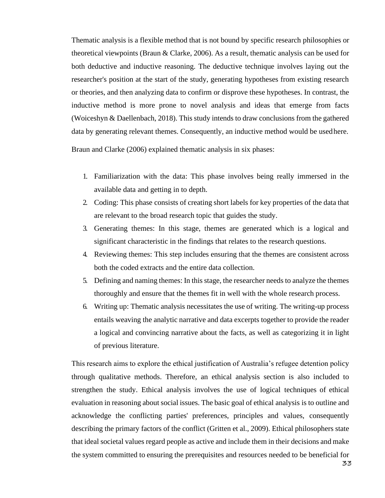Thematic analysis is a flexible method that is not bound by specific research philosophies or theoretical viewpoints (Braun & Clarke, 2006). As a result, thematic analysis can be used for both deductive and inductive reasoning. The deductive technique involves laying out the researcher's position at the start of the study, generating hypotheses from existing research or theories, and then analyzing data to confirm or disprove these hypotheses. In contrast, the inductive method is more prone to novel analysis and ideas that emerge from facts (Woiceshyn & Daellenbach, 2018). This study intends to draw conclusions from the gathered data by generating relevant themes. Consequently, an inductive method would be usedhere.

Braun and Clarke (2006) explained thematic analysis in six phases:

- 1. Familiarization with the data: This phase involves being really immersed in the available data and getting in to depth.
- 2. Coding: This phase consists of creating short labels for key properties of the data that are relevant to the broad research topic that guides the study.
- 3. Generating themes: In this stage, themes are generated which is a logical and significant characteristic in the findings that relates to the research questions.
- 4. Reviewing themes: This step includes ensuring that the themes are consistent across both the coded extracts and the entire data collection.
- 5. Defining and naming themes: In this stage, the researcher needs to analyze the themes thoroughly and ensure that the themes fit in well with the whole research process.
- 6. Writing up: Thematic analysis necessitates the use of writing. The writing-up process entails weaving the analytic narrative and data excerpts together to provide the reader a logical and convincing narrative about the facts, as well as categorizing it in light of previous literature.

This research aims to explore the ethical justification of Australia's refugee detention policy through qualitative methods. Therefore, an ethical analysis section is also included to strengthen the study. Ethical analysis involves the use of logical techniques of ethical evaluation in reasoning about social issues. The basic goal of ethical analysis is to outline and acknowledge the conflicting parties' preferences, principles and values, consequently describing the primary factors of the conflict (Gritten et al., 2009). Ethical philosophers state that ideal societal values regard people as active and include them in their decisions and make the system committed to ensuring the prerequisites and resources needed to be beneficial for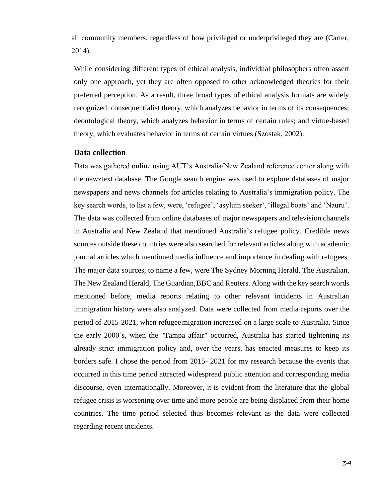all community members, regardless of how privileged or underprivileged they are (Carter, 2014).

While considering different types of ethical analysis, individual philosophers often assert only one approach, yet they are often opposed to other acknowledged theories for their preferred perception. As a result, three broad types of ethical analysis formats are widely recognized: consequentialist theory, which analyzes behavior in terms of its consequences; deontological theory, which analyzes behavior in terms of certain rules; and virtue-based theory, which evaluates behavior in terms of certain virtues (Szostak, 2002).

#### <span id="page-33-0"></span>**Data collection**

Data was gathered online using AUT's Australia/New Zealand reference center along with the newztext database. The Google search engine was used to explore databases of major newspapers and news channels for articles relating to Australia's immigration policy. The key search words, to list a few, were, 'refugee', 'asylum seeker', 'illegal boats' and 'Nauru'. The data was collected from online databases of major newspapers and television channels in Australia and New Zealand that mentioned Australia's refugee policy. Credible news sources outside these countries were also searched for relevant articles along with academic journal articles which mentioned media influence and importance in dealing with refugees. The major data sources, to name a few, were The Sydney Morning Herald, The Australian, The New Zealand Herald, The Guardian,BBC and Reuters. Along with the key search words mentioned before, media reports relating to other relevant incidents in Australian immigration history were also analyzed. Data were collected from media reports over the period of 2015-2021, when refugeemigration increased on a large scale to Australia. Since the early 2000's, when the "Tampa affair" occurred, Australia has started tightening its already strict immigration policy and, over the years, has enacted measures to keep its borders safe. I chose the period from 2015- 2021 for my research because the events that occurred in this time period attracted widespread public attention and corresponding media discourse, even internationally. Moreover, it is evident from the literature that the global refugee crisis is worsening over time and more people are being displaced from their home countries. The time period selected thus becomes relevant as the data were collected regarding recent incidents.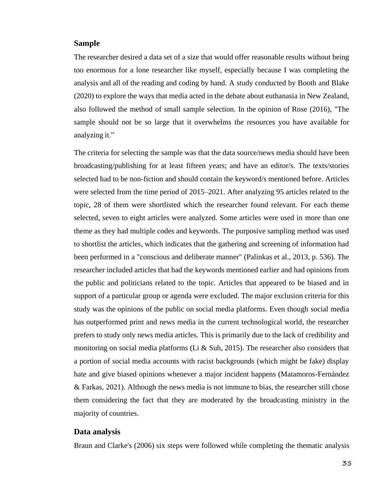#### <span id="page-34-0"></span>**Sample**

The researcher desired a data set of a size that would offer reasonable results without being too enormous for a lone researcher like myself, especially because I was completing the analysis and all of the reading and coding by hand. A study conducted by Booth and Blake (2020) to explore the ways that media acted in the debate about euthanasia in New Zealand, also followed the method of small sample selection. In the opinion of Rose (2016), "The sample should not be so large that it overwhelms the resources you have available for analyzing it."

The criteria for selecting the sample was that the data source/news media should have been broadcasting/publishing for at least fifteen years; and have an editor/s. The texts/stories selected had to be non-fiction and should contain the keyword/s mentioned before. Articles were selected from the time period of 2015–2021. After analyzing 95 articles related to the topic, 28 of them were shortlisted which the researcher found relevant. For each theme selected, seven to eight articles were analyzed. Some articles were used in more than one theme as they had multiple codes and keywords. The purposive sampling method was used to shortlist the articles, which indicates that the gathering and screening of information had been performed in a "conscious and deliberate manner" (Palinkas et al., 2013, p. 536). The researcher included articles that had the keywords mentioned earlier and had opinions from the public and politicians related to the topic. Articles that appeared to be biased and in support of a particular group or agenda were excluded. The major exclusion criteria for this study was the opinions of the public on social media platforms. Even though social media has outperformed print and news media in the current technological world, the researcher prefers to study only news media articles. This is primarily due to the lack of credibility and monitoring on social media platforms (Li  $\&$  Suh, 2015). The researcher also considers that a portion of social media accounts with racist backgrounds (which might be fake) display hate and give biased opinions whenever a major incident happens (Matamoros-Fernández & Farkas, 2021). Although the news media is not immune to bias, the researcher still chose them considering the fact that they are moderated by the broadcasting ministry in the majority of countries.

#### <span id="page-34-1"></span>**Data analysis**

Braun and Clarke's (2006) six steps were followed while completing the thematic analysis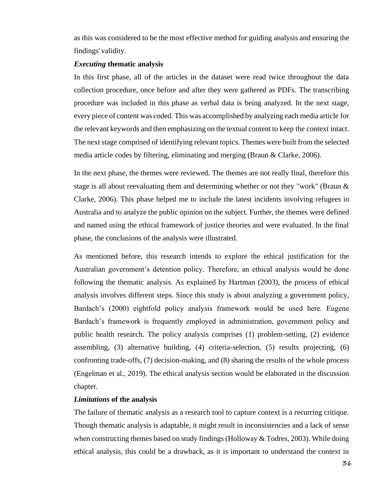as this was considered to be the most effective method for guiding analysis and ensuring the findings' validity.

#### <span id="page-35-0"></span>*Executing* **thematic analysis**

In this first phase, all of the articles in the dataset were read twice throughout the data collection procedure, once before and after they were gathered as PDFs. The transcribing procedure was included in this phase as verbal data is being analyzed. In the next stage, every piece of content was coded. This was accomplished by analyzing each media article for the relevant keywords and then emphasizing on the textual content to keep the context intact. The next stage comprised of identifying relevant topics. Themeswere built from the selected media article codes by filtering, eliminating and merging (Braun & Clarke, 2006).

In the next phase, the themes were reviewed. The themes are not really final, therefore this stage is all about reevaluating them and determining whether or not they "work" (Braun & Clarke, 2006). This phase helped me to include the latest incidents involving refugees in Australia and to analyze the public opinion on the subject. Further, the themes were defined and named using the ethical framework of justice theories and were evaluated. In the final phase, the conclusions of the analysis were illustrated.

As mentioned before, this research intends to explore the ethical justification for the Australian government's detention policy. Therefore, an ethical analysis would be done following the thematic analysis. As explained by Hartman (2003), the process of ethical analysis involves different steps. Since this study is about analyzing a government policy, Bardach's (2000) eightfold policy analysis framework would be used here. Eugene Bardach's framework is frequently employed in administration, government policy and public health research. The policy analysis comprises (1) problem-setting, (2) evidence assembling, (3) alternative building, (4) criteria-selection, (5) results projecting, (6) confronting trade-offs, (7) decision-making, and (8) sharing the results of the whole process (Engelman et al., 2019). The ethical analysis section would be elaborated in the discussion chapter.

#### <span id="page-35-1"></span>*Limitations* **of the analysis**

The failure of thematic analysis as a research tool to capture context is a recurring critique. Though thematic analysis is adaptable, it might result in inconsistencies and a lack of sense when constructing themes based on study findings (Holloway & Todres, 2003). While doing ethical analysis, this could be a drawback, as it is important to understand the context in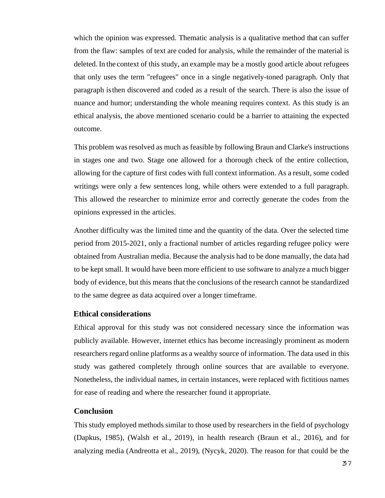which the opinion was expressed. Thematic analysis is a qualitative method that can suffer from the flaw: samples of text are coded for analysis, while the remainder of the material is deleted. In the context of this study, an example may be a mostly good article about refugees that only uses the term "refugees" once in a single negatively-toned paragraph. Only that paragraph isthen discovered and coded as a result of the search. There is also the issue of nuance and humor; understanding the whole meaning requires context. As this study is an ethical analysis, the above mentioned scenario could be a barrier to attaining the expected outcome.

This problem was resolved as much as feasible by following Braun and Clarke's instructions in stages one and two. Stage one allowed for a thorough check of the entire collection, allowing for the capture of first codes with full context information. As a result, some coded writings were only a few sentences long, while others were extended to a full paragraph. This allowed the researcher to minimize error and correctly generate the codes from the opinions expressed in the articles.

Another difficulty was the limited time and the quantity of the data. Over the selected time period from 2015-2021, only a fractional number of articles regarding refugee policy were obtained from Australian media. Because the analysis had to be done manually, the data had to be kept small. It would have been more efficient to use software to analyze a much bigger body of evidence, but this means that the conclusions of the research cannot be standardized to the same degree as data acquired over a longer timeframe.

## **Ethical considerations**

Ethical approval for this study was not considered necessary since the information was publicly available. However, internet ethics has become increasingly prominent as modern researchers regard online platforms as a wealthy source of information. The data used in this study was gathered completely through online sources that are available to everyone. Nonetheless, the individual names, in certain instances, were replaced with fictitious names for ease of reading and where the researcher found it appropriate.

#### **Conclusion**

This study employed methods similar to those used by researchers in the field of psychology (Dapkus, 1985), (Walsh et al., 2019), in health research (Braun et al., 2016), and for analyzing media (Andreotta et al., 2019), (Nycyk, 2020). The reason for that could be the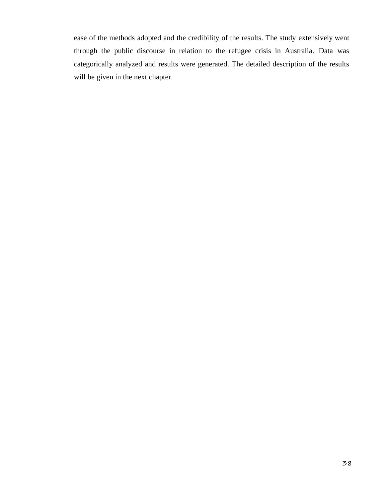ease of the methods adopted and the credibility of the results. The study extensively went through the public discourse in relation to the refugee crisis in Australia. Data was categorically analyzed and results were generated. The detailed description of the results will be given in the next chapter.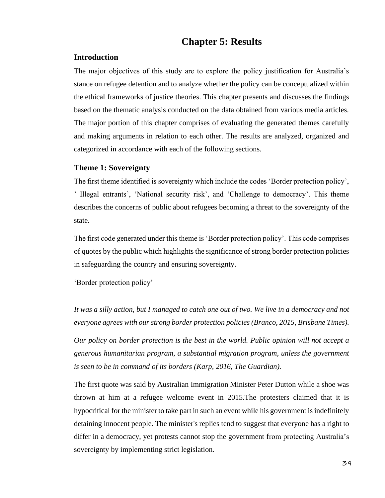# **Chapter 5: Results**

### **Introduction**

The major objectives of this study are to explore the policy justification for Australia's stance on refugee detention and to analyze whether the policy can be conceptualized within the ethical frameworks of justice theories. This chapter presents and discusses the findings based on the thematic analysis conducted on the data obtained from various media articles. The major portion of this chapter comprises of evaluating the generated themes carefully and making arguments in relation to each other. The results are analyzed, organized and categorized in accordance with each of the following sections.

#### **Theme 1: Sovereignty**

The first theme identified is sovereignty which include the codes 'Border protection policy', ' Illegal entrants', 'National security risk', and 'Challenge to democracy'. This theme describes the concerns of public about refugees becoming a threat to the sovereignty of the state.

The first code generated under this theme is 'Border protection policy'. This code comprises of quotes by the public which highlights the significance of strong border protection policies in safeguarding the country and ensuring sovereignty.

'Border protection policy'

*It was a silly action, but I managed to catch one out of two. We live in a democracy and not everyone agrees with our strong border protection policies (Branco, 2015, Brisbane Times).*

*Our policy on border protection is the best in the world. Public opinion will not accept a generous humanitarian program, a substantial migration program, unless the government is seen to be in command of its borders (Karp, 2016, The Guardian).*

The first quote was said by Australian Immigration Minister Peter Dutton while a shoe was thrown at him at a refugee welcome event in 2015.The protesters claimed that it is hypocritical for the minister to take part in such an event while his government is indefinitely detaining innocent people. The minister's replies tend to suggest that everyone has a right to differ in a democracy, yet protests cannot stop the government from protecting Australia's sovereignty by implementing strict legislation.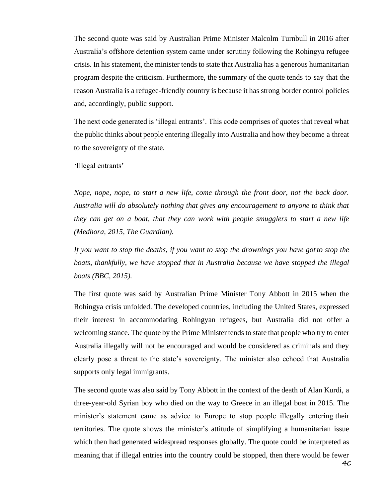The second quote was said by Australian Prime Minister Malcolm Turnbull in 2016 after Australia's offshore detention system came under scrutiny following the Rohingya refugee crisis. In his statement, the minister tends to state that Australia has a generous humanitarian program despite the criticism. Furthermore, the summary of the quote tends to say that the reason Australia is a refugee-friendly country is because it has strong border control policies and, accordingly, public support.

The next code generated is 'illegal entrants'. This code comprises of quotes that reveal what the public thinks about people entering illegally into Australia and how they become a threat to the sovereignty of the state.

'Illegal entrants'

*Nope, nope, nope, to start a new life, come through the front door, not the back door. Australia will do absolutely nothing that gives any encouragement to anyone to think that they can get on a boat, that they can work with people smugglers to start a new life (Medhora, 2015, The Guardian).*

*If you want to stop the deaths, if you want to stop the drownings you have got to stop the boats, thankfully, we have stopped that in Australia because we have stopped the illegal boats (BBC, 2015).*

The first quote was said by Australian Prime Minister Tony Abbott in 2015 when the Rohingya crisis unfolded. The developed countries, including the United States, expressed their interest in accommodating Rohingyan refugees, but Australia did not offer a welcoming stance. The quote by the Prime Minister tends to state that people who try to enter Australia illegally will not be encouraged and would be considered as criminals and they clearly pose a threat to the state's sovereignty. The minister also echoed that Australia supports only legal immigrants.

The second quote was also said by Tony Abbott in the context of the death of Alan Kurdi, a three-year-old Syrian boy who died on the way to Greece in an illegal boat in 2015. The minister's statement came as advice to Europe to stop people illegally entering their territories. The quote shows the minister's attitude of simplifying a humanitarian issue which then had generated widespread responses globally. The quote could be interpreted as meaning that if illegal entries into the country could be stopped, then there would be fewer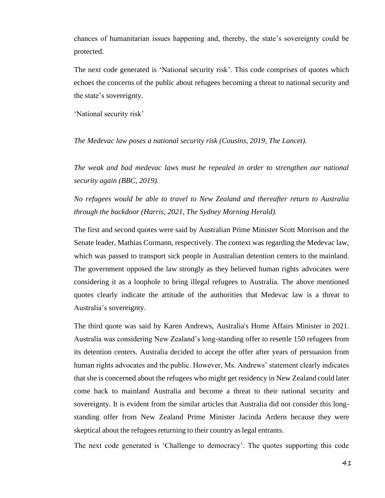chances of humanitarian issues happening and, thereby, the state's sovereignty could be protected.

The next code generated is 'National security risk'. This code comprises of quotes which echoes the concerns of the public about refugees becoming a threat to national security and the state's sovereignty.

'National security risk'

*The Medevac law poses a national security risk (Cousins, 2019, The Lancet).*

*The weak and bad medevac laws must be repealed in order to strengthen our national security again (BBC, 2019).*

*No refugees would be able to travel to New Zealand and thereafter return to Australia through the backdoor (Harris, 2021, The Sydney Morning Herald).*

The first and second quotes were said by Australian Prime Minister Scott Morrison and the Senate leader, Mathias Cormann, respectively. The context was regarding the Medevac law, which was passed to transport sick people in Australian detention centers to the mainland. The government opposed the law strongly as they believed human rights advocates were considering it as a loophole to bring illegal refugees to Australia. The above mentioned quotes clearly indicate the attitude of the authorities that Medevac law is a threat to Australia's sovereignty.

The third quote was said by Karen Andrews, Australia's Home Affairs Minister in 2021. Australia was considering New Zealand's long-standing offer to resettle 150 refugees from its detention centers. Australia decided to accept the offer after years of persuasion from human rights advocates and the public. However, Ms. Andrews' statement clearly indicates that she is concerned about the refugees who might get residency in New Zealand could later come back to mainland Australia and become a threat to their national security and sovereignty. It is evident from the similar articles that Australia did not consider this longstanding offer from New Zealand Prime Minister Jacinda Ardern because they were skeptical about the refugees returning to their country as legal entrants.

The next code generated is 'Challenge to democracy'. The quotes supporting this code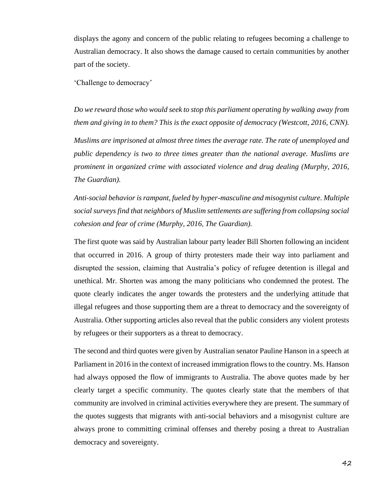displays the agony and concern of the public relating to refugees becoming a challenge to Australian democracy. It also shows the damage caused to certain communities by another part of the society.

'Challenge to democracy'

*Do we reward those who would seek to stop this parliament operating by walking away from them and giving in to them? This is the exact opposite of democracy (Westcott, 2016, CNN). Muslims are imprisoned at almost three times the average rate. The rate of unemployed and public dependency is two to three times greater than the national average. Muslims are prominent in organized crime with associated violence and drug dealing (Murphy, 2016, The Guardian).*

*Anti-social behavior is rampant, fueled by hyper-masculine and misogynist culture. Multiple social surveys find that neighbors of Muslim settlements are suffering from collapsing social cohesion and fear of crime (Murphy, 2016*, *The Guardian).*

The first quote was said by Australian labour party leader Bill Shorten following an incident that occurred in 2016. A group of thirty protesters made their way into parliament and disrupted the session, claiming that Australia's policy of refugee detention is illegal and unethical. Mr. Shorten was among the many politicians who condemned the protest. The quote clearly indicates the anger towards the protesters and the underlying attitude that illegal refugees and those supporting them are a threat to democracy and the sovereignty of Australia. Other supporting articles also reveal that the public considers any violent protests by refugees or their supporters as a threat to democracy.

The second and third quotes were given by Australian senator Pauline Hanson in a speech at Parliament in 2016 in the context of increased immigration flows to the country. Ms. Hanson had always opposed the flow of immigrants to Australia. The above quotes made by her clearly target a specific community. The quotes clearly state that the members of that community are involved in criminal activities everywhere they are present. The summary of the quotes suggests that migrants with anti-social behaviors and a misogynist culture are always prone to committing criminal offenses and thereby posing a threat to Australian democracy and sovereignty.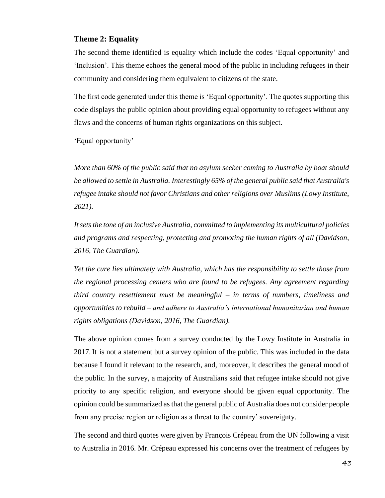# **Theme 2: Equality**

The second theme identified is equality which include the codes 'Equal opportunity' and 'Inclusion'. This theme echoes the general mood of the public in including refugees in their community and considering them equivalent to citizens of the state.

The first code generated under this theme is 'Equal opportunity'. The quotes supporting this code displays the public opinion about providing equal opportunity to refugees without any flaws and the concerns of human rights organizations on this subject.

'Equal opportunity'

*More than 60% of the public said that no asylum seeker coming to Australia by boat should be allowed to settle in Australia. Interestingly 65% of the general public said that Australia's refugee intake should not favor Christians and other religions over Muslims (Lowy Institute, 2021).*

*It sets the tone of an inclusive Australia, committed to implementing its multicultural policies and programs and respecting, protecting and promoting the human rights of all (Davidson, 2016, The Guardian).*

*Yet the cure lies ultimately with Australia, which has the responsibility to settle those from the regional processing centers who are found to be refugees. Any agreement regarding third country resettlement must be meaningful – in terms of numbers, timeliness and opportunities to rebuild – and adhere to Australia's international humanitarian and human rights obligations (Davidson, 2016, The Guardian).*

The above opinion comes from a survey conducted by the Lowy Institute in Australia in 2017.It is not a statement but a survey opinion of the public. This was included in the data because I found it relevant to the research, and, moreover, it describes the general mood of the public. In the survey, a majority of Australians said that refugee intake should not give priority to any specific religion, and everyone should be given equal opportunity. The opinion could be summarized as that the general public of Australia does not consider people from any precise region or religion as a threat to the country' sovereignty.

The second and third quotes were given by François Crépeau from the UN following a visit to Australia in 2016. Mr. Crépeau expressed his concerns over the treatment of refugees by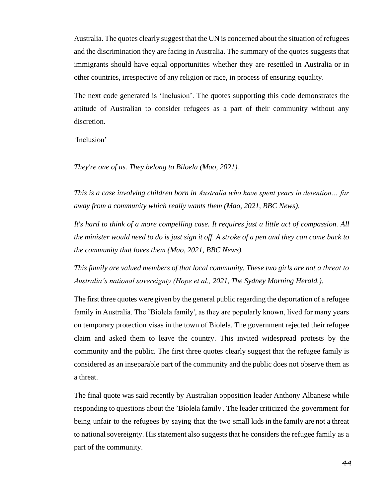Australia. The quotes clearly suggest that the UN is concerned about the situation of refugees and the discrimination they are facing in Australia. The summary of the quotes suggests that immigrants should have equal opportunities whether they are resettled in Australia or in other countries, irrespective of any religion or race, in process of ensuring equality.

The next code generated is 'Inclusion'. The quotes supporting this code demonstrates the attitude of Australian to consider refugees as a part of their community without any discretion.

*'*Inclusion'

*They're one of us. They belong to Biloela (Mao, 2021).*

*This is a case involving children born in Australia who have spent years in detention… far away from a community which really wants them (Mao, 2021, BBC News).*

*It's hard to think of a more compelling case. It requires just a little act of compassion. All the minister would need to do is just sign it off. A stroke of a pen and they can come back to the community that loves them (Mao, 2021, BBC News).*

*This family are valued members of that local community. These two girls are not a threat to Australia's national sovereignty (Hope et al., 2021*, *The Sydney Morning Herald.).*

The first three quotes were given by the general public regarding the deportation of a refugee family in Australia. The 'Biolela family', as they are popularly known, lived for many years on temporary protection visas in the town of Biolela. The government rejected their refugee claim and asked them to leave the country. This invited widespread protests by the community and the public. The first three quotes clearly suggest that the refugee family is considered as an inseparable part of the community and the public does not observe them as a threat.

The final quote was said recently by Australian opposition leader Anthony Albanese while responding to questions about the 'Biolela family'. The leader criticized the government for being unfair to the refugees by saying that the two small kids in the family are not a threat to national sovereignty. His statement also suggests that he considers the refugee family as a part of the community.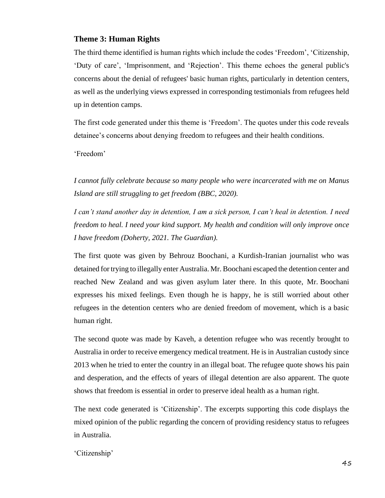# **Theme 3: Human Rights**

The third theme identified is human rights which include the codes 'Freedom', 'Citizenship, 'Duty of care', 'Imprisonment, and 'Rejection'. This theme echoes the general public's concerns about the denial of refugees' basic human rights, particularly in detention centers, as well as the underlying views expressed in corresponding testimonials from refugees held up in detention camps.

The first code generated under this theme is 'Freedom'. The quotes under this code reveals detainee's concerns about denying freedom to refugees and their health conditions.

'Freedom'

*I cannot fully celebrate because so many people who were incarcerated with me on Manus Island are still struggling to get freedom (BBC, 2020).*

*I can't stand another day in detention, I am a sick person, I can't heal in detention. I need freedom to heal. I need your kind support. My health and condition will only improve once I have freedom (Doherty, 2021. The Guardian).*

The first quote was given by Behrouz Boochani, a Kurdish-Iranian journalist who was detained fortrying to illegally enter Australia. Mr. Boochani escaped the detention center and reached New Zealand and was given asylum later there. In this quote, Mr. Boochani expresses his mixed feelings. Even though he is happy, he is still worried about other refugees in the detention centers who are denied freedom of movement, which is a basic human right.

The second quote was made by Kaveh, a detention refugee who was recently brought to Australia in order to receive emergency medical treatment. He is in Australian custody since 2013 when he tried to enter the country in an illegal boat. The refugee quote shows his pain and desperation, and the effects of years of illegal detention are also apparent. The quote shows that freedom is essential in order to preserve ideal health as a human right.

The next code generated is 'Citizenship'. The excerpts supporting this code displays the mixed opinion of the public regarding the concern of providing residency status to refugees in Australia.

'Citizenship'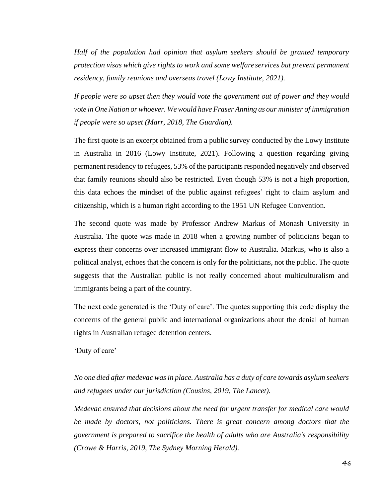*Half of the population had opinion that asylum seekers should be granted temporary protection visas which give rights to work and some welfareservices but prevent permanent residency, family reunions and overseas travel (Lowy Institute, 2021).*

*If people were so upset then they would vote the government out of power and they would vote in OneNation or whoever. Wewould have Fraser Anning as our minister of immigration if people were so upset (Marr, 2018, The Guardian).*

The first quote is an excerpt obtained from a public survey conducted by the Lowy Institute in Australia in 2016 (Lowy Institute, 2021). Following a question regarding giving permanent residency to refugees, 53% of the participants responded negatively and observed that family reunions should also be restricted. Even though 53% is not a high proportion, this data echoes the mindset of the public against refugees' right to claim asylum and citizenship, which is a human right according to the 1951 UN Refugee Convention.

The second quote was made by Professor Andrew Markus of Monash University in Australia. The quote was made in 2018 when a growing number of politicians began to express their concerns over increased immigrant flow to Australia. Markus, who is also a political analyst, echoes that the concern is only for the politicians, not the public. The quote suggests that the Australian public is not really concerned about multiculturalism and immigrants being a part of the country.

The next code generated is the 'Duty of care'. The quotes supporting this code display the concerns of the general public and international organizations about the denial of human rights in Australian refugee detention centers.

'Duty of care'

*No one died after medevac was in place. Australia has a duty of care towards asylum seekers and refugees under our jurisdiction (Cousins, 2019, The Lancet).*

*Medevac ensured that decisions about the need for urgent transfer for medical care would be made by doctors, not politicians. There is great concern among doctors that the government is prepared to sacrifice the health of adults who are Australia's responsibility (Crowe & Harris, 2019, The Sydney Morning Herald).*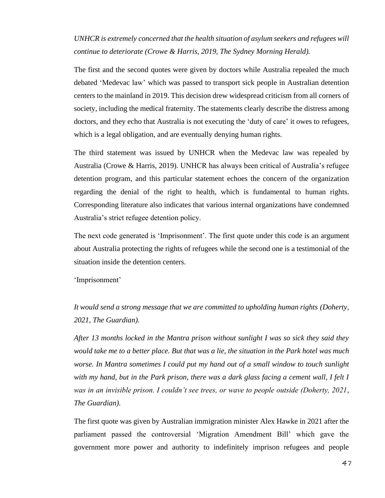*UNHCR is extremely concerned that the health situation of asylum seekers and refugees will continue to deteriorate (Crowe & Harris, 2019, The Sydney Morning Herald).*

The first and the second quotes were given by doctors while Australia repealed the much debated 'Medevac law' which was passed to transport sick people in Australian detention centers to the mainland in 2019. This decision drew widespread criticism from all corners of society, including the medical fraternity. The statements clearly describe the distress among doctors, and they echo that Australia is not executing the 'duty of care' it owes to refugees, which is a legal obligation, and are eventually denying human rights.

The third statement was issued by UNHCR when the Medevac law was repealed by Australia (Crowe & Harris, 2019). UNHCR has always been critical of Australia's refugee detention program, and this particular statement echoes the concern of the organization regarding the denial of the right to health, which is fundamental to human rights. Corresponding literature also indicates that various internal organizations have condemned Australia's strict refugee detention policy.

The next code generated is 'Imprisonment'. The first quote under this code is an argument about Australia protecting the rights of refugees while the second one is a testimonial of the situation inside the detention centers.

'Imprisonment'

*It would send a strong message that we are committed to upholding human rights (Doherty, 2021, The Guardian).*

*After 13 months locked in the Mantra prison without sunlight I was so sick they said they would take me to a better place. But that was a lie, the situation in the Park hotel was much worse. In Mantra sometimes I could put my hand out of a small window to touch sunlight with my hand, but in the Park prison, there was a dark glass facing a cement wall, I felt I was in an invisible prison. I couldn't see trees, or wave to people outside (Doherty, 2021, The Guardian).*

The first quote was given by Australian immigration minister Alex Hawke in 2021 after the parliament passed the controversial 'Migration Amendment Bill' which gave the government more power and authority to indefinitely imprison refugees and people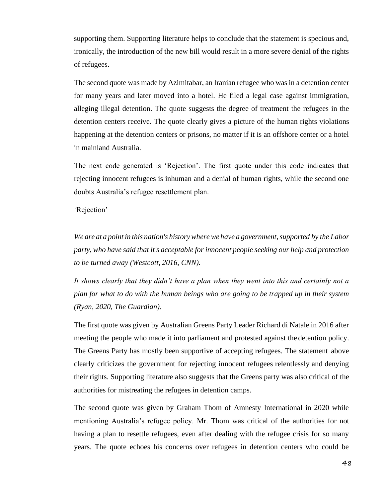supporting them. Supporting literature helps to conclude that the statement is specious and, ironically, the introduction of the new bill would result in a more severe denial of the rights of refugees.

The second quote was made by Azimitabar, an Iranian refugee who was in a detention center for many years and later moved into a hotel. He filed a legal case against immigration, alleging illegal detention. The quote suggests the degree of treatment the refugees in the detention centers receive. The quote clearly gives a picture of the human rights violations happening at the detention centers or prisons, no matter if it is an offshore center or a hotel in mainland Australia.

The next code generated is 'Rejection'. The first quote under this code indicates that rejecting innocent refugees is inhuman and a denial of human rights, while the second one doubts Australia's refugee resettlement plan.

*'*Rejection'

*We are at a point in this nation's historywherewe have a government,supported by the Labor party, who have said that it's acceptable for innocent people seeking our help and protection to be turned away (Westcott, 2016, CNN).*

*It shows clearly that they didn't have a plan when they went into this and certainly not a plan for what to do with the human beings who are going to be trapped up in their system (Ryan, 2020, The Guardian).*

The first quote was given by Australian Greens Party Leader Richard di Natale in 2016 after meeting the people who made it into parliament and protested against the detention policy. The Greens Party has mostly been supportive of accepting refugees. The statement above clearly criticizes the government for rejecting innocent refugees relentlessly and denying their rights. Supporting literature also suggests that the Greens party was also critical of the authorities for mistreating the refugees in detention camps.

The second quote was given by Graham Thom of Amnesty International in 2020 while mentioning Australia's refugee policy. Mr. Thom was critical of the authorities for not having a plan to resettle refugees, even after dealing with the refugee crisis for so many years. The quote echoes his concerns over refugees in detention centers who could be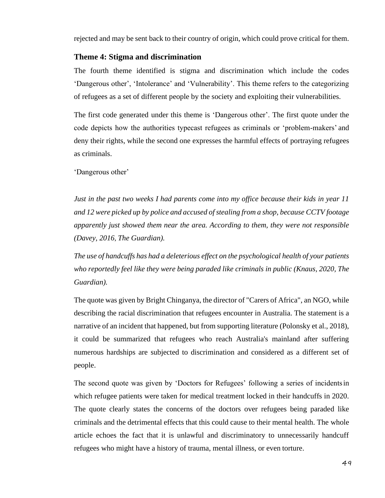rejected and may be sent back to their country of origin, which could prove critical for them.

### **Theme 4: Stigma and discrimination**

The fourth theme identified is stigma and discrimination which include the codes 'Dangerous other', 'Intolerance' and 'Vulnerability'. This theme refers to the categorizing of refugees as a set of different people by the society and exploiting their vulnerabilities.

The first code generated under this theme is 'Dangerous other'. The first quote under the code depicts how the authorities typecast refugees as criminals or 'problem-makers' and deny their rights, while the second one expresses the harmful effects of portraying refugees as criminals.

'Dangerous other'

*Just in the past two weeks I had parents come into my office because their kids in year 11 and 12 were picked up by police and accused ofstealing from a shop, because CCTV footage apparently just showed them near the area. According to them, they were not responsible (Davey, 2016*, *The Guardian).*

*The use of handcuffs has had a deleterious effect on the psychological health of your patients who reportedly feel like they were being paraded like criminals in public (Knaus, 2020, The Guardian).*

The quote was given by Bright Chinganya, the director of "Carers of Africa", an NGO, while describing the racial discrimination that refugees encounter in Australia. The statement is a narrative of an incident that happened, but from supporting literature (Polonsky et al., 2018), it could be summarized that refugees who reach Australia's mainland after suffering numerous hardships are subjected to discrimination and considered as a different set of people.

The second quote was given by 'Doctors for Refugees' following a series of incidentsin which refugee patients were taken for medical treatment locked in their handcuffs in 2020. The quote clearly states the concerns of the doctors over refugees being paraded like criminals and the detrimental effects that this could cause to their mental health. The whole article echoes the fact that it is unlawful and discriminatory to unnecessarily handcuff refugees who might have a history of trauma, mental illness, or even torture.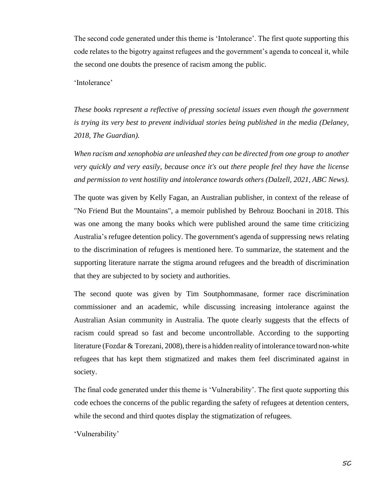The second code generated under this theme is 'Intolerance'. The first quote supporting this code relates to the bigotry against refugees and the government's agenda to conceal it, while the second one doubts the presence of racism among the public.

'Intolerance'

*These books represent a reflective of pressing societal issues even though the government is trying its very best to prevent individual stories being published in the media (Delaney, 2018, The Guardian).*

*When racism and xenophobia are unleashed they can be directed from one group to another very quickly and very easily, because once it's out there people feel they have the license and permission to vent hostility and intolerance towards others (Dalzell, 2021, ABC News).*

The quote was given by Kelly Fagan, an Australian publisher, in context of the release of "No Friend But the Mountains", a memoir published by Behrouz Boochani in 2018. This was one among the many books which were published around the same time criticizing Australia's refugee detention policy. The government's agenda of suppressing news relating to the discrimination of refugees is mentioned here. To summarize, the statement and the supporting literature narrate the stigma around refugees and the breadth of discrimination that they are subjected to by society and authorities.

The second quote was given by Tim Soutphommasane, former race discrimination commissioner and an academic, while discussing increasing intolerance against the Australian Asian community in Australia. The quote clearly suggests that the effects of racism could spread so fast and become uncontrollable. According to the supporting literature (Fozdar & Torezani, 2008), there is a hidden reality of intolerance toward non-white refugees that has kept them stigmatized and makes them feel discriminated against in society.

The final code generated under this theme is 'Vulnerability'. The first quote supporting this code echoes the concerns of the public regarding the safety of refugees at detention centers, while the second and third quotes display the stigmatization of refugees.

'Vulnerability'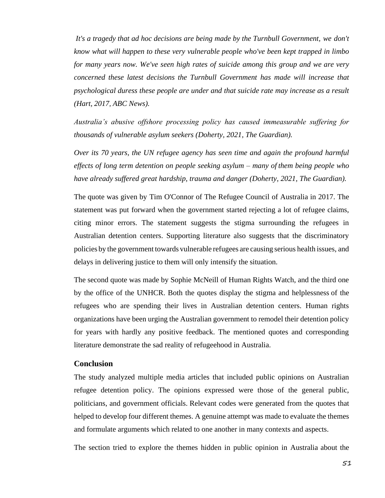*It's a tragedy that ad hoc decisions are being made by the Turnbull Government, we don't know what will happen to these very vulnerable people who've been kept trapped in limbo for many years now. We've seen high rates of suicide among this group and we are very concerned these latest decisions the Turnbull Government has made will increase that psychological duress these people are under and that suicide rate may increase as a result (Hart, 2017*, *ABC News).*

*Australia's abusive offshore processing policy has caused immeasurable suffering for thousands of vulnerable asylum seekers (Doherty, 2021, The Guardian).*

*Over its 70 years, the UN refugee agency has seen time and again the profound harmful effects of long term detention on people seeking asylum – many of them being people who have already suffered great hardship, trauma and danger (Doherty, 2021, The Guardian).*

The quote was given by Tim O'Connor of The Refugee Council of Australia in 2017. The statement was put forward when the government started rejecting a lot of refugee claims, citing minor errors. The statement suggests the stigma surrounding the refugees in Australian detention centers. Supporting literature also suggests that the discriminatory policies by the government towards vulnerable refugees are causing serious health issues, and delays in delivering justice to them will only intensify the situation.

The second quote was made by Sophie McNeill of Human Rights Watch, and the third one by the office of the UNHCR. Both the quotes display the stigma and helplessness of the refugees who are spending their lives in Australian detention centers. Human rights organizations have been urging the Australian government to remodel their detention policy for years with hardly any positive feedback. The mentioned quotes and corresponding literature demonstrate the sad reality of refugeehood in Australia.

## **Conclusion**

The study analyzed multiple media articles that included public opinions on Australian refugee detention policy. The opinions expressed were those of the general public, politicians, and government officials. Relevant codes were generated from the quotes that helped to develop four different themes. A genuine attempt was made to evaluate the themes and formulate arguments which related to one another in many contexts and aspects.

The section tried to explore the themes hidden in public opinion in Australia about the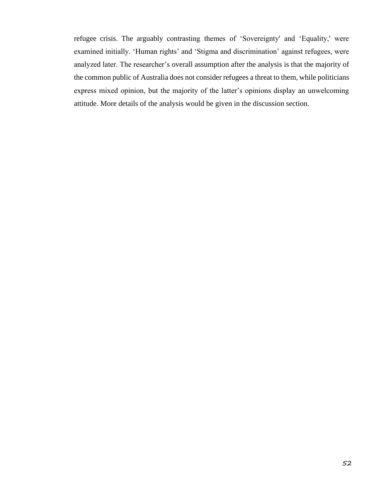refugee crisis. The arguably contrasting themes of 'Sovereignty' and 'Equality,' were examined initially. 'Human rights' and 'Stigma and discrimination' against refugees, were analyzed later. The researcher's overall assumption after the analysis is that the majority of the common public of Australia does not consider refugees a threat to them, while politicians express mixed opinion, but the majority of the latter's opinions display an unwelcoming attitude. More details of the analysis would be given in the discussion section.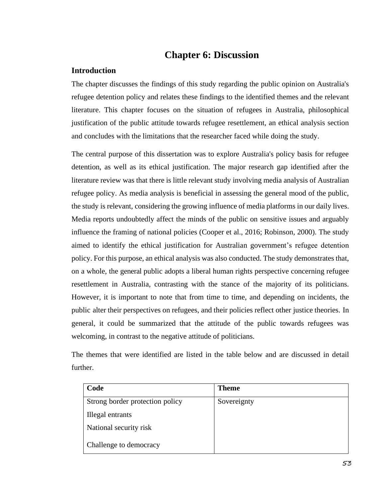# **Chapter 6: Discussion**

# **Introduction**

The chapter discusses the findings of this study regarding the public opinion on Australia's refugee detention policy and relates these findings to the identified themes and the relevant literature. This chapter focuses on the situation of refugees in Australia, philosophical justification of the public attitude towards refugee resettlement, an ethical analysis section and concludes with the limitations that the researcher faced while doing the study.

The central purpose of this dissertation was to explore Australia's policy basis for refugee detention, as well as its ethical justification. The major research gap identified after the literature review was that there is little relevant study involving media analysis of Australian refugee policy. As media analysis is beneficial in assessing the general mood of the public, the study is relevant, considering the growing influence of media platforms in our daily lives. Media reports undoubtedly affect the minds of the public on sensitive issues and arguably influence the framing of national policies (Cooper et al., 2016; Robinson, 2000). The study aimed to identify the ethical justification for Australian government's refugee detention policy. For this purpose, an ethical analysis was also conducted. The study demonstrates that, on a whole, the general public adopts a liberal human rights perspective concerning refugee resettlement in Australia, contrasting with the stance of the majority of its politicians. However, it is important to note that from time to time, and depending on incidents, the public alter their perspectives on refugees, and their policies reflect other justice theories. In general, it could be summarized that the attitude of the public towards refugees was welcoming, in contrast to the negative attitude of politicians.

The themes that were identified are listed in the table below and are discussed in detail further.

| Code                            | <b>Theme</b> |
|---------------------------------|--------------|
| Strong border protection policy | Sovereignty  |
| Illegal entrants                |              |
| National security risk          |              |
| Challenge to democracy          |              |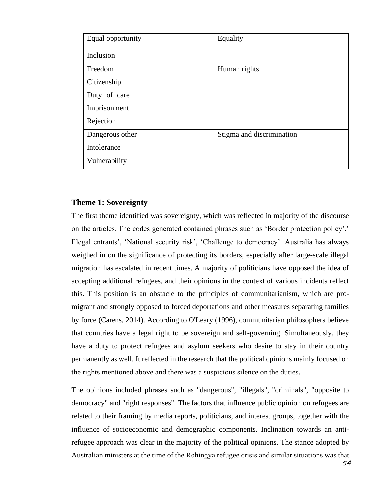| Equal opportunity | Equality                  |
|-------------------|---------------------------|
| Inclusion         |                           |
| Freedom           | Human rights              |
| Citizenship       |                           |
| Duty of care      |                           |
| Imprisonment      |                           |
| Rejection         |                           |
| Dangerous other   | Stigma and discrimination |
| Intolerance       |                           |
| Vulnerability     |                           |

## **Theme 1: Sovereignty**

The first theme identified was sovereignty, which was reflected in majority of the discourse on the articles. The codes generated contained phrases such as 'Border protection policy',' Illegal entrants', 'National security risk', 'Challenge to democracy'. Australia has always weighed in on the significance of protecting its borders, especially after large-scale illegal migration has escalated in recent times. A majority of politicians have opposed the idea of accepting additional refugees, and their opinions in the context of various incidents reflect this. This position is an obstacle to the principles of communitarianism, which are promigrant and strongly opposed to forced deportations and other measures separating families by force (Carens, 2014). According to O'Leary (1996), communitarian philosophers believe that countries have a legal right to be sovereign and self-governing. Simultaneously, they have a duty to protect refugees and asylum seekers who desire to stay in their country permanently as well. It reflected in the research that the political opinions mainly focused on the rights mentioned above and there was a suspicious silence on the duties.

The opinions included phrases such as "dangerous", "illegals", "criminals", "opposite to democracy" and "right responses". The factors that influence public opinion on refugees are related to their framing by media reports, politicians, and interest groups, together with the influence of socioeconomic and demographic components. Inclination towards an antirefugee approach was clear in the majority of the political opinions. The stance adopted by Australian ministers at the time of the Rohingya refugee crisis and similar situations was that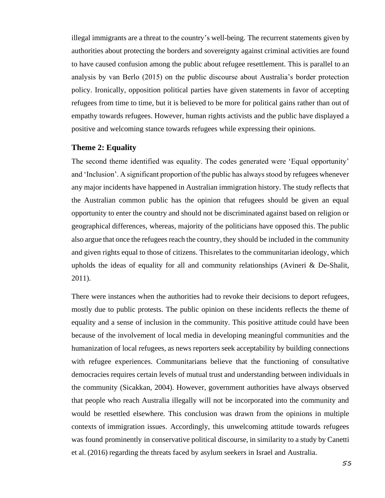illegal immigrants are a threat to the country's well-being. The recurrent statements given by authorities about protecting the borders and sovereignty against criminal activities are found to have caused confusion among the public about refugee resettlement. This is parallel to an analysis by van Berlo (2015) on the public discourse about Australia's border protection policy. Ironically, opposition political parties have given statements in favor of accepting refugees from time to time, but it is believed to be more for political gains rather than out of empathy towards refugees. However, human rights activists and the public have displayed a positive and welcoming stance towards refugees while expressing their opinions.

#### **Theme 2: Equality**

The second theme identified was equality. The codes generated were 'Equal opportunity' and 'Inclusion'. A significant proportion of the public has always stood by refugees whenever any major incidents have happened in Australian immigration history. The study reflects that the Australian common public has the opinion that refugees should be given an equal opportunity to enter the country and should not be discriminated against based on religion or geographical differences, whereas, majority of the politicians have opposed this. The public also argue that once the refugees reach the country, they should be included in the community and given rights equal to those of citizens. Thisrelates to the communitarian ideology, which upholds the ideas of equality for all and community relationships (Avineri  $\&$  De-Shalit, 2011).

There were instances when the authorities had to revoke their decisions to deport refugees, mostly due to public protests. The public opinion on these incidents reflects the theme of equality and a sense of inclusion in the community. This positive attitude could have been because of the involvement of local media in developing meaningful communities and the humanization of local refugees, as news reporters seek acceptability by building connections with refugee experiences. Communitarians believe that the functioning of consultative democracies requires certain levels of mutual trust and understanding between individuals in the community (Sicakkan, 2004). However, government authorities have always observed that people who reach Australia illegally will not be incorporated into the community and would be resettled elsewhere. This conclusion was drawn from the opinions in multiple contexts of immigration issues. Accordingly, this unwelcoming attitude towards refugees was found prominently in conservative political discourse, in similarity to a study by Canetti et al. (2016) regarding the threats faced by asylum seekers in Israel and Australia.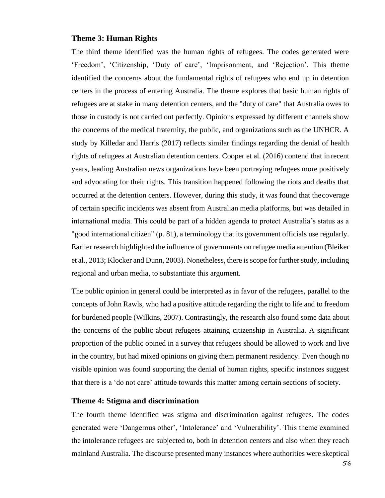#### **Theme 3: Human Rights**

The third theme identified was the human rights of refugees. The codes generated were 'Freedom', 'Citizenship, 'Duty of care', 'Imprisonment, and 'Rejection'. This theme identified the concerns about the fundamental rights of refugees who end up in detention centers in the process of entering Australia. The theme explores that basic human rights of refugees are at stake in many detention centers, and the "duty of care" that Australia owes to those in custody is not carried out perfectly. Opinions expressed by different channels show the concerns of the medical fraternity, the public, and organizations such as the UNHCR. A study by Killedar and Harris (2017) reflects similar findings regarding the denial of health rights of refugees at Australian detention centers. Cooper et al. (2016) contend that inrecent years, leading Australian news organizations have been portraying refugees more positively and advocating for their rights. This transition happened following the riots and deaths that occurred at the detention centers. However, during this study, it was found that thecoverage of certain specific incidents was absent from Australian media platforms, but was detailed in international media. This could be part of a hidden agenda to protect Australia's status as a "good international citizen" (p. 81), a terminology that its government officials use regularly. Earlier research highlighted the influence of governments on refugee media attention (Bleiker et al., 2013; Klocker and Dunn, 2003). Nonetheless, there is scope for further study, including regional and urban media, to substantiate this argument.

The public opinion in general could be interpreted as in favor of the refugees, parallel to the concepts of John Rawls, who had a positive attitude regarding the right to life and to freedom for burdened people (Wilkins, 2007). Contrastingly, the research also found some data about the concerns of the public about refugees attaining citizenship in Australia. A significant proportion of the public opined in a survey that refugees should be allowed to work and live in the country, but had mixed opinions on giving them permanent residency. Even though no visible opinion was found supporting the denial of human rights, specific instances suggest that there is a 'do not care' attitude towards this matter among certain sections of society.

# **Theme 4: Stigma and discrimination**

The fourth theme identified was stigma and discrimination against refugees. The codes generated were 'Dangerous other', 'Intolerance' and 'Vulnerability'. This theme examined the intolerance refugees are subjected to, both in detention centers and also when they reach mainland Australia. The discourse presented many instances where authorities were skeptical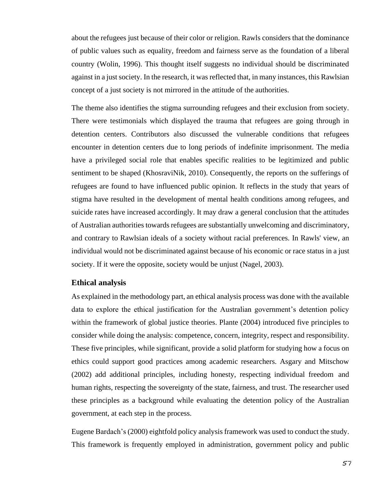about the refugees just because of their color or religion. Rawls considers that the dominance of public values such as equality, freedom and fairness serve as the foundation of a liberal country (Wolin, 1996). This thought itself suggests no individual should be discriminated against in a just society. In the research, it was reflected that, in many instances, this Rawlsian concept of a just society is not mirrored in the attitude of the authorities.

The theme also identifies the stigma surrounding refugees and their exclusion from society. There were testimonials which displayed the trauma that refugees are going through in detention centers. Contributors also discussed the vulnerable conditions that refugees encounter in detention centers due to long periods of indefinite imprisonment. The media have a privileged social role that enables specific realities to be legitimized and public sentiment to be shaped (KhosraviNik, 2010). Consequently, the reports on the sufferings of refugees are found to have influenced public opinion. It reflects in the study that years of stigma have resulted in the development of mental health conditions among refugees, and suicide rates have increased accordingly. It may draw a general conclusion that the attitudes of Australian authorities towards refugees are substantially unwelcoming and discriminatory, and contrary to Rawlsian ideals of a society without racial preferences. In Rawls' view, an individual would not be discriminated against because of his economic or race status in a just society. If it were the opposite, society would be unjust (Nagel, 2003).

#### **Ethical analysis**

As explained in the methodology part, an ethical analysis process was done with the available data to explore the ethical justification for the Australian government's detention policy within the framework of global justice theories. Plante (2004) introduced five principles to consider while doing the analysis: competence, concern, integrity, respect and responsibility. These five principles, while significant, provide a solid platform for studying how a focus on ethics could support good practices among academic researchers. Asgary and Mitschow (2002) add additional principles, including honesty, respecting individual freedom and human rights, respecting the sovereignty of the state, fairness, and trust. The researcher used these principles as a background while evaluating the detention policy of the Australian government, at each step in the process.

Eugene Bardach's (2000) eightfold policy analysis framework was used to conduct the study. This framework is frequently employed in administration, government policy and public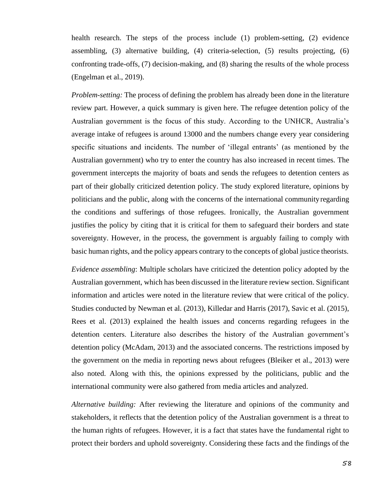health research. The steps of the process include (1) problem-setting, (2) evidence assembling, (3) alternative building, (4) criteria-selection, (5) results projecting, (6) confronting trade-offs, (7) decision-making, and (8) sharing the results of the whole process (Engelman et al., 2019).

*Problem-setting:* The process of defining the problem has already been done in the literature review part. However, a quick summary is given here. The refugee detention policy of the Australian government is the focus of this study. According to the UNHCR, Australia's average intake of refugees is around 13000 and the numbers change every year considering specific situations and incidents. The number of 'illegal entrants' (as mentioned by the Australian government) who try to enter the country has also increased in recent times. The government intercepts the majority of boats and sends the refugees to detention centers as part of their globally criticized detention policy. The study explored literature, opinions by politicians and the public, along with the concerns of the international communityregarding the conditions and sufferings of those refugees. Ironically, the Australian government justifies the policy by citing that it is critical for them to safeguard their borders and state sovereignty. However, in the process, the government is arguably failing to comply with basic human rights, and the policy appears contrary to the concepts of global justice theorists.

*Evidence assembling*: Multiple scholars have criticized the detention policy adopted by the Australian government, which has been discussed in the literature review section. Significant information and articles were noted in the literature review that were critical of the policy. Studies conducted by Newman et al. (2013), Killedar and Harris (2017), Savic et al. (2015), Rees et al. (2013) explained the health issues and concerns regarding refugees in the detention centers. Literature also describes the history of the Australian government's detention policy (McAdam, 2013) and the associated concerns. The restrictions imposed by the government on the media in reporting news about refugees (Bleiker et al., 2013) were also noted. Along with this, the opinions expressed by the politicians, public and the international community were also gathered from media articles and analyzed.

*Alternative building:* After reviewing the literature and opinions of the community and stakeholders, it reflects that the detention policy of the Australian government is a threat to the human rights of refugees. However, it is a fact that states have the fundamental right to protect their borders and uphold sovereignty. Considering these facts and the findings of the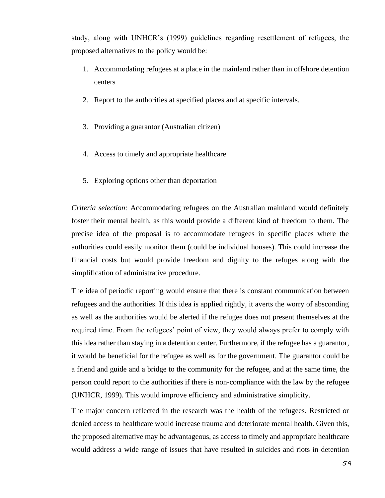study, along with UNHCR's (1999) guidelines regarding resettlement of refugees, the proposed alternatives to the policy would be:

- 1. Accommodating refugees at a place in the mainland rather than in offshore detention centers
- 2. Report to the authorities at specified places and at specific intervals.
- 3. Providing a guarantor (Australian citizen)
- 4. Access to timely and appropriate healthcare
- 5. Exploring options other than deportation

*Criteria selection:* Accommodating refugees on the Australian mainland would definitely foster their mental health, as this would provide a different kind of freedom to them. The precise idea of the proposal is to accommodate refugees in specific places where the authorities could easily monitor them (could be individual houses). This could increase the financial costs but would provide freedom and dignity to the refuges along with the simplification of administrative procedure.

The idea of periodic reporting would ensure that there is constant communication between refugees and the authorities. If this idea is applied rightly, it averts the worry of absconding as well as the authorities would be alerted if the refugee does not present themselves at the required time. From the refugees' point of view, they would always prefer to comply with this idea rather than staying in a detention center. Furthermore, if the refugee has a guarantor, it would be beneficial for the refugee as well as for the government. The guarantor could be a friend and guide and a bridge to the community for the refugee, and at the same time, the person could report to the authorities if there is non-compliance with the law by the refugee (UNHCR, 1999). This would improve efficiency and administrative simplicity.

The major concern reflected in the research was the health of the refugees. Restricted or denied access to healthcare would increase trauma and deteriorate mental health. Given this, the proposed alternative may be advantageous, as access to timely and appropriate healthcare would address a wide range of issues that have resulted in suicides and riots in detention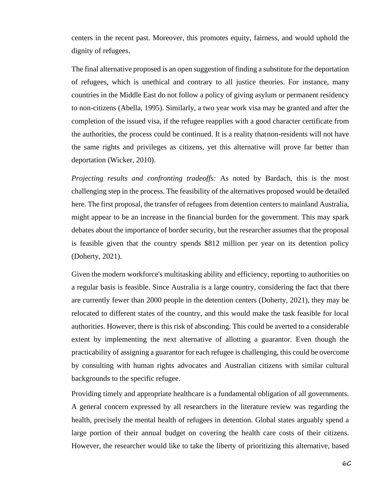centers in the recent past. Moreover, this promotes equity, fairness, and would uphold the dignity of refugees.

The final alternative proposed is an open suggestion of finding a substitute for the deportation of refugees, which is unethical and contrary to all justice theories. For instance, many countries in the Middle East do not follow a policy of giving asylum or permanent residency to non-citizens (Abella, 1995). Similarly, a two year work visa may be granted and after the completion of the issued visa, if the refugee reapplies with a good character certificate from the authorities, the process could be continued. It is a reality thatnon-residents will not have the same rights and privileges as citizens, yet this alternative will prove far better than deportation (Wicker, 2010).

*Projecting results and confronting tradeoffs:* As noted by Bardach, this is the most challenging step in the process. The feasibility of the alternatives proposed would be detailed here. The first proposal, the transfer of refugees from detention centers to mainland Australia, might appear to be an increase in the financial burden for the government. This may spark debates about the importance of border security, but the researcher assumes that the proposal is feasible given that the country spends \$812 million per year on its detention policy (Doherty, 2021).

Given the modern workforce's multitasking ability and efficiency, reporting to authorities on a regular basis is feasible. Since Australia is a large country, considering the fact that there are currently fewer than 2000 people in the detention centers (Doherty, 2021), they may be relocated to different states of the country, and this would make the task feasible for local authorities. However, there is this risk of absconding. This could be averted to a considerable extent by implementing the next alternative of allotting a guarantor. Even though the practicability of assigning a guarantor for each refugee is challenging, this could be overcome by consulting with human rights advocates and Australian citizens with similar cultural backgrounds to the specific refugee.

Providing timely and appropriate healthcare is a fundamental obligation of all governments. A general concern expressed by all researchers in the literature review was regarding the health, precisely the mental health of refugees in detention. Global states arguably spend a large portion of their annual budget on covering the health care costs of their citizens. However, the researcher would like to take the liberty of prioritizing this alternative, based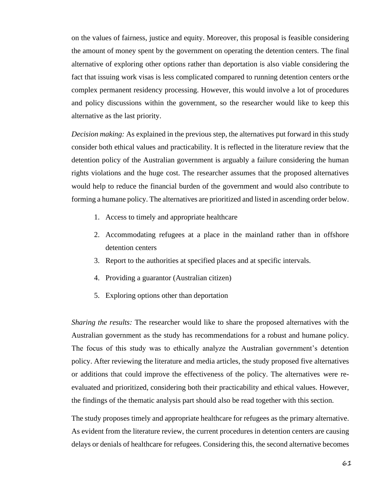on the values of fairness, justice and equity. Moreover, this proposal is feasible considering the amount of money spent by the government on operating the detention centers. The final alternative of exploring other options rather than deportation is also viable considering the fact that issuing work visas is less complicated compared to running detention centers orthe complex permanent residency processing. However, this would involve a lot of procedures and policy discussions within the government, so the researcher would like to keep this alternative as the last priority.

*Decision making:* As explained in the previous step, the alternatives put forward in this study consider both ethical values and practicability. It is reflected in the literature review that the detention policy of the Australian government is arguably a failure considering the human rights violations and the huge cost. The researcher assumes that the proposed alternatives would help to reduce the financial burden of the government and would also contribute to forming a humane policy. The alternatives are prioritized and listed in ascending order below.

- 1. Access to timely and appropriate healthcare
- 2. Accommodating refugees at a place in the mainland rather than in offshore detention centers
- 3. Report to the authorities at specified places and at specific intervals.
- 4. Providing a guarantor (Australian citizen)
- 5. Exploring options other than deportation

*Sharing the results:* The researcher would like to share the proposed alternatives with the Australian government as the study has recommendations for a robust and humane policy. The focus of this study was to ethically analyze the Australian government's detention policy. After reviewing the literature and media articles, the study proposed five alternatives or additions that could improve the effectiveness of the policy. The alternatives were reevaluated and prioritized, considering both their practicability and ethical values. However, the findings of the thematic analysis part should also be read together with this section.

The study proposes timely and appropriate healthcare for refugees as the primary alternative. As evident from the literature review, the current procedures in detention centers are causing delays or denials of healthcare for refugees. Considering this, the second alternative becomes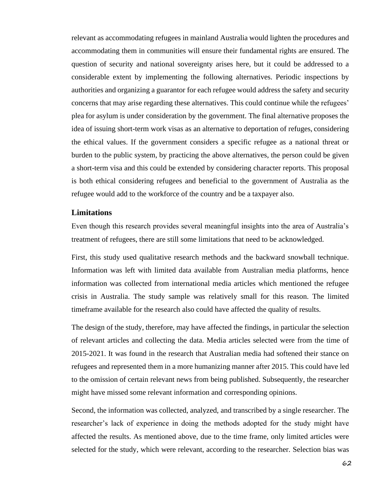relevant as accommodating refugees in mainland Australia would lighten the procedures and accommodating them in communities will ensure their fundamental rights are ensured. The question of security and national sovereignty arises here, but it could be addressed to a considerable extent by implementing the following alternatives. Periodic inspections by authorities and organizing a guarantor for each refugee would address the safety and security concerns that may arise regarding these alternatives. This could continue while the refugees' plea for asylum is under consideration by the government. The final alternative proposes the idea of issuing short-term work visas as an alternative to deportation of refuges, considering the ethical values. If the government considers a specific refugee as a national threat or burden to the public system, by practicing the above alternatives, the person could be given a short-term visa and this could be extended by considering character reports. This proposal is both ethical considering refugees and beneficial to the government of Australia as the refugee would add to the workforce of the country and be a taxpayer also.

#### **Limitations**

Even though this research provides several meaningful insights into the area of Australia's treatment of refugees, there are still some limitations that need to be acknowledged.

First, this study used qualitative research methods and the backward snowball technique. Information was left with limited data available from Australian media platforms, hence information was collected from international media articles which mentioned the refugee crisis in Australia. The study sample was relatively small for this reason. The limited timeframe available for the research also could have affected the quality of results.

The design of the study, therefore, may have affected the findings, in particular the selection of relevant articles and collecting the data. Media articles selected were from the time of 2015-2021. It was found in the research that Australian media had softened their stance on refugees and represented them in a more humanizing manner after 2015. This could have led to the omission of certain relevant news from being published. Subsequently, the researcher might have missed some relevant information and corresponding opinions.

Second, the information was collected, analyzed, and transcribed by a single researcher. The researcher's lack of experience in doing the methods adopted for the study might have affected the results. As mentioned above, due to the time frame, only limited articles were selected for the study, which were relevant, according to the researcher. Selection bias was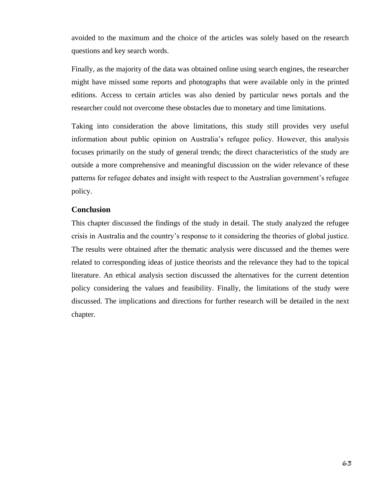avoided to the maximum and the choice of the articles was solely based on the research questions and key search words.

Finally, as the majority of the data was obtained online using search engines, the researcher might have missed some reports and photographs that were available only in the printed editions. Access to certain articles was also denied by particular news portals and the researcher could not overcome these obstacles due to monetary and time limitations.

Taking into consideration the above limitations, this study still provides very useful information about public opinion on Australia's refugee policy. However, this analysis focuses primarily on the study of general trends; the direct characteristics of the study are outside a more comprehensive and meaningful discussion on the wider relevance of these patterns for refugee debates and insight with respect to the Australian government's refugee policy.

# **Conclusion**

This chapter discussed the findings of the study in detail. The study analyzed the refugee crisis in Australia and the country's response to it considering the theories of global justice. The results were obtained after the thematic analysis were discussed and the themes were related to corresponding ideas of justice theorists and the relevance they had to the topical literature. An ethical analysis section discussed the alternatives for the current detention policy considering the values and feasibility. Finally, the limitations of the study were discussed. The implications and directions for further research will be detailed in the next chapter.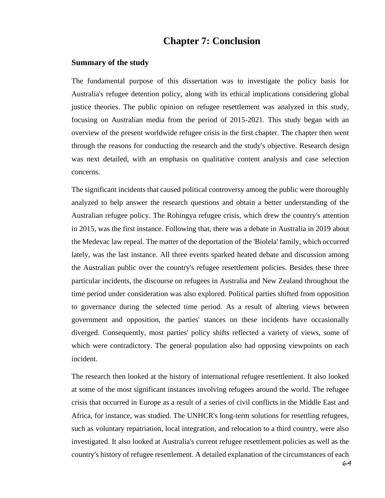# **Chapter 7: Conclusion**

#### **Summary of the study**

The fundamental purpose of this dissertation was to investigate the policy basis for Australia's refugee detention policy, along with its ethical implications considering global justice theories. The public opinion on refugee resettlement was analyzed in this study, focusing on Australian media from the period of 2015-2021. This study began with an overview of the present worldwide refugee crisis in the first chapter. The chapter then went through the reasons for conducting the research and the study's objective. Research design was next detailed, with an emphasis on qualitative content analysis and case selection concerns.

The significant incidents that caused political controversy among the public were thoroughly analyzed to help answer the research questions and obtain a better understanding of the Australian refugee policy. The Rohingya refugee crisis, which drew the country's attention in 2015, was the first instance. Following that, there was a debate in Australia in 2019 about the Medevac law repeal. The matter of the deportation of the 'Biolela' family, which occurred lately, was the last instance. All three events sparked heated debate and discussion among the Australian public over the country's refugee resettlement policies. Besides these three particular incidents, the discourse on refugees in Australia and New Zealand throughout the time period under consideration was also explored. Political parties shifted from opposition to governance during the selected time period. As a result of altering views between government and opposition, the parties' stances on these incidents have occasionally diverged. Consequently, most parties' policy shifts reflected a variety of views, some of which were contradictory. The general population also had opposing viewpoints on each incident.

The research then looked at the history of international refugee resettlement. It also looked at some of the most significant instances involving refugees around the world. The refugee crisis that occurred in Europe as a result of a series of civil conflicts in the Middle East and Africa, for instance, was studied. The UNHCR's long-term solutions for resettling refugees, such as voluntary repatriation, local integration, and relocation to a third country, were also investigated. It also looked at Australia's current refugee resettlement policies as well as the country's history of refugee resettlement. A detailed explanation of the circumstances of each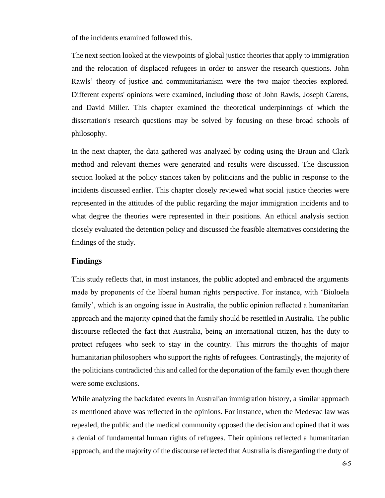of the incidents examined followed this.

The next section looked at the viewpoints of global justice theories that apply to immigration and the relocation of displaced refugees in order to answer the research questions. John Rawls' theory of justice and communitarianism were the two major theories explored. Different experts' opinions were examined, including those of John Rawls, Joseph Carens, and David Miller. This chapter examined the theoretical underpinnings of which the dissertation's research questions may be solved by focusing on these broad schools of philosophy.

In the next chapter, the data gathered was analyzed by coding using the Braun and Clark method and relevant themes were generated and results were discussed. The discussion section looked at the policy stances taken by politicians and the public in response to the incidents discussed earlier. This chapter closely reviewed what social justice theories were represented in the attitudes of the public regarding the major immigration incidents and to what degree the theories were represented in their positions. An ethical analysis section closely evaluated the detention policy and discussed the feasible alternatives considering the findings of the study.

# **Findings**

This study reflects that, in most instances, the public adopted and embraced the arguments made by proponents of the liberal human rights perspective. For instance, with 'Bioloela family', which is an ongoing issue in Australia, the public opinion reflected a humanitarian approach and the majority opined that the family should be resettled in Australia. The public discourse reflected the fact that Australia, being an international citizen, has the duty to protect refugees who seek to stay in the country. This mirrors the thoughts of major humanitarian philosophers who support the rights of refugees. Contrastingly, the majority of the politicians contradicted this and called for the deportation of the family even though there were some exclusions.

While analyzing the backdated events in Australian immigration history, a similar approach as mentioned above was reflected in the opinions. For instance, when the Medevac law was repealed, the public and the medical community opposed the decision and opined that it was a denial of fundamental human rights of refugees. Their opinions reflected a humanitarian approach, and the majority of the discourse reflected that Australia is disregarding the duty of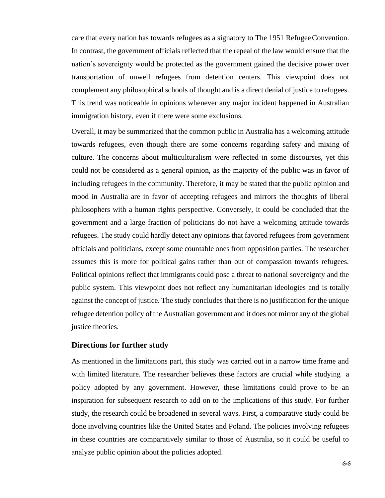care that every nation has towards refugees as a signatory to The 1951 Refugee Convention. In contrast, the government officials reflected that the repeal of the law would ensure that the nation's sovereignty would be protected as the government gained the decisive power over transportation of unwell refugees from detention centers. This viewpoint does not complement any philosophical schools of thought and is a direct denial of justice to refugees. This trend was noticeable in opinions whenever any major incident happened in Australian immigration history, even if there were some exclusions.

Overall, it may be summarized that the common public in Australia has a welcoming attitude towards refugees, even though there are some concerns regarding safety and mixing of culture. The concerns about multiculturalism were reflected in some discourses, yet this could not be considered as a general opinion, as the majority of the public was in favor of including refugees in the community. Therefore, it may be stated that the public opinion and mood in Australia are in favor of accepting refugees and mirrors the thoughts of liberal philosophers with a human rights perspective. Conversely, it could be concluded that the government and a large fraction of politicians do not have a welcoming attitude towards refugees. The study could hardly detect any opinions that favored refugees from government officials and politicians, except some countable ones from opposition parties. The researcher assumes this is more for political gains rather than out of compassion towards refugees. Political opinions reflect that immigrants could pose a threat to national sovereignty and the public system. This viewpoint does not reflect any humanitarian ideologies and is totally against the concept of justice. The study concludes that there is no justification for the unique refugee detention policy of the Australian government and it does not mirror any of the global justice theories.

#### **Directions for further study**

As mentioned in the limitations part, this study was carried out in a narrow time frame and with limited literature. The researcher believes these factors are crucial while studying a policy adopted by any government. However, these limitations could prove to be an inspiration for subsequent research to add on to the implications of this study. For further study, the research could be broadened in several ways. First, a comparative study could be done involving countries like the United States and Poland. The policies involving refugees in these countries are comparatively similar to those of Australia, so it could be useful to analyze public opinion about the policies adopted.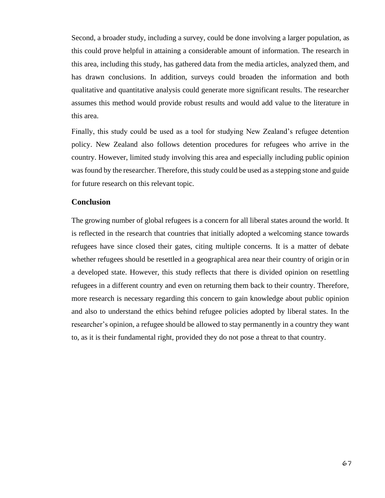Second, a broader study, including a survey, could be done involving a larger population, as this could prove helpful in attaining a considerable amount of information. The research in this area, including this study, has gathered data from the media articles, analyzed them, and has drawn conclusions. In addition, surveys could broaden the information and both qualitative and quantitative analysis could generate more significant results. The researcher assumes this method would provide robust results and would add value to the literature in this area.

Finally, this study could be used as a tool for studying New Zealand's refugee detention policy. New Zealand also follows detention procedures for refugees who arrive in the country. However, limited study involving this area and especially including public opinion was found by the researcher. Therefore, this study could be used as a stepping stone and guide for future research on this relevant topic.

## **Conclusion**

The growing number of global refugees is a concern for all liberal states around the world. It is reflected in the research that countries that initially adopted a welcoming stance towards refugees have since closed their gates, citing multiple concerns. It is a matter of debate whether refugees should be resettled in a geographical area near their country of origin orin a developed state. However, this study reflects that there is divided opinion on resettling refugees in a different country and even on returning them back to their country. Therefore, more research is necessary regarding this concern to gain knowledge about public opinion and also to understand the ethics behind refugee policies adopted by liberal states. In the researcher's opinion, a refugee should be allowed to stay permanently in a country they want to, as it is their fundamental right, provided they do not pose a threat to that country.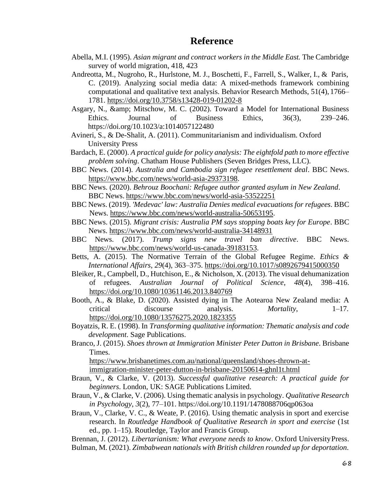- Abella, M.I. (1995). *Asian migrant and contract workers in the Middle East.* The Cambridge survey of world migration, 418, 423
- Andreotta, M., Nugroho, R., Hurlstone, M. J., Boschetti, F., Farrell, S., Walker, I., & Paris, C. (2019). Analyzing social media data: A mixed-methods framework combining computational and qualitative text analysis. Behavior Research Methods, 51(4), 1766– 1781. <https://doi.org/10.3758/s13428-019-01202-8>
- Asgary, N., & amp; Mitschow, M. C. (2002). Toward a Model for International Business Ethics. Journal of Business Ethics, 36(3), 239–246. https://doi.org/10.1023/a:1014057122480
- Avineri, S., & De-Shalit, A. (2011). Communitarianism and individualism. Oxford University Press
- Bardach, E. (2000). *A practical guide for policy analysis: The eightfold path to more effective problem solving*. Chatham House Publishers (Seven Bridges Press, LLC).
- BBC News. (2014). *Australia and Cambodia sign refugee resettlement deal*. BBC News. [https://www.bbc.com/news/world-asia-29373198.](https://www.bbc.com/news/world-asia-29373198)
- BBC News. (2020). *Behrouz Boochani: Refugee author granted asylum in New Zealand*. BBC News. <https://www.bbc.com/news/world-asia-53522251>
- BBC News. (2019). *'Medevac' law: Australia Denies medical evacuations for refugees*. BBC News. [https://www.bbc.com/news/world-australia-50653195.](https://www.bbc.com/news/world-australia-50653195)
- BBC News. (2015). *Migrant crisis: Australia PM says stopping boats key for Europe*. BBC News.<https://www.bbc.com/news/world-australia-34148931>
- BBC News. (2017). *Trump signs new travel ban directive*. BBC News. [https://www.bbc.com/news/world-us-canada-39183153.](https://www.bbc.com/news/world-us-canada-39183153)
- Betts, A. (2015). The Normative Terrain of the Global Refugee Regime. *Ethics & International Affairs*, *29*(4), 363–375.<https://doi.org/10.1017/s0892679415000350>
- Bleiker, R., Campbell, D., Hutchison, E., & Nicholson, X. (2013). The visual dehumanization of refugees. *Australian Journal of Political Science*, *48*(4), 398–416. <https://doi.org/10.1080/10361146.2013.840769>
- Booth, A., & Blake, D. (2020). Assisted dying in The Aotearoa New Zealand media: A critical discourse analysis. *Mortality*, 1–17. <https://doi.org/10.1080/13576275.2020.1823355>
- Boyatzis, R. E. (1998). In *Transforming qualitative information: Thematic analysis and code development*. Sage Publications.
- Branco, J. (2015). *Shoes thrown at Immigration Minister Peter Dutton in Brisbane*. Brisbane Times.

[https://www.brisbanetimes.com.au/national/queensland/shoes-thrown-at](https://www.brisbanetimes.com.au/national/queensland/shoes-thrown-at-immigration-minister-peter-dutton-in-brisbane-20150614-ghnl1t.html)[immigration-minister-peter-dutton-in-brisbane-20150614-ghnl1t.html](https://www.brisbanetimes.com.au/national/queensland/shoes-thrown-at-immigration-minister-peter-dutton-in-brisbane-20150614-ghnl1t.html)

- Braun, V., & Clarke, V. (2013). *Successful qualitative research: A practical guide for beginners*. London, UK: SAGE Publications Limited.
- Braun, V., & Clarke, V. (2006). Using thematic analysis in psychology. *Qualitative Research in Psychology*, *3*(2), 77–101. <https://doi.org/10.1191/1478088706qp063oa>
- Braun, V., Clarke, V. C., & Weate, P. (2016). Using thematic analysis in sport and exercise research. In *Routledge Handbook of Qualitative Research in sport and exercise* (1st ed., pp. 1–15). Routledge, Taylor and Francis Group.

Brennan, J. (2012). *Libertarianism: What everyone needs to know*. Oxford UniversityPress. Bulman, M. (2021). *Zimbabwean nationals with British children rounded up for deportation*.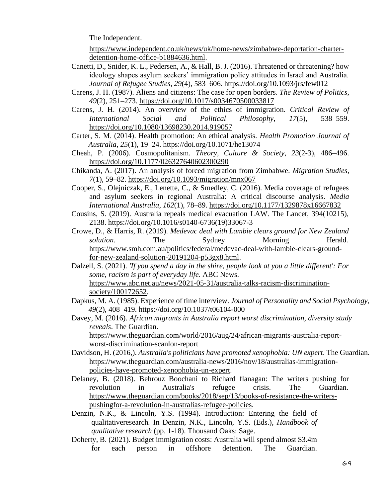The Independent.

[https://www.independent.co.uk/news/uk/home-news/zimbabwe-deportation-charter](https://www.independent.co.uk/news/uk/home-news/zimbabwe-deportation-charter-detention-home-office-b1884636.html)[detention-home-office-b1884636.html.](https://www.independent.co.uk/news/uk/home-news/zimbabwe-deportation-charter-detention-home-office-b1884636.html)

- Canetti, D., Snider, K. L., Pedersen, A., & Hall, B. J. (2016). Threatened or threatening? how ideology shapes asylum seekers' immigration policy attitudes in Israel and Australia. *Journal of Refugee Studies*, *29*(4), 583–606. <https://doi.org/10.1093/jrs/few012>
- Carens, J. H. (1987). Aliens and citizens: The case for open borders. *The Review of Politics*, *49*(2), 251–273.<https://doi.org/10.1017/s0034670500033817>
- Carens, J. H. (2014). An overview of the ethics of immigration. *Critical Review of International Social and Political Philosophy*, *17*(5), 538–559. <https://doi.org/10.1080/13698230.2014.919057>
- Carter, S. M. (2014). Health promotion: An ethical analysis. *Health Promotion Journal of Australia*, *25*(1), 19–24. https://doi.org/10.1071/he13074
- Cheah, P. (2006). Cosmopolitanism. *Theory, Culture & Society*, *23*(2-3), 486–496. <https://doi.org/10.1177/026327640602300290>
- Chikanda, A. (2017). An analysis of forced migration from Zimbabwe. *Migration Studies*, *7*(1), 59–82.<https://doi.org/10.1093/migration/mnx067>
- Cooper, S., Olejniczak, E., Lenette, C., & Smedley, C. (2016). Media coverage of refugees and asylum seekers in regional Australia: A critical discourse analysis. *Media International Australia*, *162*(1), 78–89. <https://doi.org/10.1177/1329878x16667832>
- Cousins, S. (2019). Australia repeals medical evacuation LAW. The Lancet, 394(10215), [2138. https://doi.org/10.1016/s0140-6736\(19\)33067-3](https://doi.org/10.1016/s0140-6736(19)33067-3)
- Crowe, D., & Harris, R. (2019). *Medevac deal with Lambie clears ground for New Zealand solution*. The Sydney Morning Herald. [https://www.smh.com.au/politics/federal/medevac-deal-with-lambie-clears-ground](https://www.smh.com.au/politics/federal/medevac-deal-with-lambie-clears-ground-for-new-zealand-solution-20191204-p53gx8.html)[for-new-zealand-solution-20191204-p53gx8.html.](https://www.smh.com.au/politics/federal/medevac-deal-with-lambie-clears-ground-for-new-zealand-solution-20191204-p53gx8.html)
- Dalzell, S. (2021). *'If you spend a day in the shire, people look at you a little different': For some, racism is part of everyday life*. ABC News. [https://www.abc.net.au/news/2021-05-31/australia-talks-racism-discrimination](https://www.abc.net.au/news/2021-05-31/australia-talks-racism-discrimination-society/100172652)[society/100172652.](https://www.abc.net.au/news/2021-05-31/australia-talks-racism-discrimination-society/100172652)
- Dapkus, M. A. (1985). Experience of time interview. *Journal of Personality and Social Psychology*, *49*(2), 408–419. https://doi.org/10.1037/t06104-000
- Davey, M. (2016). *African migrants in Australia report worst discrimination, diversity study reveals*. The Guardian.

ht[tps://www.theguardian.com/world/2016/aug/24/african-migrants-australia-report](http://www.theguardian.com/world/2016/aug/24/african-migrants-australia-report-)worst-discrimination-scanlon-report

- Davidson, H. (2016,). *Australia's politicians have promoted xenophobia: UN expert*. The Guardian. [https://www.theguardian.com/australia-news/2016/nov/18/australias-immigration](https://www.theguardian.com/australia-news/2016/nov/18/australias-immigration-policies-have-promoted-xenophobia-un-expert)[policies-have-promoted-xenophobia-un-expert.](https://www.theguardian.com/australia-news/2016/nov/18/australias-immigration-policies-have-promoted-xenophobia-un-expert)
- Delaney, B. (2018). Behrouz Boochani to Richard flanagan: The writers pushing for revolution in Australia's refugee crisis. The Guardian. [https://www.theguardian.com/books/2018/sep/13/books-of-resistance-the-writers](https://www.theguardian.com/books/2018/sep/13/books-of-resistance-the-writers-pushingfor-a-revolution-in-australias-refugee-policies)[pushingfor-a-revolution-in-australias-refugee-policies.](https://www.theguardian.com/books/2018/sep/13/books-of-resistance-the-writers-pushingfor-a-revolution-in-australias-refugee-policies)

Denzin, N.K., & Lincoln, Y.S. (1994). Introduction: Entering the field of qualitativeresearch*.* In Denzin, N.K., Lincoln, Y.S. (Eds.), *Handbook of qualitative research* (pp. 1-18). Thousand Oaks: Sage.

Doherty, B. (2021). Budget immigration costs: Australia will spend almost \$3.4m for each person in offshore detention. The Guardian.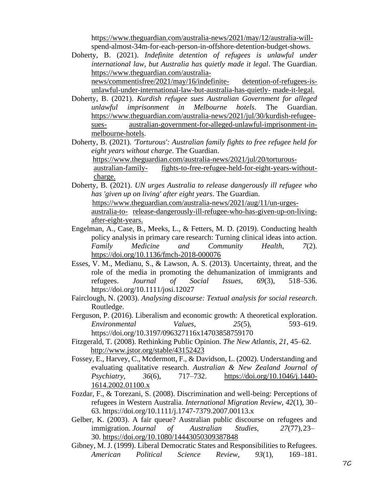ht[tps://www.theguardian.com/australia-news/2021/may/12/australia-will](http://www.theguardian.com/australia-news/2021/may/12/australia-will-)spend-almost-34m-for-each-person-in-offshore-detention-budget-shows.

Doherty, B. (2021). *Indefinite detention of refugees is unlawful under international law, but Australia has quietly made it legal*. The Guardian. [https://www.theguardian.com/australia](https://www.theguardian.com/australia-news/commentisfree/2021/may/16/indefinite-detention-of-refugees-is-unlawful-under-international-law-but-australia-has-quietly-made-it-legal)[news/commentisfree/2021/may/16/indefinite-](https://www.theguardian.com/australia-news/commentisfree/2021/may/16/indefinite-detention-of-refugees-is-unlawful-under-international-law-but-australia-has-quietly-made-it-legal) [detention-of-refugees-is-](https://www.theguardian.com/australia-news/commentisfree/2021/may/16/indefinite-detention-of-refugees-is-unlawful-under-international-law-but-australia-has-quietly-made-it-legal)

[unlawful-under-international-law-but-australia-has-quietly-](https://www.theguardian.com/australia-news/commentisfree/2021/may/16/indefinite-detention-of-refugees-is-unlawful-under-international-law-but-australia-has-quietly-made-it-legal) [made-it-legal.](https://www.theguardian.com/australia-news/commentisfree/2021/may/16/indefinite-detention-of-refugees-is-unlawful-under-international-law-but-australia-has-quietly-made-it-legal)

Doherty, B. (2021). *Kurdish refugee sues Australian Government for alleged unlawful imprisonment in Melbourne hotels*. The Guardian. [https://www.theguardian.com/australia-news/2021/jul/30/kurdish-refugee](https://www.theguardian.com/australia-news/2021/jul/30/kurdish-refugee-sues-australian-government-for-alleged-unlawful-imprisonment-in-melbourne-hotels)[sues-](https://www.theguardian.com/australia-news/2021/jul/30/kurdish-refugee-sues-australian-government-for-alleged-unlawful-imprisonment-in-melbourne-hotels) [australian-government-for-alleged-unlawful-imprisonment-in](https://www.theguardian.com/australia-news/2021/jul/30/kurdish-refugee-sues-australian-government-for-alleged-unlawful-imprisonment-in-melbourne-hotels)[melbourne-hotels.](https://www.theguardian.com/australia-news/2021/jul/30/kurdish-refugee-sues-australian-government-for-alleged-unlawful-imprisonment-in-melbourne-hotels)

Doherty, B. (2021). *'Torturous': Australian family fights to free refugee held for eight years without charge*. The Guardian. [https://www.theguardian.com/australia-news/2021/jul/20/torturous](https://www.theguardian.com/australia-news/2021/jul/20/torturous-australian-family-fights-to-free-refugee-held-for-eight-years-without-charge)[australian-family-](https://www.theguardian.com/australia-news/2021/jul/20/torturous-australian-family-fights-to-free-refugee-held-for-eight-years-without-charge) [fights-to-free-refugee-held-for-eight-years-without](https://www.theguardian.com/australia-news/2021/jul/20/torturous-australian-family-fights-to-free-refugee-held-for-eight-years-without-charge)[charge.](https://www.theguardian.com/australia-news/2021/jul/20/torturous-australian-family-fights-to-free-refugee-held-for-eight-years-without-charge)

Doherty, B. (2021). *UN urges Australia to release dangerously ill refugee who has 'given up on living' after eight years*. The Guardian. [https://www.theguardian.com/australia-news/2021/aug/11/un-urges-](https://www.theguardian.com/australia-news/2021/aug/11/un-urges-australia-to-release-dangerously-ill-refugee-who-has-given-up-on-living-after-eight-years)

[australia-to-](https://www.theguardian.com/australia-news/2021/aug/11/un-urges-australia-to-release-dangerously-ill-refugee-who-has-given-up-on-living-after-eight-years) [release-dangerously-ill-refugee-who-has-given-up-on-living](https://www.theguardian.com/australia-news/2021/aug/11/un-urges-australia-to-release-dangerously-ill-refugee-who-has-given-up-on-living-after-eight-years)[after-eight-years.](https://www.theguardian.com/australia-news/2021/aug/11/un-urges-australia-to-release-dangerously-ill-refugee-who-has-given-up-on-living-after-eight-years)

- Engelman, A., Case, B., Meeks, L., & Fetters, M. D. (2019). Conducting health policy analysis in primary care research: Turning clinical ideas into action. *Family Medicine and Community Health*, *7*(2). <https://doi.org/10.1136/fmch-2018-000076>
- Esses, V. M., Medianu, S., & Lawson, A. S. (2013). Uncertainty, threat, and the role of the media in promoting the dehumanization of immigrants and refugees. *Journal of Social Issues*, *69*(3), 518–536. https://doi.org/10.1111/josi.12027
- Fairclough, N. (2003). *Analysing discourse: Textual analysis for social research*. Routledge.
- Ferguson, P. (2016). Liberalism and economic growth: A theoretical exploration. *Environmental Values*, *25*(5), 593–619. https://doi.org/10.3197/096327116x14703858759170
- Fitzgerald, T. (2008). Rethinking Public Opinion. *The New Atlantis*, *21*, 45–62. <http://www.jstor.org/stable/43152423>
- Fossey, E., Harvey, C., Mcdermott, F., & Davidson, L. (2002). Understanding and evaluating qualitative research. *Australian & New Zealand Journal of Psychiatry*, *36*(6), 717–732. [https://doi.org/10.1046/j.1440-](https://doi.org/10.1046/j.1440-1614.2002.01100.x) [1614.2002.01100.x](https://doi.org/10.1046/j.1440-1614.2002.01100.x)
- Fozdar, F., & Torezani, S. (2008). Discrimination and well-being: Perceptions of refugees in Western Australia. *International Migration Review*, *42*(1), 30– 63. https://doi.org/10.1111/j.1747-7379.2007.00113.x
- Gelber, K. (2003). A fair queue? Australian public discourse on refugees and immigration. *Journal of Australian Studies*, *27*(77),23– 30.<https://doi.org/10.1080/14443050309387848>
- Gibney, M. J. (1999). Liberal Democratic States and Responsibilities to Refugees. *American Political Science Review*, *93*(1), 169–181.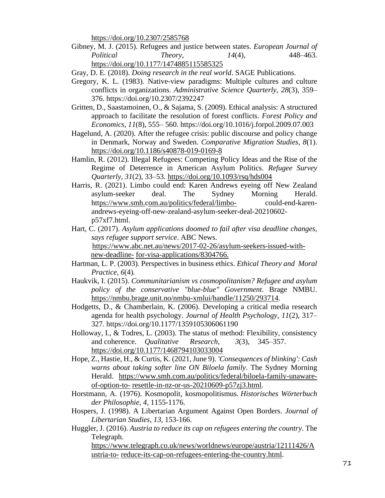<https://doi.org/10.2307/2585768>

Gibney, M. J. (2015). Refugees and justice between states. *European Journal of Political Theory*, *14*(4), 448–463. <https://doi.org/10.1177/1474885115585325>

- Gregory, K. L. (1983). Native-view paradigms: Multiple cultures and culture conflicts in organizations. *Administrative Science Quarterly*, *28*(3), 359– 376. https://doi.org/10.2307/2392247
- Gritten, D., Saastamoinen, O., & Sajama, S. (2009). Ethical analysis: A structured approach to facilitate the resolution of forest conflicts. *Forest Policy and Economics*, *11*(8), 555– 560. https://doi.org/10.1016/j.forpol.2009.07.003
- Hagelund, A. (2020). After the refugee crisis: public discourse and policy change in Denmark, Norway and Sweden. *Comparative Migration Studies*, *8*(1). <https://doi.org/10.1186/s40878-019-0169-8>
- Hamlin, R. (2012). Illegal Refugees: Competing Policy Ideas and the Rise of the Regime of Deterrence in American Asylum Politics. *Refugee Survey Quarterly*, *31*(2), 33–53.<https://doi.org/10.1093/rsq/hds004>
- Harris, R. (2021). Limbo could end: Karen Andrews eyeing off New Zealand asylum-seeker deal. The Sydney Morning Herald. ht[tps://www.smh.com.au/politics/federal/limbo-](http://www.smh.com.au/politics/federal/limbo-) could-end-karenandrews-eyeing-off-new-zealand-asylum-seeker-deal-20210602 p57xf7.html.
- Hart, C. (2017). *Asylum applications doomed to fail after visa deadline changes, says refugee support service*. ABC News. [https://www.abc.net.au/news/2017-02-26/asylum-seekers-issued-with](https://www.abc.net.au/news/2017-02-26/asylum-seekers-issued-with-new-deadline-for-visa-applications/8304766)[new-deadline-](https://www.abc.net.au/news/2017-02-26/asylum-seekers-issued-with-new-deadline-for-visa-applications/8304766) [for-visa-applications/8304766.](https://www.abc.net.au/news/2017-02-26/asylum-seekers-issued-with-new-deadline-for-visa-applications/8304766)
- Hartman, L. P. (2003). Perspectives in business ethics. *Ethical Theory and Moral Practice*, *6*(4).
- Haukvik, I. (2015). *Communitarianism vs cosmopolitanism? Refugee and asylum policy of the conservative "blue-blue" Government*. Brage NMBU. [https://nmbu.brage.unit.no/nmbu-xmlui/handle/11250/293714.](https://nmbu.brage.unit.no/nmbu-xmlui/handle/11250/293714)
- Hodgetts, D., & Chamberlain, K. (2006). Developing a critical media research agenda for health psychology. *Journal of Health Psychology*, *11*(2), 317– 327. https://doi.org/10.1177/1359105306061190
- Holloway, I., & Todres, L. (2003). The status of method: Flexibility, consistency and coherence. *Qualitative Research*, *3*(3), 345–357. <https://doi.org/10.1177/1468794103033004>
- Hope, Z., Hastie, H., & Curtis, K. (2021, June 9). *'Consequences of blinking': Cash warns about taking softer line ON Biloela family*. The Sydney Morning Herald. [https://www.smh.com.au/politics/federal/biloela-family-unaware](https://www.smh.com.au/politics/federal/biloela-family-unaware-of-option-to-resettle-in-nz-or-us-20210609-p57zj3.html)[of-option-to-](https://www.smh.com.au/politics/federal/biloela-family-unaware-of-option-to-resettle-in-nz-or-us-20210609-p57zj3.html) [resettle-in-nz-or-us-20210609-p57zj3.html.](https://www.smh.com.au/politics/federal/biloela-family-unaware-of-option-to-resettle-in-nz-or-us-20210609-p57zj3.html)
- Horstmann, A. (1976). Kosmopolit, kosmopolitismus. *Historisches Wörterbuch der Philosophie*, *4*, 1155-1176.
- Hospers, J. (1998). A Libertarian Argument Against Open Borders. *Journal of Libertarian Studies, 13,* 153-166.
- Huggler, J. (2016). *Austria to reduce its cap on refugees entering the country*. The Telegraph.

[https://www.telegraph.co.uk/news/worldnews/europe/austria/12111426/A](https://www.telegraph.co.uk/news/worldnews/europe/austria/12111426/Austria-to-reduce-its-cap-on-refugees-entering-the-country.html) [ustria-to-](https://www.telegraph.co.uk/news/worldnews/europe/austria/12111426/Austria-to-reduce-its-cap-on-refugees-entering-the-country.html) [reduce-its-cap-on-refugees-entering-the-country.html.](https://www.telegraph.co.uk/news/worldnews/europe/austria/12111426/Austria-to-reduce-its-cap-on-refugees-entering-the-country.html)

Gray, D. E. (2018). *Doing research in the real world*. SAGE Publications.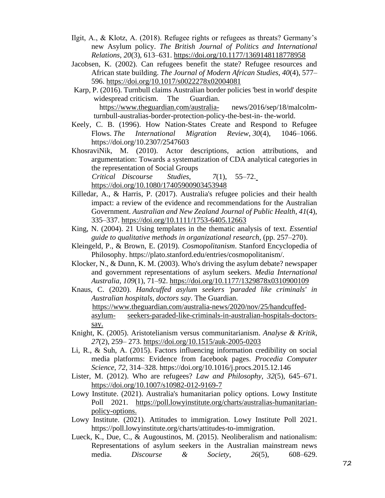- Ilgit, A., & Klotz, A. (2018). Refugee rights or refugees as threats? Germany's new Asylum policy. *The British Journal of Politics and International Relations*, *20*(3), 613–631.<https://doi.org/10.1177/1369148118778958>
- Jacobsen, K. (2002). Can refugees benefit the state? Refugee resources and African state building. *The Journal of Modern African Studies*, *40*(4), 577– 596.<https://doi.org/10.1017/s0022278x02004081>
- Karp, P. (2016). Turnbull claims Australian border policies 'best in world' despite widespread criticism. The Guardian. ht[tps://www.theguardian.com/australia-](http://www.theguardian.com/australia-) news/2016/sep/18/malcolmturnbull-australias-border-protection-policy-the-best-in- the-world.
- Keely, C. B. (1996). How Nation-States Create and Respond to Refugee Flows. *The International Migration Review*, *30*(4), 1046–1066. https://doi.org/10.2307/2547603
- KhosraviNik, M. (2010). Actor descriptions, action attributions, and argumentation: Towards a systematization of CDA analytical categories in the representation of Social Groups *Critical Discourse Studies*, *7*(1), 55–72.

<https://doi.org/10.1080/17405900903453948>

- Killedar, A., & Harris, P. (2017). Australia's refugee policies and their health impact: a review of the evidence and recommendations for the Australian Government. *Australian and New Zealand Journal of Public Health*, *41*(4), 335–337.<https://doi.org/10.1111/1753-6405.12663>
- King, N. (2004). 21 Using templates in the thematic analysis of text. *Essential guide to qualitative methods in organizational research*, (pp. 257–270).
- Kleingeld, P., & Brown, E. (2019). *Cosmopolitanism*. Stanford Encyclopedia of Philosophy. https://plato.stanford.edu/entries/cosmopolitanism/.
- Klocker, N., & Dunn, K. M. (2003). Who's driving the asylum debate? newspaper and government representations of asylum seekers. *Media International Australia*, *109*(1), 71–92.<https://doi.org/10.1177/1329878x0310900109>
- Knaus, C. (2020). *Handcuffed asylum seekers 'paraded like criminals' in Australian hospitals, doctors say*. The Guardian. [https://www.theguardian.com/australia-news/2020/nov/25/handcuffed](https://www.theguardian.com/australia-news/2020/nov/25/handcuffed-asylum-seekers-paraded-like-criminals-in-australian-hospitals-doctors-say)[asylum-](https://www.theguardian.com/australia-news/2020/nov/25/handcuffed-asylum-seekers-paraded-like-criminals-in-australian-hospitals-doctors-say) [seekers-paraded-like-criminals-in-australian-hospitals-doctors](https://www.theguardian.com/australia-news/2020/nov/25/handcuffed-asylum-seekers-paraded-like-criminals-in-australian-hospitals-doctors-say)[say.](https://www.theguardian.com/australia-news/2020/nov/25/handcuffed-asylum-seekers-paraded-like-criminals-in-australian-hospitals-doctors-say)
- Knight, K. (2005). Aristotelianism versus communitarianism. *Analyse & Kritik*, *27*(2), 259– 273.<https://doi.org/10.1515/auk-2005-0203>
- Li, R., & Suh, A. (2015). Factors influencing information credibility on social media platforms: Evidence from facebook pages. *Procedia Computer Science*, *72*, 314–328. https://doi.org/10.1016/j.procs.2015.12.146
- Lister, M. (2012). Who are refugees? *Law and Philosophy*, *32*(5), 645–671. <https://doi.org/10.1007/s10982-012-9169-7>
- Lowy Institute. (2021). Australia's humanitarian policy options. Lowy Institute Poll 2021. [https://poll.lowyinstitute.org/charts/australias-humanitarian](https://poll.lowyinstitute.org/charts/australias-humanitarian-policy-options)[policy-options.](https://poll.lowyinstitute.org/charts/australias-humanitarian-policy-options)
- Lowy Institute. (2021). Attitudes to immigration. Lowy Institute Poll 2021. https://poll.lowyinstitute.org/charts/attitudes-to-immigration.
- Lueck, K., Due, C., & Augoustinos, M. (2015). Neoliberalism and nationalism: Representations of asylum seekers in the Australian mainstream news media. *Discourse & Society*, *26*(5), 608–629.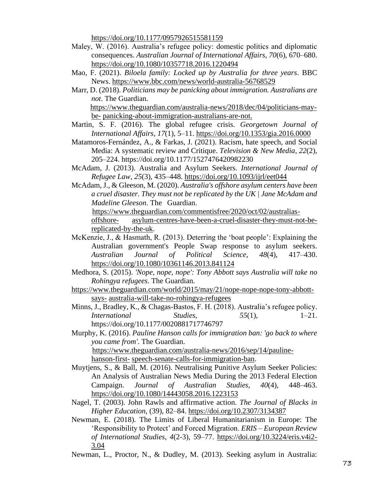<https://doi.org/10.1177/0957926515581159>

- Maley, W. (2016). Australia's refugee policy: domestic politics and diplomatic consequences. *Australian Journal of International Affairs*, *70*(6), 670–680. <https://doi.org/10.1080/10357718.2016.1220494>
- Mao, F. (2021). *Biloela family: Locked up by Australia for three years*. BBC News.<https://www.bbc.com/news/world-australia-56768529>
- Marr, D. (2018). *Politicians may be panicking about immigration. Australians are not*. The Guardian. [https://www.theguardian.com/australia-news/2018/dec/04/politicians-may-](https://www.theguardian.com/australia-news/2018/dec/04/politicians-may-be-panicking-about-immigration-australians-are-not)

[be-](https://www.theguardian.com/australia-news/2018/dec/04/politicians-may-be-panicking-about-immigration-australians-are-not) [panicking-about-immigration-australians-are-not.](https://www.theguardian.com/australia-news/2018/dec/04/politicians-may-be-panicking-about-immigration-australians-are-not)

- Martin, S. F. (2016). The global refugee crisis. *Georgetown Journal of International Affairs*, *17*(1), 5–11.<https://doi.org/10.1353/gia.2016.0000>
- Matamoros-Fernández, A., & Farkas, J. (2021). Racism, hate speech, and Social Media: A systematic review and Critique. *Television & New Media*, *22*(2), 205–224. https://doi.org/10.1177/1527476420982230
- McAdam, J. (2013). Australia and Asylum Seekers. *International Journal of Refugee Law*, *25*(3), 435–448.<https://doi.org/10.1093/ijrl/eet044>
- McAdam, J., & Gleeson, M. (2020). *Australia's offshore asylum centers have been a cruel disaster. They must not be replicated by the UK | Jane McAdam and Madeline Gleeson*. The Guardian.

 [https://www.theguardian.com/commentisfree/2020/oct/02/australias](https://www.theguardian.com/commentisfree/2020/oct/02/australias-offshore-asylum-centres-have-been-a-cruel-disaster-they-must-not-be-replicated-by-the-uk)[offshore-](https://www.theguardian.com/commentisfree/2020/oct/02/australias-offshore-asylum-centres-have-been-a-cruel-disaster-they-must-not-be-replicated-by-the-uk) [asylum-centres-have-been-a-cruel-disaster-they-must-not-be](https://www.theguardian.com/commentisfree/2020/oct/02/australias-offshore-asylum-centres-have-been-a-cruel-disaster-they-must-not-be-replicated-by-the-uk)[replicated-by-the-uk.](https://www.theguardian.com/commentisfree/2020/oct/02/australias-offshore-asylum-centres-have-been-a-cruel-disaster-they-must-not-be-replicated-by-the-uk)

- McKenzie, J., & Hasmath, R. (2013). Deterring the 'boat people': Explaining the Australian government's People Swap response to asylum seekers. *Australian Journal of Political Science*, *48*(4), 417–430. <https://doi.org/10.1080/10361146.2013.841124>
- Medhora, S. (2015). *'Nope, nope, nope': Tony Abbott says Australia will take no Rohingya refugees*. The Guardian.
- [https://www.theguardian.com/world/2015/may/21/nope-nope-nope-tony-abbott](https://www.theguardian.com/world/2015/may/21/nope-nope-nope-tony-abbott-says-australia-will-take-no-rohingya-refugees)[says-](https://www.theguardian.com/world/2015/may/21/nope-nope-nope-tony-abbott-says-australia-will-take-no-rohingya-refugees) [australia-will-take-no-rohingya-refugees](https://www.theguardian.com/world/2015/may/21/nope-nope-nope-tony-abbott-says-australia-will-take-no-rohingya-refugees)
- Minns, J., Bradley, K., & Chagas-Bastos, F. H. (2018). Australia's refugee policy. *International Studies*, 55(1), 1–21. https://doi.org/10.1177/0020881717746797

Murphy, K. (2016). *Pauline Hanson calls for immigration ban: 'go back to where you came from'*. The Guardian. [https://www.theguardian.com/australia-news/2016/sep/14/pauline-](https://www.theguardian.com/australia-news/2016/sep/14/pauline-hanson-first-speech-senate-calls-for-immigration-ban)

[hanson-first-](https://www.theguardian.com/australia-news/2016/sep/14/pauline-hanson-first-speech-senate-calls-for-immigration-ban) [speech-senate-calls-for-immigration-ban.](https://www.theguardian.com/australia-news/2016/sep/14/pauline-hanson-first-speech-senate-calls-for-immigration-ban)

- Muytjens, S., & Ball, M. (2016). Neutralising Punitive Asylum Seeker Policies: An Analysis of Australian News Media During the 2013 Federal Election Campaign. *Journal of Australian Studies*, *40*(4), 448–463. <https://doi.org/10.1080/14443058.2016.1223153>
- Nagel, T. (2003). John Rawls and affirmative action. *The Journal of Blacks in Higher Education*, (39), 82–84.<https://doi.org/10.2307/3134387>
- Newman, E. (2018). The Limits of Liberal Humanitarianism in Europe: The 'Responsibility to Protect' and Forced Migration. *ERIS – European Review of International Studies*, *4*(2-3), 59–77. [https://doi.org/10.3224/eris.v4i2-](https://doi.org/10.3224/eris.v4i2-3.04) [3.04](https://doi.org/10.3224/eris.v4i2-3.04)
- Newman, L., Proctor, N., & Dudley, M. (2013). Seeking asylum in Australia: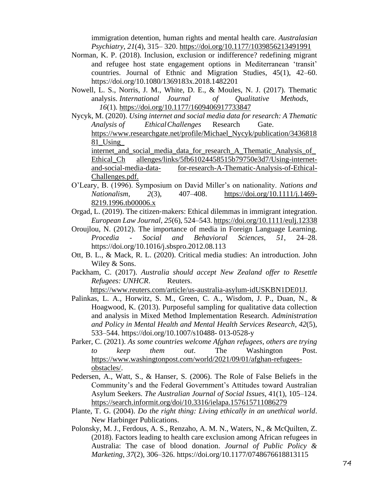immigration detention, human rights and mental health care. *Australasian Psychiatry*, *21*(4), 315– 320.<https://doi.org/10.1177/1039856213491991>

- Norman, K. P. (2018). Inclusion, exclusion or indifference? redefining migrant and refugee host state engagement options in Mediterranean 'transit' countries. Journal of Ethnic and Migration Studies, 45(1), 42–60. https://doi.org/10.1080/1369183x.2018.1482201
- Nowell, L. S., Norris, J. M., White, D. E., & Moules, N. J. (2017). Thematic analysis. *International Journal of Qualitative Methods*, *16*(1).<https://doi.org/10.1177/1609406917733847>
- Nycyk, M. (2020). *Using internet and social media data for research: A Thematic Analysis of EthicalChallenges* Research Gate. https:[//www.researchgate.net/profile/Michael\\_Nycyk/publication/3436818](http://www.researchgate.net/profile/Michael_Nycyk/publication/343681881_Using_) [81\\_Using\\_](http://www.researchgate.net/profile/Michael_Nycyk/publication/343681881_Using_)

internet and social media data for research A Thematic Analysis of Ethical Ch allenges/links/5fb61024458515b79750e3d7/Using-internetand-social-media-data- for-research-A-Thematic-Analysis-of-Ethical-Challenges.pdf.

- O'Leary, B. (1996). Symposium on David Miller's on nationality. *Nations and Nationalism*, *2*(3), 407–408. [https://doi.org/10.1111/j.1469-](https://doi.org/10.1111/j.1469-8219.1996.tb00006.x) [8219.1996.tb00006.x](https://doi.org/10.1111/j.1469-8219.1996.tb00006.x)
- Orgad, L. (2019). The citizen‐makers: Ethical dilemmas in immigrant integration. *European Law Journal*, *25*(6), 524–543.<https://doi.org/10.1111/eulj.12338>
- Oroujlou, N. (2012). The importance of media in Foreign Language Learning. *Procedia - Social and Behavioral Sciences*, *51*, 24–28. https://doi.org/10.1016/j.sbspro.2012.08.113
- Ott, B. L., & Mack, R. L. (2020). Critical media studies: An introduction. John Wiley & Sons.
- Packham, C. (2017). *Australia should accept New Zealand offer to Resettle Refugees: UNHCR*. Reuters.

[https://www.reuters.com/article/us-australia-asylum-idUSKBN1DE01J.](https://www.reuters.com/article/us-australia-asylum-idUSKBN1DE01J)

- Palinkas, L. A., Horwitz, S. M., Green, C. A., Wisdom, J. P., Duan, N., & Hoagwood, K. (2013). Purposeful sampling for qualitative data collection and analysis in Mixed Method Implementation Research. *Administration and Policy in Mental Health and Mental Health Services Research*, *42*(5), 533–544. https://doi.org/10.1007/s10488- 013-0528-y
- Parker, C. (2021). *As some countries welcome Afghan refugees, others are trying to keep them out*. The Washington Post. [https://www.washingtonpost.com/world/2021/09/01/afghan-refugees](https://www.washingtonpost.com/world/2021/09/01/afghan-refugees-obstacles/)[obstacles/.](https://www.washingtonpost.com/world/2021/09/01/afghan-refugees-obstacles/)
- Pedersen, A., Watt, S., & Hanser, S. (2006). The Role of False Beliefs in the Community's and the Federal Government's Attitudes toward Australian Asylum Seekers. *The Australian Journal of Social Issues*, 41(1), 105–124. <https://search.informit.org/doi/10.3316/ielapa.157615711086279>
- Plante, T. G. (2004). *Do the right thing: Living ethically in an unethical world*. New Harbinger Publications.
- Polonsky, M. J., Ferdous, A. S., Renzaho, A. M. N., Waters, N., & McQuilten, Z. (2018). Factors leading to health care exclusion among African refugees in Australia: The case of blood donation. *Journal of Public Policy & Marketing*, *37*(2), 306–326. https://doi.org/10.1177/0748676618813115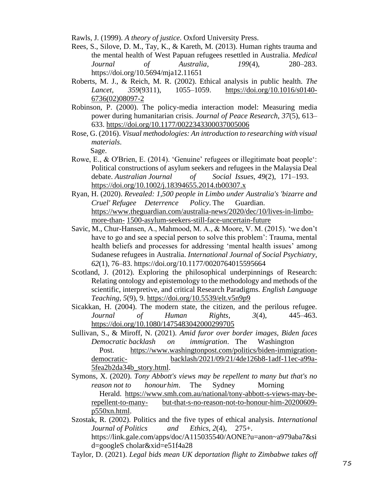Rawls, J. (1999). *A theory of justice*. Oxford University Press.

- Rees, S., Silove, D. M., Tay, K., & Kareth, M. (2013). Human rights trauma and the mental health of West Papuan refugees resettled in Australia. *Medical Journal of Australia*, *199*(4), 280–283. https://doi.org/10.5694/mja12.11651
- Roberts, M. J., & Reich, M. R. (2002). Ethical analysis in public health. *The Lancet*, *359*(9311), 1055–1059. [https://doi.org/10.1016/s0140-](https://doi.org/10.1016/s0140-6736(02)08097-2) [6736\(02\)08097-2](https://doi.org/10.1016/s0140-6736(02)08097-2)
- Robinson, P. (2000). The policy-media interaction model: Measuring media power during humanitarian crisis. *Journal of Peace Research*, *37*(5), 613– 633. <https://doi.org/10.1177/0022343300037005006>
- Rose, G. (2016). *Visual methodologies: An introduction to researching with visual materials*. Sage.
- Rowe, E., & O'Brien, E. (2014). 'Genuine' refugees or illegitimate boat people': Political constructions of asylum seekers and refugees in the Malaysia Deal debate. *Australian Journal of Social Issues*, *49*(2), 171–193. <https://doi.org/10.1002/j.18394655.2014.tb00307.x>
- Ryan, H. (2020). *Revealed: 1,500 people in Limbo under Australia's 'bizarre and Cruel' Refugee Deterrence Policy*. The Guardian. [https://www.theguardian.com/australia-news/2020/dec/10/lives-in-limbo](https://www.theguardian.com/australia-news/2020/dec/10/lives-in-limbo-more-than-1500-asylum-seekers-still-face-uncertain-future)[more-than-](https://www.theguardian.com/australia-news/2020/dec/10/lives-in-limbo-more-than-1500-asylum-seekers-still-face-uncertain-future) [1500-asylum-seekers-still-face-uncertain-future](https://www.theguardian.com/australia-news/2020/dec/10/lives-in-limbo-more-than-1500-asylum-seekers-still-face-uncertain-future)
- Savic, M., Chur-Hansen, A., Mahmood, M. A., & Moore, V. M. (2015). 'we don't have to go and see a special person to solve this problem': Trauma, mental health beliefs and processes for addressing 'mental health issues' among Sudanese refugees in Australia. *International Journal of Social Psychiatry*, *62*(1), 76–83. https://doi.org/10.1177/0020764015595664
- Scotland, J. (2012). Exploring the philosophical underpinnings of Research: Relating ontology and epistemology to the methodology and methods of the scientific, interpretive, and critical Research Paradigms. *English Language Teaching*, *5*(9), 9.<https://doi.org/10.5539/elt.v5n9p9>
- Sicakkan, H. (2004). The modern state, the citizen, and the perilous refugee. *Journal of Human Rights*, *3*(4), 445–463. <https://doi.org/10.1080/1475483042000299705>
- Sullivan, S., & Miroff, N. (2021). *Amid furor over border images, Biden faces Democratic backlash on immigration*. The Washington Post. [https://www.washingtonpost.com/politics/biden-immigration](https://www.washingtonpost.com/politics/biden-immigration-democratic-backlash/2021/09/21/4de126b8-1adf-11ec-a99a-5fea2b2da34b_story.html)[democratic-](https://www.washingtonpost.com/politics/biden-immigration-democratic-backlash/2021/09/21/4de126b8-1adf-11ec-a99a-5fea2b2da34b_story.html) [backlash/2021/09/21/4de126b8-1adf-11ec-a99a-](https://www.washingtonpost.com/politics/biden-immigration-democratic-backlash/2021/09/21/4de126b8-1adf-11ec-a99a-5fea2b2da34b_story.html)[5fea2b2da34b\\_story.html.](https://www.washingtonpost.com/politics/biden-immigration-democratic-backlash/2021/09/21/4de126b8-1adf-11ec-a99a-5fea2b2da34b_story.html)
- Symons, X. (2020). *Tony Abbott's views may be repellent to many but that's no reason not to honourhim*. The Sydney Morning Herald. [https://www.smh.com.au/national/tony-abbott-s-views-may-be](https://www.smh.com.au/national/tony-abbott-s-views-may-be-repellent-to-many-but-that-s-no-reason-not-to-honour-him-20200609-p550xn.html)[repellent-to-many-](https://www.smh.com.au/national/tony-abbott-s-views-may-be-repellent-to-many-but-that-s-no-reason-not-to-honour-him-20200609-p550xn.html) [but-that-s-no-reason-not-to-honour-him-20200609](https://www.smh.com.au/national/tony-abbott-s-views-may-be-repellent-to-many-but-that-s-no-reason-not-to-honour-him-20200609-p550xn.html) [p550xn.html.](https://www.smh.com.au/national/tony-abbott-s-views-may-be-repellent-to-many-but-that-s-no-reason-not-to-honour-him-20200609-p550xn.html)
- Szostak, R. (2002). Politics and the five types of ethical analysis. *International Journal of Politics and Ethics*, *2*(4), 275+. https://link.gale.com/apps/doc/A115035540/AONE?u=anon~a979aba7&si d=googleS cholar&xid=e51f4a28
- Taylor, D. (2021). *Legal bids mean UK deportation flight to Zimbabwe takes off*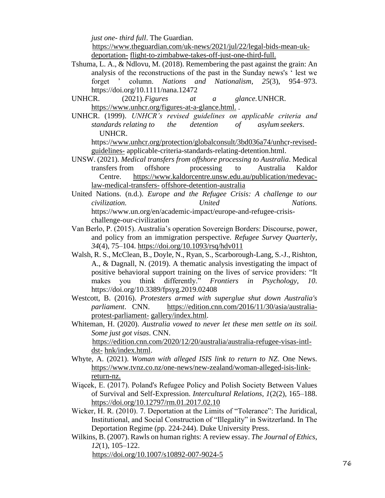*just one- third full*. The Guardian.

[https://www.theguardian.com/uk-news/2021/jul/22/legal-bids-mean-uk](https://www.theguardian.com/uk-news/2021/jul/22/legal-bids-mean-uk-deportation-flight-to-zimbabwe-takes-off-just-one-third-full)[deportation-](https://www.theguardian.com/uk-news/2021/jul/22/legal-bids-mean-uk-deportation-flight-to-zimbabwe-takes-off-just-one-third-full) [flight-to-zimbabwe-takes-off-just-one-third-full.](https://www.theguardian.com/uk-news/2021/jul/22/legal-bids-mean-uk-deportation-flight-to-zimbabwe-takes-off-just-one-third-full)

- Tshuma, L. A., & Ndlovu, M. (2018). Remembering the past against the grain: An analysis of the reconstructions of the past in the Sunday news's ' lest we forget ' column. *Nations and Nationalism*, *25*(3), 954–973. https://doi.org/10.1111/nana.12472
- UNHCR. (2021).*Figures at a glance*.UNHCR. [https://www.unhcr.org/figures-at-a-glance.html.](https://www.unhcr.org/figures-at-a-glance.html) .
- UNHCR. (1999). *UNHCR's revised guidelines on applicable criteria and standards relating to the detention of asylum seekers*. UNHCR.

- UNSW. (2021). *Medical transfers from offshore processing to Australia*. Medical transfers from offshore processing to Australia Kaldor Centre. [https://www.kaldorcentre.unsw.edu.au/publication/medevac](https://www.kaldorcentre.unsw.edu.au/publication/medevac-law-medical-transfers-offshore-detention-australia)[law-medical-transfers-](https://www.kaldorcentre.unsw.edu.au/publication/medevac-law-medical-transfers-offshore-detention-australia) [offshore-detention-australia](https://www.kaldorcentre.unsw.edu.au/publication/medevac-law-medical-transfers-offshore-detention-australia)
- United Nations. (n.d.). *Europe and the Refugee Crisis: A challenge to our civilization. United Nations.* https://www.un.org/en/academic-impact/europe-and-refugee-crisischallenge-our-civilization
- Van Berlo, P. (2015). Australia's operation Sovereign Borders: Discourse, power, and policy from an immigration perspective. *Refugee Survey Quarterly*, *34*(4), 75–104.<https://doi.org/10.1093/rsq/hdv011>
- Walsh, R. S., McClean, B., Doyle, N., Ryan, S., Scarborough-Lang, S.-J., Rishton, A., & Dagnall, N. (2019). A thematic analysis investigating the impact of positive behavioral support training on the lives of service providers: "It makes you think differently." *Frontiers in Psychology*, *10*. https://doi.org/10.3389/fpsyg.2019.02408
- Westcott, B. (2016). *Protesters armed with superglue shut down Australia's parliament*. CNN. [https://edition.cnn.com/2016/11/30/asia/australia](https://edition.cnn.com/2016/11/30/asia/australia-protest-parliament-gallery/index.html)[protest-parliament-](https://edition.cnn.com/2016/11/30/asia/australia-protest-parliament-gallery/index.html) [gallery/index.html.](https://edition.cnn.com/2016/11/30/asia/australia-protest-parliament-gallery/index.html)
- Whiteman, H. (2020). *Australia vowed to never let these men settle on its soil. Some just got visas*. CNN. [https://edition.cnn.com/2020/12/20/australia/australia-refugee-visas-intl-](https://edition.cnn.com/2020/12/20/australia/australia-refugee-visas-intl-dst-hnk/index.html)

[dst-](https://edition.cnn.com/2020/12/20/australia/australia-refugee-visas-intl-dst-hnk/index.html) [hnk/index.html.](https://edition.cnn.com/2020/12/20/australia/australia-refugee-visas-intl-dst-hnk/index.html)

- Whyte, A. (2021). *Woman with alleged ISIS link to return to NZ*. One News. [https://www.tvnz.co.nz/one-news/new-zealand/woman-alleged-isis-link](https://www.tvnz.co.nz/one-news/new-zealand/woman-alleged-isis-link-return-nz)[return-nz.](https://www.tvnz.co.nz/one-news/new-zealand/woman-alleged-isis-link-return-nz)
- Wiącek, E. (2017). Poland's Refugee Policy and Polish Society Between Values of Survival and Self-Expression. *Intercultural Relations*, *1*(2(2), 165–188. <https://doi.org/10.12797/rm.01.2017.02.10>
- Wicker, H. R. (2010). 7. Deportation at the Limits of "Tolerance": The Juridical, Institutional, and Social Construction of "Illegality" in Switzerland. In The Deportation Regime (pp. 224-244). Duke University Press.
- Wilkins, B. (2007). Rawls on human rights: A review essay. *The Journal of Ethics*, *12*(1), 105–122.

<https://doi.org/10.1007/s10892-007-9024-5>

https:[//www.unhcr.org/protection/globalconsult/3bd036a74/unhcr-revised](http://www.unhcr.org/protection/globalconsult/3bd036a74/unhcr-revised-guidelines-)[guidelines-](http://www.unhcr.org/protection/globalconsult/3bd036a74/unhcr-revised-guidelines-) applicable-criteria-standards-relating-detention.html.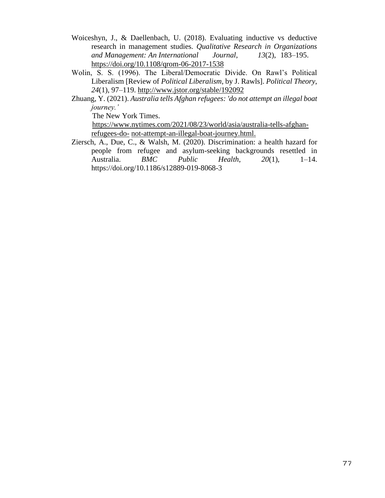- Woiceshyn, J., & Daellenbach, U. (2018). Evaluating inductive vs deductive research in management studies. *Qualitative Research in Organizations and Management: An International Journal*, *13*(2), 183–195. <https://doi.org/10.1108/qrom-06-2017-1538>
- Wolin, S. S. (1996). The Liberal/Democratic Divide. On Rawl's Political Liberalism [Review of *Political Liberalism*, by J. Rawls]. *Political Theory*, *24*(1), 97–119.<http://www.jstor.org/stable/192092>
- Zhuang, Y. (2021). *Australia tells Afghan refugees: 'do not attempt an illegal boat journey.'*

The New York Times.

 [https://www.nytimes.com/2021/08/23/world/asia/australia-tells-afghan](https://www.nytimes.com/2021/08/23/world/asia/australia-tells-afghan-refugees-do-not-attempt-an-illegal-boat-journey.html)[refugees-do-](https://www.nytimes.com/2021/08/23/world/asia/australia-tells-afghan-refugees-do-not-attempt-an-illegal-boat-journey.html) [not-attempt-an-illegal-boat-journey.html.](https://www.nytimes.com/2021/08/23/world/asia/australia-tells-afghan-refugees-do-not-attempt-an-illegal-boat-journey.html)

Ziersch, A., Due, C., & Walsh, M. (2020). Discrimination: a health hazard for people from refugee and asylum-seeking backgrounds resettled in Australia. *BMC Public Health*, *20*(1), 1–14. https://doi.org/10.1186/s12889-019-8068-3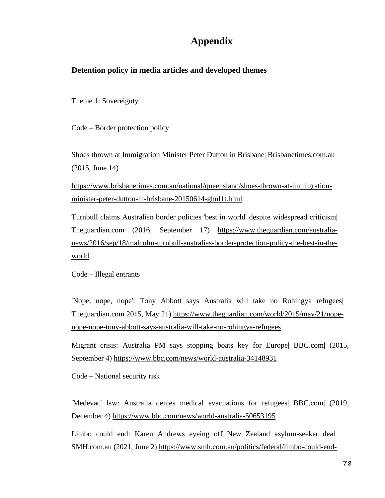## **Appendix**

## **Detention policy in media articles and developed themes**

Theme 1: Sovereignty

Code – Border protection policy

Shoes thrown at Immigration Minister Peter Dutton in Brisbane| Brisbanetimes.com.au (2015, June 14)

[https://www.brisbanetimes.com.au/national/queensland/shoes-thrown-at-immigration](https://www.brisbanetimes.com.au/national/queensland/shoes-thrown-at-immigration-minister-peter-dutton-in-brisbane-20150614-ghnl1t.html)[minister-peter-dutton-in-brisbane-20150614-ghnl1t.html](https://www.brisbanetimes.com.au/national/queensland/shoes-thrown-at-immigration-minister-peter-dutton-in-brisbane-20150614-ghnl1t.html)

Turnbull claims Australian border policies 'best in world' despite widespread criticism| Theguardian.com (2016, September 17) [https://www.theguardian.com/australia](https://www.theguardian.com/australia-news/2016/sep/18/malcolm-turnbull-australias-border-protection-policy-the-best-in-the-world)[news/2016/sep/18/malcolm-turnbull-australias-border-protection-policy-the-best-in-the](https://www.theguardian.com/australia-news/2016/sep/18/malcolm-turnbull-australias-border-protection-policy-the-best-in-the-world)[world](https://www.theguardian.com/australia-news/2016/sep/18/malcolm-turnbull-australias-border-protection-policy-the-best-in-the-world)

Code – Illegal entrants

'Nope, nope, nope': Tony Abbott says Australia will take no Rohingya refugees| Theguardian.com 2015, May 21) [https://www.theguardian.com/world/2015/may/21/nope](https://www.theguardian.com/world/2015/may/21/nope-nope-nope-tony-abbott-says-australia-will-take-no-rohingya-refugees)[nope-nope-tony-abbott-says-australia-will-take-no-rohingya-refugees](https://www.theguardian.com/world/2015/may/21/nope-nope-nope-tony-abbott-says-australia-will-take-no-rohingya-refugees)

Migrant crisis: Australia PM says stopping boats key for Europe| BBC.com| (2015, September 4)<https://www.bbc.com/news/world-australia-34148931>

Code – National security risk

'Medevac' law: Australia denies medical evacuations for refugees| BBC.com| (2019, December 4)<https://www.bbc.com/news/world-australia-50653195>

Limbo could end: Karen Andrews eyeing off New Zealand asylum-seeker deal| SMH.com.au (2021, June 2) [https://www.smh.com.au/politics/federal/limbo-could-end-](https://www.smh.com.au/politics/federal/limbo-could-end-karen-andrews-eyeing-off-new-zealand-asylum-seeker-deal-20210602-p57xf7.html)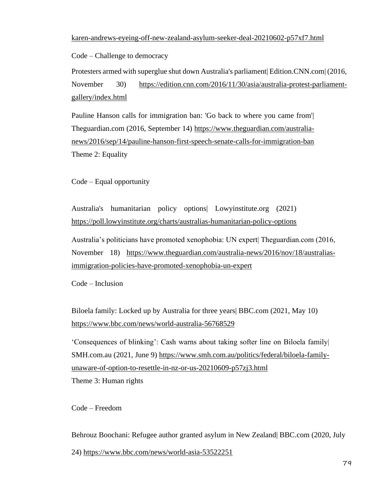[karen-andrews-eyeing-off-new-zealand-asylum-seeker-deal-20210602-p57xf7.html](https://www.smh.com.au/politics/federal/limbo-could-end-karen-andrews-eyeing-off-new-zealand-asylum-seeker-deal-20210602-p57xf7.html)

Code – Challenge to democracy

Protesters armed with superglue shut down Australia's parliament Edition.CNN.com (2016, November 30) [https://edition.cnn.com/2016/11/30/asia/australia-protest-parliament](https://edition.cnn.com/2016/11/30/asia/australia-protest-parliament-gallery/index.html)[gallery/index.html](https://edition.cnn.com/2016/11/30/asia/australia-protest-parliament-gallery/index.html)

Pauline Hanson calls for immigration ban: 'Go back to where you came from'| Theguardian.com (2016, September 14) [https://www.theguardian.com/australia](https://www.theguardian.com/australia-news/2016/sep/14/pauline-hanson-first-speech-senate-calls-for-immigration-ban)[news/2016/sep/14/pauline-hanson-first-speech-senate-calls-for-immigration-ban](https://www.theguardian.com/australia-news/2016/sep/14/pauline-hanson-first-speech-senate-calls-for-immigration-ban) Theme 2: Equality

Code – Equal opportunity

Australia's humanitarian policy options| Lowyinstitute.org (2021) <https://poll.lowyinstitute.org/charts/australias-humanitarian-policy-options>

Australia's politicians have promoted xenophobia: UN expert| Theguardian.com (2016, November 18) [https://www.theguardian.com/australia-news/2016/nov/18/australias](https://www.theguardian.com/australia-news/2016/nov/18/australias-immigration-policies-have-promoted-xenophobia-un-expert)[immigration-policies-have-promoted-xenophobia-un-expert](https://www.theguardian.com/australia-news/2016/nov/18/australias-immigration-policies-have-promoted-xenophobia-un-expert)

Code – Inclusion

Biloela family: Locked up by Australia for three years| BBC.com (2021, May 10) <https://www.bbc.com/news/world-australia-56768529>

'Consequences of blinking': Cash warns about taking softer line on Biloela family| SMH.com.au (2021, June 9) [https://www.smh.com.au/politics/federal/biloela-family](https://www.smh.com.au/politics/federal/biloela-family-unaware-of-option-to-resettle-in-nz-or-us-20210609-p57zj3.html)[unaware-of-option-to-resettle-in-nz-or-us-20210609-p57zj3.html](https://www.smh.com.au/politics/federal/biloela-family-unaware-of-option-to-resettle-in-nz-or-us-20210609-p57zj3.html)

Theme 3: Human rights

Code – Freedom

Behrouz Boochani: Refugee author granted asylum in New Zealand| BBC.com (2020, July 24) <https://www.bbc.com/news/world-asia-53522251>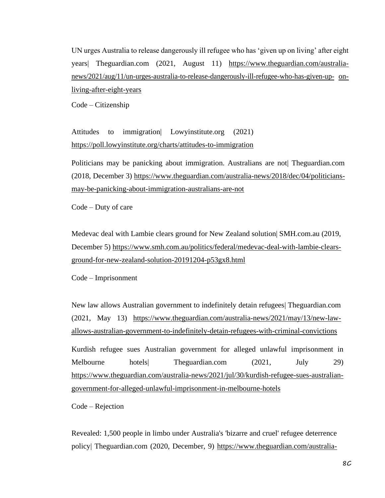UN urges Australia to release dangerously ill refugee who has 'given up on living' after eight years| Theguardian.com (2021, August 11) [https://www.theguardian.com/australia](https://www.theguardian.com/australia-news/2021/aug/11/un-urges-australia-to-release-dangerously-ill-refugee-who-has-given-up-on-living-after-eight-years)[news/2021/aug/11/un-urges-australia-to-release-dangerously-ill-refugee-who-has-given-up-](https://www.theguardian.com/australia-news/2021/aug/11/un-urges-australia-to-release-dangerously-ill-refugee-who-has-given-up-on-living-after-eight-years) [on](https://www.theguardian.com/australia-news/2021/aug/11/un-urges-australia-to-release-dangerously-ill-refugee-who-has-given-up-on-living-after-eight-years)[living-after-eight-years](https://www.theguardian.com/australia-news/2021/aug/11/un-urges-australia-to-release-dangerously-ill-refugee-who-has-given-up-on-living-after-eight-years)

Code – Citizenship

Attitudes to immigration| Lowyinstitute.org (2021) <https://poll.lowyinstitute.org/charts/attitudes-to-immigration>

Politicians may be panicking about immigration. Australians are not| Theguardian.com (2018, December 3) [https://www.theguardian.com/australia-news/2018/dec/04/politicians](https://www.theguardian.com/australia-news/2018/dec/04/politicians-may-be-panicking-about-immigration-australians-are-not)[may-be-panicking-about-immigration-australians-are-not](https://www.theguardian.com/australia-news/2018/dec/04/politicians-may-be-panicking-about-immigration-australians-are-not)

Code – Duty of care

Medevac deal with Lambie clears ground for New Zealand solution| SMH.com.au (2019, December 5) [https://www.smh.com.au/politics/federal/medevac-deal-with-lambie-clears](https://www.smh.com.au/politics/federal/medevac-deal-with-lambie-clears-ground-for-new-zealand-solution-20191204-p53gx8.html)[ground-for-new-zealand-solution-20191204-p53gx8.html](https://www.smh.com.au/politics/federal/medevac-deal-with-lambie-clears-ground-for-new-zealand-solution-20191204-p53gx8.html)

Code – Imprisonment

New law allows Australian government to indefinitely detain refugees| Theguardian.com (2021, May 13) [https://www.theguardian.com/australia-news/2021/may/13/new-law](https://www.theguardian.com/australia-news/2021/may/13/new-law-allows-australian-government-to-indefinitely-detain-refugees-with-criminal-convictions)[allows-australian-government-to-indefinitely-detain-refugees-with-criminal-convictions](https://www.theguardian.com/australia-news/2021/may/13/new-law-allows-australian-government-to-indefinitely-detain-refugees-with-criminal-convictions)

Kurdish refugee sues Australian government for alleged unlawful imprisonment in Melbourne hotels| Theguardian.com (2021, July 29) [https://www.theguardian.com/australia-news/2021/jul/30/kurdish-refugee-sues-australian](https://www.theguardian.com/australia-news/2021/jul/30/kurdish-refugee-sues-australian-government-for-alleged-unlawful-imprisonment-in-melbourne-hotels)[government-for-alleged-unlawful-imprisonment-in-melbourne-hotels](https://www.theguardian.com/australia-news/2021/jul/30/kurdish-refugee-sues-australian-government-for-alleged-unlawful-imprisonment-in-melbourne-hotels)

Code – Rejection

Revealed: 1,500 people in limbo under Australia's 'bizarre and cruel' refugee deterrence policy| Theguardian.com (2020, December, 9) [https://www.theguardian.com/australia-](https://www.theguardian.com/australia-news/2020/dec/10/lives-in-limbo-more-than-1500-asylum-seekers-still-face-uncertain-future)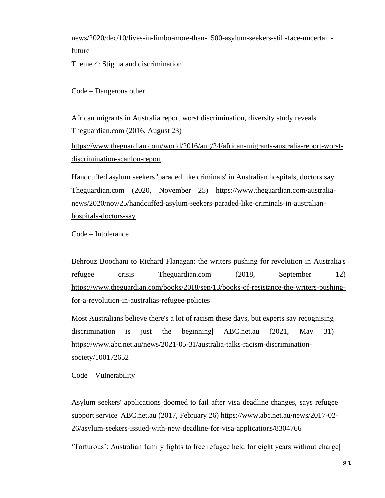[news/2020/dec/10/lives-in-limbo-more-than-1500-asylum-seekers-still-face-uncertain](https://www.theguardian.com/australia-news/2020/dec/10/lives-in-limbo-more-than-1500-asylum-seekers-still-face-uncertain-future)[future](https://www.theguardian.com/australia-news/2020/dec/10/lives-in-limbo-more-than-1500-asylum-seekers-still-face-uncertain-future)

Theme 4: Stigma and discrimination

Code – Dangerous other

African migrants in Australia report worst discrimination, diversity study reveals| Theguardian.com (2016, August 23)

[https://www.theguardian.com/world/2016/aug/24/african-migrants-australia-report-worst](https://www.theguardian.com/world/2016/aug/24/african-migrants-australia-report-worst-discrimination-scanlon-report)[discrimination-scanlon-report](https://www.theguardian.com/world/2016/aug/24/african-migrants-australia-report-worst-discrimination-scanlon-report)

Handcuffed asylum seekers 'paraded like criminals' in Australian hospitals, doctors say| Theguardian.com (2020, November 25) [https://www.theguardian.com/australia](https://www.theguardian.com/australia-news/2020/nov/25/handcuffed-asylum-seekers-paraded-like-criminals-in-australian-hospitals-doctors-say)[news/2020/nov/25/handcuffed-asylum-seekers-paraded-like-criminals-in-australian](https://www.theguardian.com/australia-news/2020/nov/25/handcuffed-asylum-seekers-paraded-like-criminals-in-australian-hospitals-doctors-say)[hospitals-doctors-say](https://www.theguardian.com/australia-news/2020/nov/25/handcuffed-asylum-seekers-paraded-like-criminals-in-australian-hospitals-doctors-say)

Code – Intolerance

Behrouz Boochani to Richard Flanagan: the writers pushing for revolution in Australia's refugee crisis Theguardian.com (2018, September 12) [https://www.theguardian.com/books/2018/sep/13/books-of-resistance-the-writers-pushing](https://www.theguardian.com/books/2018/sep/13/books-of-resistance-the-writers-pushing-for-a-revolution-in-australias-refugee-policies)[for-a-revolution-in-australias-refugee-policies](https://www.theguardian.com/books/2018/sep/13/books-of-resistance-the-writers-pushing-for-a-revolution-in-australias-refugee-policies)

Most Australians believe there's a lot of racism these days, but experts say recognising discrimination is just the beginning| ABC.net.au (2021, May 31) [https://www.abc.net.au/news/2021-05-31/australia-talks-racism-discrimination](https://www.abc.net.au/news/2021-05-31/australia-talks-racism-discrimination-society/100172652)[society/100172652](https://www.abc.net.au/news/2021-05-31/australia-talks-racism-discrimination-society/100172652)

Code – Vulnerability

Asylum seekers' applications doomed to fail after visa deadline changes, says refugee support service| ABC.net.au (2017, February 26) [https://www.abc.net.au/news/2017-02-](https://www.abc.net.au/news/2017-02-26/asylum-seekers-issued-with-new-deadline-for-visa-applications/8304766) [26/asylum-seekers-issued-with-new-deadline-for-visa-applications/8304766](https://www.abc.net.au/news/2017-02-26/asylum-seekers-issued-with-new-deadline-for-visa-applications/8304766)

'Torturous': Australian family fights to free refugee held for eight years without charge|